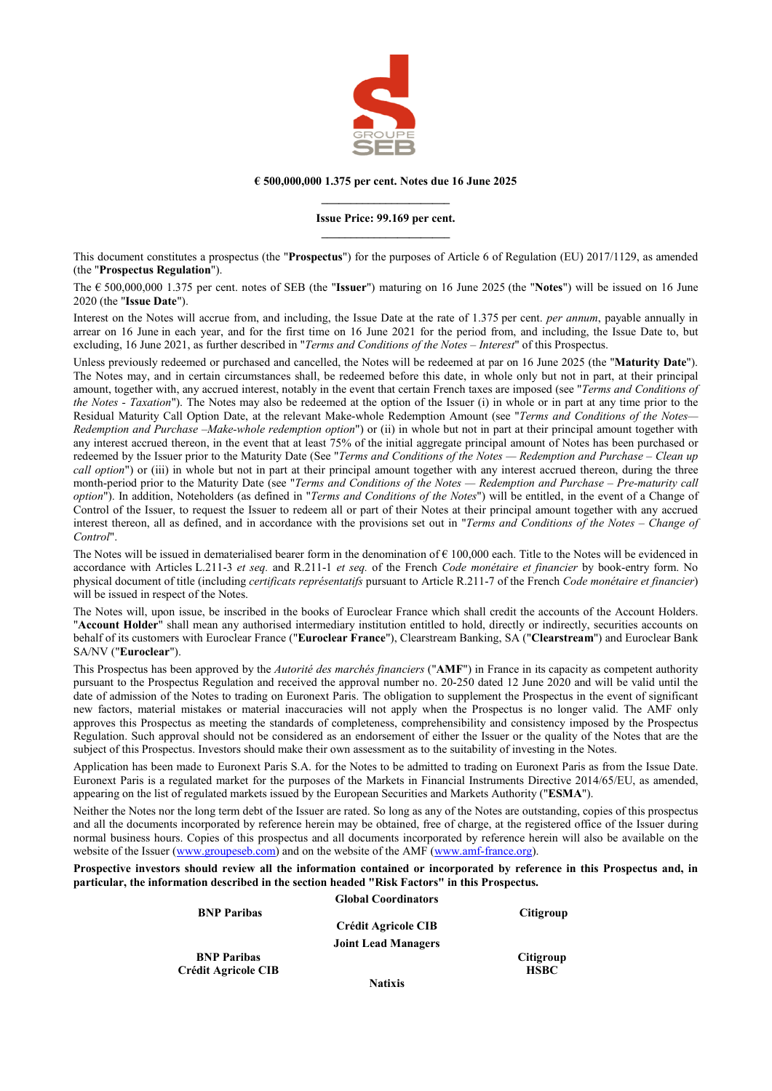

#### **€ 500,000,000 1.375 per cent. Notes due 16 June 2025 \_\_\_\_\_\_\_\_\_\_\_\_\_\_\_\_\_\_\_\_\_\_**

#### **Issue Price: 99.169 per cent. \_\_\_\_\_\_\_\_\_\_\_\_\_\_\_\_\_\_\_\_\_\_**

This document constitutes a prospectus (the "**Prospectus**") for the purposes of Article 6 of Regulation (EU) 2017/1129, as amended (the "**Prospectus Regulation**").

The € 500,000,000 1.375 per cent. notes of SEB (the "**Issuer**") maturing on 16 June 2025 (the "**Notes**") will be issued on 16 June 2020 (the "**Issue Date**").

Interest on the Notes will accrue from, and including, the Issue Date at the rate of 1.375 per cent. *per annum*, payable annually in arrear on 16 June in each year, and for the first time on 16 June 2021 for the period from, and including, the Issue Date to, but excluding, 16 June 2021, as further described in "*Terms and Conditions of the Notes – Interest*" of this Prospectus.

Unless previously redeemed or purchased and cancelled, the Notes will be redeemed at par on 16 June 2025 (the "**Maturity Date**"). The Notes may, and in certain circumstances shall, be redeemed before this date, in whole only but not in part, at their principal amount, together with, any accrued interest, notably in the event that certain French taxes are imposed (see "*Terms and Conditions of the Notes - Taxation*"). The Notes may also be redeemed at the option of the Issuer (i) in whole or in part at any time prior to the Residual Maturity Call Option Date, at the relevant Make-whole Redemption Amount (see "*Terms and Conditions of the Notes— Redemption and Purchase –Make-whole redemption option*") or (ii) in whole but not in part at their principal amount together with any interest accrued thereon, in the event that at least 75% of the initial aggregate principal amount of Notes has been purchased or redeemed by the Issuer prior to the Maturity Date (See "*Terms and Conditions of the Notes — Redemption and Purchase – Clean up call option*") or (iii) in whole but not in part at their principal amount together with any interest accrued thereon, during the three month-period prior to the Maturity Date (see "*Terms and Conditions of the Notes — Redemption and Purchase – Pre-maturity call option*"). In addition, Noteholders (as defined in "*Terms and Conditions of the Notes*") will be entitled, in the event of a Change of Control of the Issuer, to request the Issuer to redeem all or part of their Notes at their principal amount together with any accrued interest thereon, all as defined, and in accordance with the provisions set out in "*Terms and Conditions of the Notes – Change of Control*".

The Notes will be issued in dematerialised bearer form in the denomination of  $\epsilon$  100,000 each. Title to the Notes will be evidenced in accordance with Articles L.211-3 *et seq.* and R.211-1 *et seq.* of the French *Code monétaire et financier* by book-entry form. No physical document of title (including *certificats représentatifs* pursuant to Article R.211-7 of the French *Code monétaire et financier*) will be issued in respect of the Notes.

The Notes will, upon issue, be inscribed in the books of Euroclear France which shall credit the accounts of the Account Holders. "**Account Holder**" shall mean any authorised intermediary institution entitled to hold, directly or indirectly, securities accounts on behalf of its customers with Euroclear France ("**Euroclear France**"), Clearstream Banking, SA ("**Clearstream**") and Euroclear Bank SA/NV ("**Euroclear**").

This Prospectus has been approved by the *Autorité des marchés financiers* ("**AMF**") in France in its capacity as competent authority pursuant to the Prospectus Regulation and received the approval number no. 20-250 dated 12 June 2020 and will be valid until the date of admission of the Notes to trading on Euronext Paris. The obligation to supplement the Prospectus in the event of significant new factors, material mistakes or material inaccuracies will not apply when the Prospectus is no longer valid. The AMF only approves this Prospectus as meeting the standards of completeness, comprehensibility and consistency imposed by the Prospectus Regulation. Such approval should not be considered as an endorsement of either the Issuer or the quality of the Notes that are the subject of this Prospectus. Investors should make their own assessment as to the suitability of investing in the Notes.

Application has been made to Euronext Paris S.A. for the Notes to be admitted to trading on Euronext Paris as from the Issue Date. Euronext Paris is a regulated market for the purposes of the Markets in Financial Instruments Directive 2014/65/EU, as amended, appearing on the list of regulated markets issued by the European Securities and Markets Authority ("**ESMA**").

Neither the Notes nor the long term debt of the Issuer are rated. So long as any of the Notes are outstanding, copies of this prospectus and all the documents incorporated by reference herein may be obtained, free of charge, at the registered office of the Issuer during normal business hours. Copies of this prospectus and all documents incorporated by reference herein will also be available on the website of the Issuer [\(www.groupeseb.com\)](http://www.groupeseb.com/) and on the website of the AMF [\(www.amf-france.org\)](http://www.amf-france.org/).

**Prospective investors should review all the information contained or incorporated by reference in this Prospectus and, in particular, the information described in the section headed "Risk Factors" in this Prospectus.**

|                            | <b>Global Coordinators</b> |                  |
|----------------------------|----------------------------|------------------|
| <b>BNP</b> Paribas         |                            | Citigroup        |
|                            | <b>Crédit Agricole CIB</b> |                  |
|                            | <b>Joint Lead Managers</b> |                  |
| <b>BNP</b> Paribas         |                            | <b>Citigroup</b> |
| <b>Crédit Agricole CIB</b> |                            | <b>HSBC</b>      |
|                            | $N = 422$                  |                  |

**Natixis**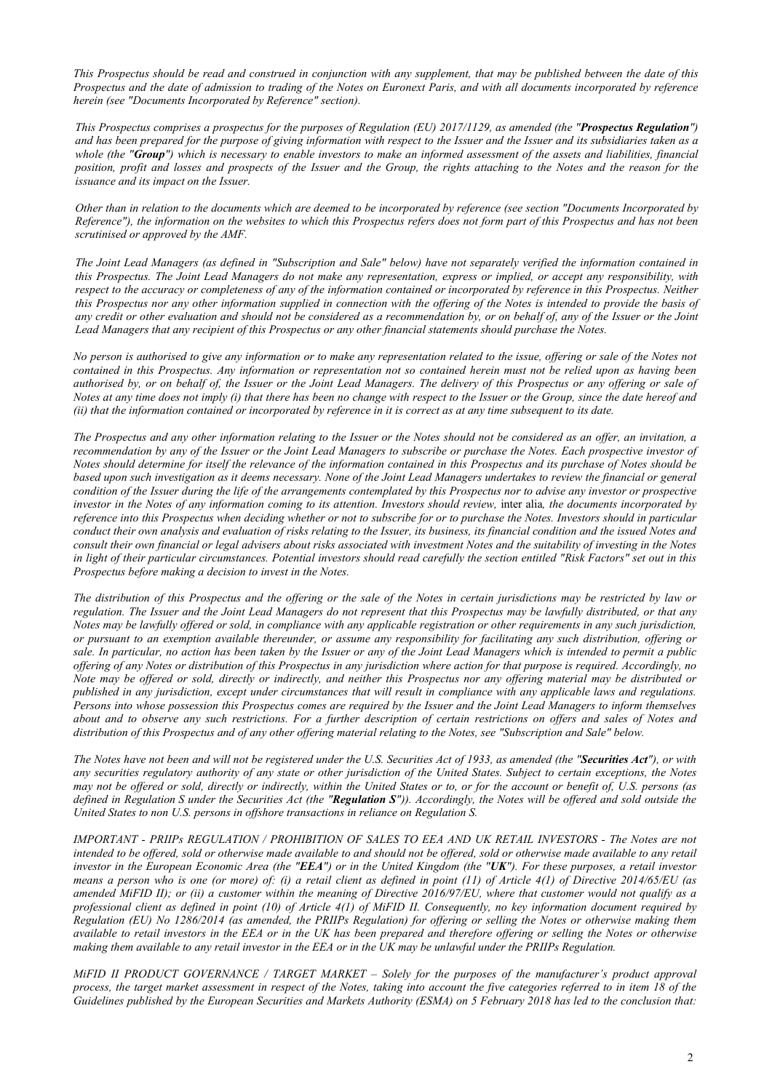*This Prospectus should be read and construed in conjunction with any supplement, that may be published between the date of this Prospectus and the date of admission to trading of the Notes on Euronext Paris, and with all documents incorporated by reference herein (see "Documents Incorporated by Reference" section).*

*This Prospectus comprises a prospectus for the purposes of Regulation (EU) 2017/1129, as amended (the "Prospectus Regulation") and has been prepared for the purpose of giving information with respect to the Issuer and the Issuer and its subsidiaries taken as a whole (the "Group") which is necessary to enable investors to make an informed assessment of the assets and liabilities, financial position, profit and losses and prospects of the Issuer and the Group, the rights attaching to the Notes and the reason for the issuance and its impact on the Issuer.*

*Other than in relation to the documents which are deemed to be incorporated by reference (see section "Documents Incorporated by Reference"), the information on the websites to which this Prospectus refers does not form part of this Prospectus and has not been scrutinised or approved by the AMF.*

*The Joint Lead Managers (as defined in "Subscription and Sale" below) have not separately verified the information contained in this Prospectus. The Joint Lead Managers do not make any representation, express or implied, or accept any responsibility, with respect to the accuracy or completeness of any of the information contained or incorporated by reference in this Prospectus. Neither this Prospectus nor any other information supplied in connection with the offering of the Notes is intended to provide the basis of any credit or other evaluation and should not be considered as a recommendation by, or on behalf of, any of the Issuer or the Joint Lead Managers that any recipient of this Prospectus or any other financial statements should purchase the Notes.*

*No person is authorised to give any information or to make any representation related to the issue, offering or sale of the Notes not contained in this Prospectus. Any information or representation not so contained herein must not be relied upon as having been authorised by, or on behalf of, the Issuer or the Joint Lead Managers. The delivery of this Prospectus or any offering or sale of Notes at any time does not imply (i) that there has been no change with respect to the Issuer or the Group, since the date hereof and (ii) that the information contained or incorporated by reference in it is correct as at any time subsequent to its date.*

*The Prospectus and any other information relating to the Issuer or the Notes should not be considered as an offer, an invitation, a recommendation by any of the Issuer or the Joint Lead Managers to subscribe or purchase the Notes. Each prospective investor of Notes should determine for itself the relevance of the information contained in this Prospectus and its purchase of Notes should be based upon such investigation as it deems necessary. None of the Joint Lead Managers undertakes to review the financial or general condition of the Issuer during the life of the arrangements contemplated by this Prospectus nor to advise any investor or prospective investor in the Notes of any information coming to its attention. Investors should review,* inter alia*, the documents incorporated by reference into this Prospectus when deciding whether or not to subscribe for or to purchase the Notes. Investors should in particular conduct their own analysis and evaluation of risks relating to the Issuer, its business, its financial condition and the issued Notes and consult their own financial or legal advisers about risks associated with investment Notes and the suitability of investing in the Notes in light of their particular circumstances. Potential investors should read carefully the section entitled "Risk Factors" set out in this Prospectus before making a decision to invest in the Notes.*

*The distribution of this Prospectus and the offering or the sale of the Notes in certain jurisdictions may be restricted by law or regulation. The Issuer and the Joint Lead Managers do not represent that this Prospectus may be lawfully distributed, or that any Notes may be lawfully offered or sold, in compliance with any applicable registration or other requirements in any such jurisdiction, or pursuant to an exemption available thereunder, or assume any responsibility for facilitating any such distribution, offering or sale. In particular, no action has been taken by the Issuer or any of the Joint Lead Managers which is intended to permit a public offering of any Notes or distribution of this Prospectus in any jurisdiction where action for that purpose is required. Accordingly, no Note may be offered or sold, directly or indirectly, and neither this Prospectus nor any offering material may be distributed or published in any jurisdiction, except under circumstances that will result in compliance with any applicable laws and regulations. Persons into whose possession this Prospectus comes are required by the Issuer and the Joint Lead Managers to inform themselves about and to observe any such restrictions. For a further description of certain restrictions on offers and sales of Notes and distribution of this Prospectus and of any other offering material relating to the Notes, see "Subscription and Sale" below.*

*The Notes have not been and will not be registered under the U.S. Securities Act of 1933, as amended (the "Securities Act"), or with any securities regulatory authority of any state or other jurisdiction of the United States. Subject to certain exceptions, the Notes may not be offered or sold, directly or indirectly, within the United States or to, or for the account or benefit of, U.S. persons (as defined in Regulation S under the Securities Act (the "Regulation S")). Accordingly, the Notes will be offered and sold outside the United States to non U.S. persons in offshore transactions in reliance on Regulation S.* 

*IMPORTANT - PRIIPs REGULATION / PROHIBITION OF SALES TO EEA AND UK RETAIL INVESTORS - The Notes are not intended to be offered, sold or otherwise made available to and should not be offered, sold or otherwise made available to any retail investor in the European Economic Area (the "EEA") or in the United Kingdom (the "UK"). For these purposes, a retail investor means a person who is one (or more) of: (i) a retail client as defined in point (11) of Article 4(1) of Directive 2014/65/EU (as amended MiFID II); or (ii) a customer within the meaning of Directive 2016/97/EU, where that customer would not qualify as a professional client as defined in point (10) of Article 4(1) of MiFID II. Consequently, no key information document required by Regulation (EU) No 1286/2014 (as amended, the PRIIPs Regulation) for offering or selling the Notes or otherwise making them available to retail investors in the EEA or in the UK has been prepared and therefore offering or selling the Notes or otherwise making them available to any retail investor in the EEA or in the UK may be unlawful under the PRIIPs Regulation.*

*MiFID II PRODUCT GOVERNANCE / TARGET MARKET – Solely for the purposes of the manufacturer's product approval process, the target market assessment in respect of the Notes, taking into account the five categories referred to in item 18 of the Guidelines published by the European Securities and Markets Authority (ESMA) on 5 February 2018 has led to the conclusion that:*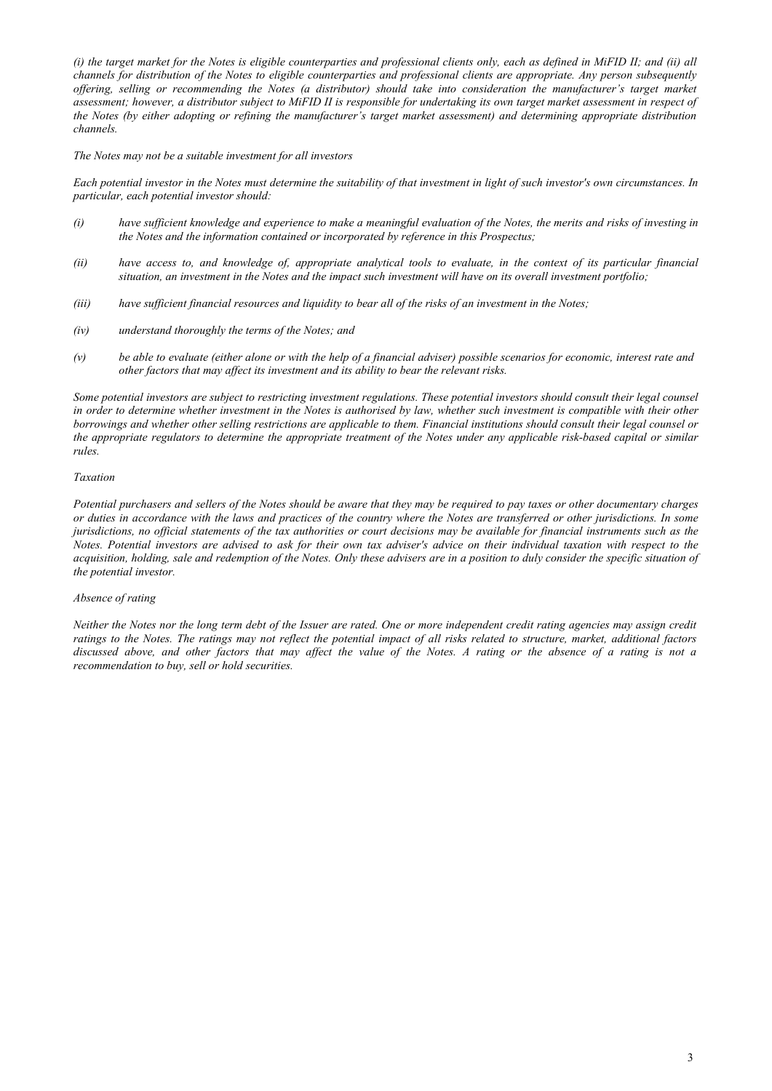*(i) the target market for the Notes is eligible counterparties and professional clients only, each as defined in MiFID II; and (ii) all channels for distribution of the Notes to eligible counterparties and professional clients are appropriate. Any person subsequently offering, selling or recommending the Notes (a distributor) should take into consideration the manufacturer's target market assessment; however, a distributor subject to MiFID II is responsible for undertaking its own target market assessment in respect of the Notes (by either adopting or refining the manufacturer's target market assessment) and determining appropriate distribution channels.*

#### *The Notes may not be a suitable investment for all investors*

*Each potential investor in the Notes must determine the suitability of that investment in light of such investor's own circumstances. In particular, each potential investor should:*

- *(i) have sufficient knowledge and experience to make a meaningful evaluation of the Notes, the merits and risks of investing in the Notes and the information contained or incorporated by reference in this Prospectus;*
- *(ii) have access to, and knowledge of, appropriate analytical tools to evaluate, in the context of its particular financial situation, an investment in the Notes and the impact such investment will have on its overall investment portfolio;*
- *(iii) have sufficient financial resources and liquidity to bear all of the risks of an investment in the Notes;*
- *(iv) understand thoroughly the terms of the Notes; and*
- *(v) be able to evaluate (either alone or with the help of a financial adviser) possible scenarios for economic, interest rate and other factors that may affect its investment and its ability to bear the relevant risks.*

*Some potential investors are subject to restricting investment regulations. These potential investors should consult their legal counsel in order to determine whether investment in the Notes is authorised by law, whether such investment is compatible with their other borrowings and whether other selling restrictions are applicable to them. Financial institutions should consult their legal counsel or the appropriate regulators to determine the appropriate treatment of the Notes under any applicable risk-based capital or similar rules.*

#### *Taxation*

*Potential purchasers and sellers of the Notes should be aware that they may be required to pay taxes or other documentary charges or duties in accordance with the laws and practices of the country where the Notes are transferred or other jurisdictions. In some jurisdictions, no official statements of the tax authorities or court decisions may be available for financial instruments such as the Notes. Potential investors are advised to ask for their own tax adviser's advice on their individual taxation with respect to the acquisition, holding, sale and redemption of the Notes. Only these advisers are in a position to duly consider the specific situation of the potential investor.*

#### *Absence of rating*

*Neither the Notes nor the long term debt of the Issuer are rated. One or more independent credit rating agencies may assign credit ratings to the Notes. The ratings may not reflect the potential impact of all risks related to structure, market, additional factors discussed above, and other factors that may affect the value of the Notes. A rating or the absence of a rating is not a recommendation to buy, sell or hold securities.*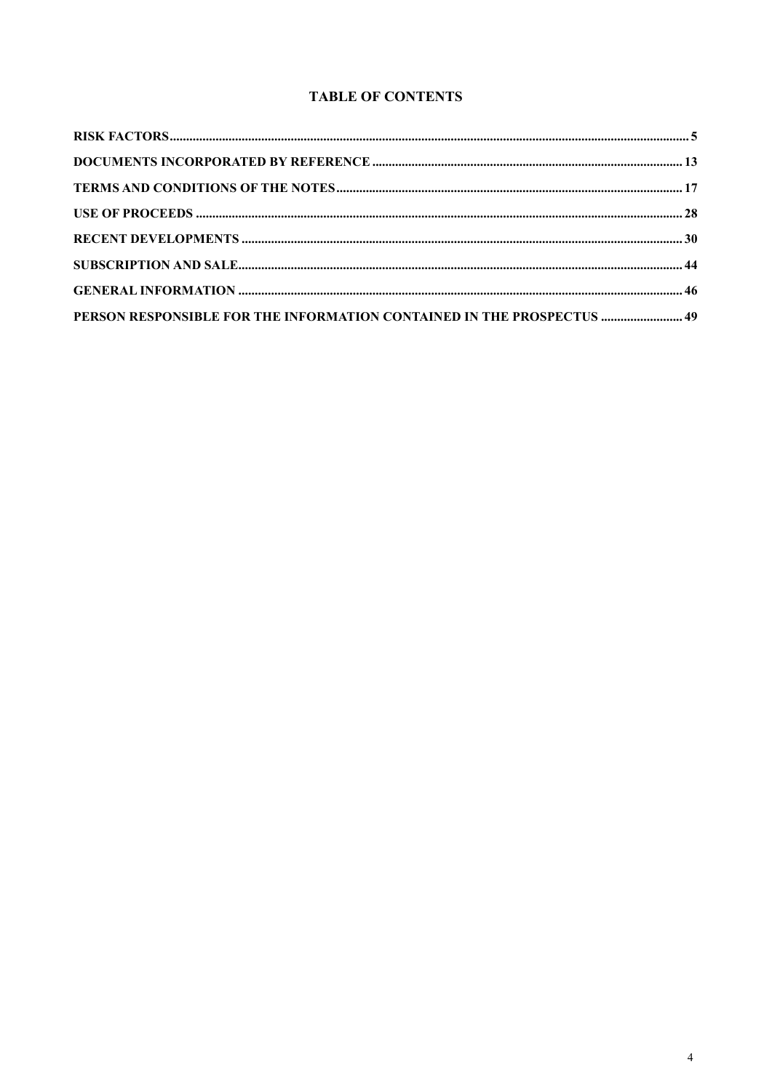## **TABLE OF CONTENTS**

| PERSON RESPONSIBLE FOR THE INFORMATION CONTAINED IN THE PROSPECTUS  49 |  |
|------------------------------------------------------------------------|--|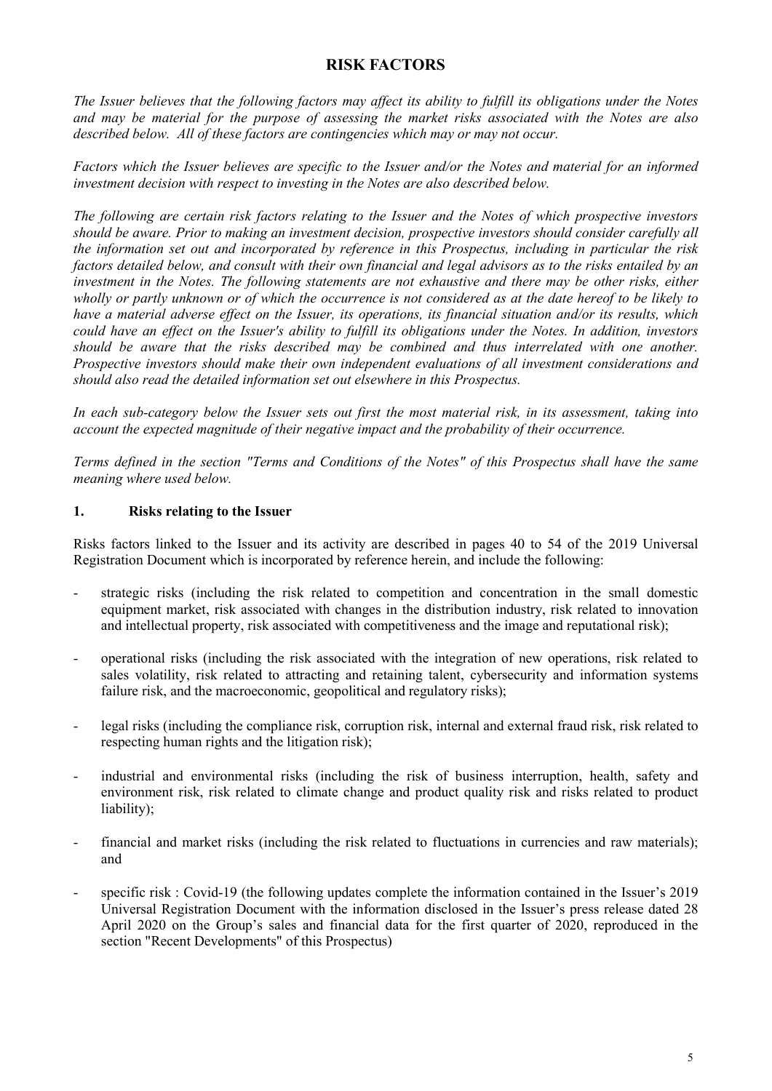## **RISK FACTORS**

<span id="page-4-0"></span>*The Issuer believes that the following factors may affect its ability to fulfill its obligations under the Notes and may be material for the purpose of assessing the market risks associated with the Notes are also described below. All of these factors are contingencies which may or may not occur.*

*Factors which the Issuer believes are specific to the Issuer and/or the Notes and material for an informed investment decision with respect to investing in the Notes are also described below.*

*The following are certain risk factors relating to the Issuer and the Notes of which prospective investors should be aware. Prior to making an investment decision, prospective investors should consider carefully all the information set out and incorporated by reference in this Prospectus, including in particular the risk factors detailed below, and consult with their own financial and legal advisors as to the risks entailed by an investment in the Notes. The following statements are not exhaustive and there may be other risks, either wholly or partly unknown or of which the occurrence is not considered as at the date hereof to be likely to have a material adverse effect on the Issuer, its operations, its financial situation and/or its results, which could have an effect on the Issuer's ability to fulfill its obligations under the Notes. In addition, investors should be aware that the risks described may be combined and thus interrelated with one another. Prospective investors should make their own independent evaluations of all investment considerations and should also read the detailed information set out elsewhere in this Prospectus.* 

*In each sub-category below the Issuer sets out first the most material risk, in its assessment, taking into account the expected magnitude of their negative impact and the probability of their occurrence.*

*Terms defined in the section "Terms and Conditions of the Notes" of this Prospectus shall have the same meaning where used below.*

### **1. Risks relating to the Issuer**

Risks factors linked to the Issuer and its activity are described in pages 40 to 54 of the 2019 Universal Registration Document which is incorporated by reference herein, and include the following:

- strategic risks (including the risk related to competition and concentration in the small domestic equipment market, risk associated with changes in the distribution industry, risk related to innovation and intellectual property, risk associated with competitiveness and the image and reputational risk);
- operational risks (including the risk associated with the integration of new operations, risk related to sales volatility, risk related to attracting and retaining talent, cybersecurity and information systems failure risk, and the macroeconomic, geopolitical and regulatory risks);
- legal risks (including the compliance risk, corruption risk, internal and external fraud risk, risk related to respecting human rights and the litigation risk);
- industrial and environmental risks (including the risk of business interruption, health, safety and environment risk, risk related to climate change and product quality risk and risks related to product liability);
- financial and market risks (including the risk related to fluctuations in currencies and raw materials); and
- specific risk : Covid-19 (the following updates complete the information contained in the Issuer's 2019 Universal Registration Document with the information disclosed in the Issuer's press release dated 28 April 2020 on the Group's sales and financial data for the first quarter of 2020, reproduced in the section "Recent Developments" of this Prospectus)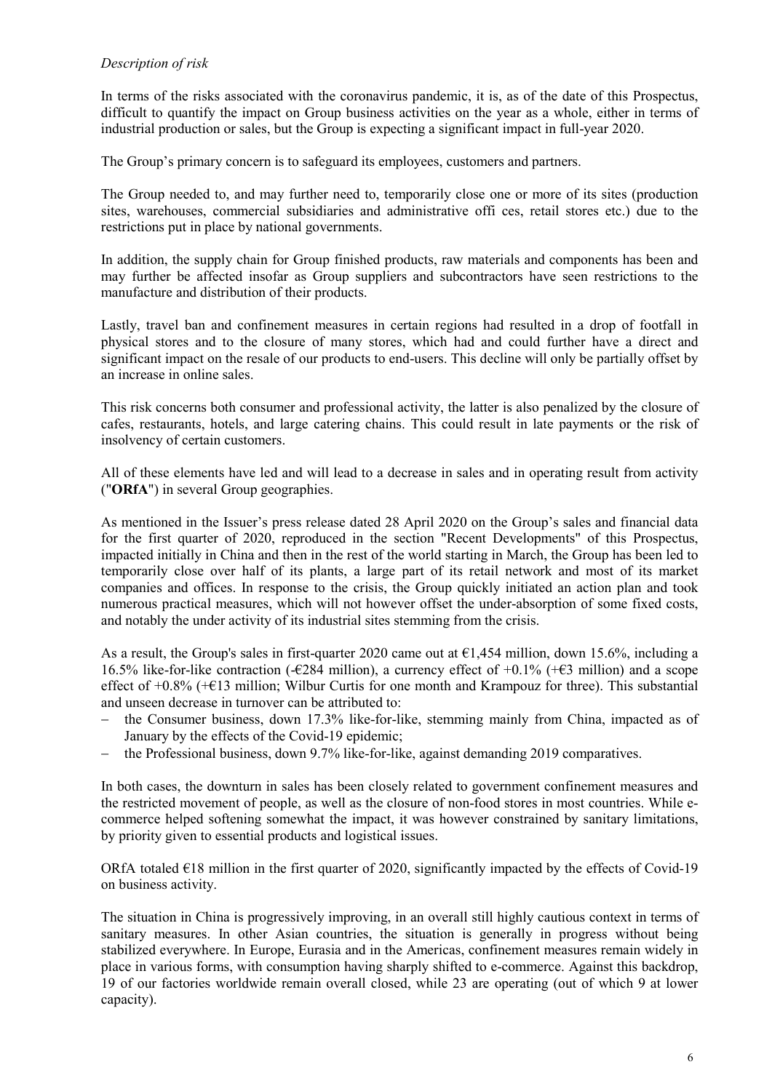### *Description of risk*

In terms of the risks associated with the coronavirus pandemic, it is, as of the date of this Prospectus, difficult to quantify the impact on Group business activities on the year as a whole, either in terms of industrial production or sales, but the Group is expecting a significant impact in full-year 2020.

The Group's primary concern is to safeguard its employees, customers and partners.

The Group needed to, and may further need to, temporarily close one or more of its sites (production sites, warehouses, commercial subsidiaries and administrative offi ces, retail stores etc.) due to the restrictions put in place by national governments.

In addition, the supply chain for Group finished products, raw materials and components has been and may further be affected insofar as Group suppliers and subcontractors have seen restrictions to the manufacture and distribution of their products.

Lastly, travel ban and confinement measures in certain regions had resulted in a drop of footfall in physical stores and to the closure of many stores, which had and could further have a direct and significant impact on the resale of our products to end-users. This decline will only be partially offset by an increase in online sales.

This risk concerns both consumer and professional activity, the latter is also penalized by the closure of cafes, restaurants, hotels, and large catering chains. This could result in late payments or the risk of insolvency of certain customers.

All of these elements have led and will lead to a decrease in sales and in operating result from activity ("**ORfA**") in several Group geographies.

As mentioned in the Issuer's press release dated 28 April 2020 on the Group's sales and financial data for the first quarter of 2020, reproduced in the section "Recent Developments" of this Prospectus, impacted initially in China and then in the rest of the world starting in March, the Group has been led to temporarily close over half of its plants, a large part of its retail network and most of its market companies and offices. In response to the crisis, the Group quickly initiated an action plan and took numerous practical measures, which will not however offset the under-absorption of some fixed costs, and notably the under activity of its industrial sites stemming from the crisis.

As a result, the Group's sales in first-quarter 2020 came out at  $\epsilon$ 1,454 million, down 15.6%, including a 16.5% like-for-like contraction (-€284 million), a currency effect of +0.1% (+€3 million) and a scope effect of  $+0.8\%$  ( $+E13$  million; Wilbur Curtis for one month and Krampouz for three). This substantial and unseen decrease in turnover can be attributed to:

- the Consumer business, down 17.3% like-for-like, stemming mainly from China, impacted as of January by the effects of the Covid-19 epidemic;
- the Professional business, down 9.7% like-for-like, against demanding 2019 comparatives.

In both cases, the downturn in sales has been closely related to government confinement measures and the restricted movement of people, as well as the closure of non-food stores in most countries. While ecommerce helped softening somewhat the impact, it was however constrained by sanitary limitations, by priority given to essential products and logistical issues.

ORfA totaled  $E18$  million in the first quarter of 2020, significantly impacted by the effects of Covid-19 on business activity.

The situation in China is progressively improving, in an overall still highly cautious context in terms of sanitary measures. In other Asian countries, the situation is generally in progress without being stabilized everywhere. In Europe, Eurasia and in the Americas, confinement measures remain widely in place in various forms, with consumption having sharply shifted to e-commerce. Against this backdrop, 19 of our factories worldwide remain overall closed, while 23 are operating (out of which 9 at lower capacity).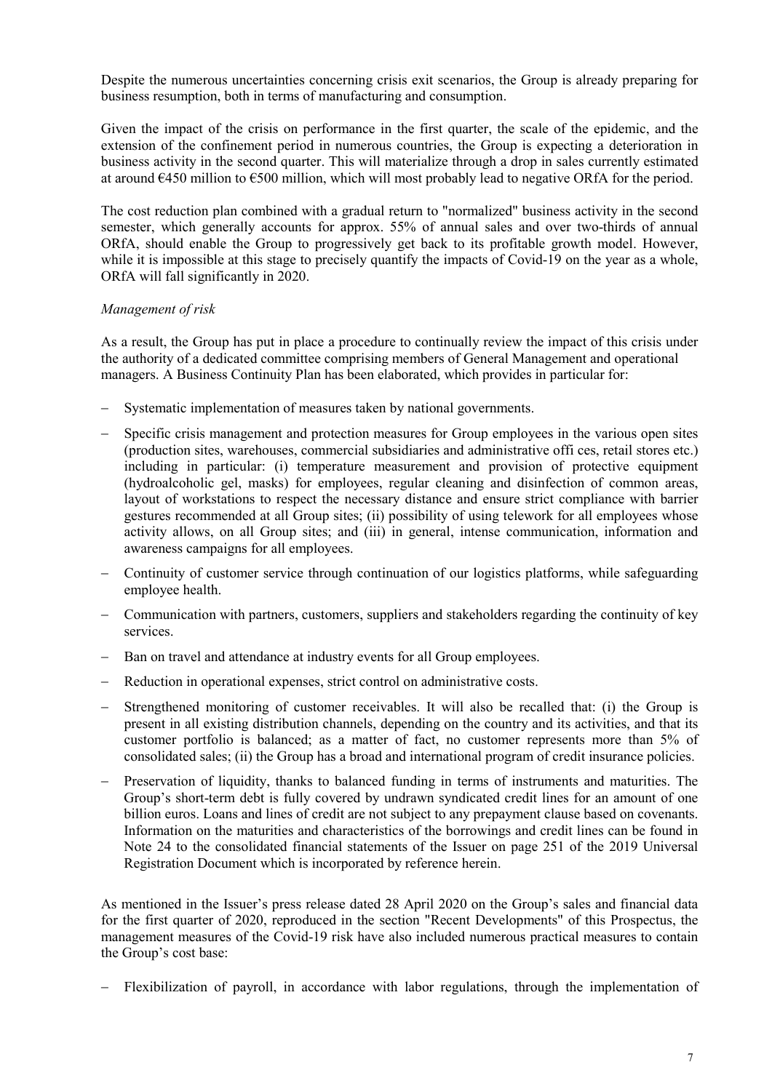Despite the numerous uncertainties concerning crisis exit scenarios, the Group is already preparing for business resumption, both in terms of manufacturing and consumption.

Given the impact of the crisis on performance in the first quarter, the scale of the epidemic, and the extension of the confinement period in numerous countries, the Group is expecting a deterioration in business activity in the second quarter. This will materialize through a drop in sales currently estimated at around €450 million to €500 million, which will most probably lead to negative ORfA for the period.

The cost reduction plan combined with a gradual return to "normalized" business activity in the second semester, which generally accounts for approx. 55% of annual sales and over two-thirds of annual ORfA, should enable the Group to progressively get back to its profitable growth model. However, while it is impossible at this stage to precisely quantify the impacts of Covid-19 on the year as a whole, ORfA will fall significantly in 2020.

### *Management of risk*

As a result, the Group has put in place a procedure to continually review the impact of this crisis under the authority of a dedicated committee comprising members of General Management and operational managers. A Business Continuity Plan has been elaborated, which provides in particular for:

- Systematic implementation of measures taken by national governments.
- Specific crisis management and protection measures for Group employees in the various open sites (production sites, warehouses, commercial subsidiaries and administrative offi ces, retail stores etc.) including in particular: (i) temperature measurement and provision of protective equipment (hydroalcoholic gel, masks) for employees, regular cleaning and disinfection of common areas, layout of workstations to respect the necessary distance and ensure strict compliance with barrier gestures recommended at all Group sites; (ii) possibility of using telework for all employees whose activity allows, on all Group sites; and (iii) in general, intense communication, information and awareness campaigns for all employees.
- − Continuity of customer service through continuation of our logistics platforms, while safeguarding employee health.
- − Communication with partners, customers, suppliers and stakeholders regarding the continuity of key services.
- Ban on travel and attendance at industry events for all Group employees.
- Reduction in operational expenses, strict control on administrative costs.
- − Strengthened monitoring of customer receivables. It will also be recalled that: (i) the Group is present in all existing distribution channels, depending on the country and its activities, and that its customer portfolio is balanced; as a matter of fact, no customer represents more than 5% of consolidated sales; (ii) the Group has a broad and international program of credit insurance policies.
- Preservation of liquidity, thanks to balanced funding in terms of instruments and maturities. The Group's short-term debt is fully covered by undrawn syndicated credit lines for an amount of one billion euros. Loans and lines of credit are not subject to any prepayment clause based on covenants. Information on the maturities and characteristics of the borrowings and credit lines can be found in Note 24 to the consolidated financial statements of the Issuer on page 251 of the 2019 Universal Registration Document which is incorporated by reference herein.

As mentioned in the Issuer's press release dated 28 April 2020 on the Group's sales and financial data for the first quarter of 2020, reproduced in the section "Recent Developments" of this Prospectus, the management measures of the Covid-19 risk have also included numerous practical measures to contain the Group's cost base:

Flexibilization of payroll, in accordance with labor regulations, through the implementation of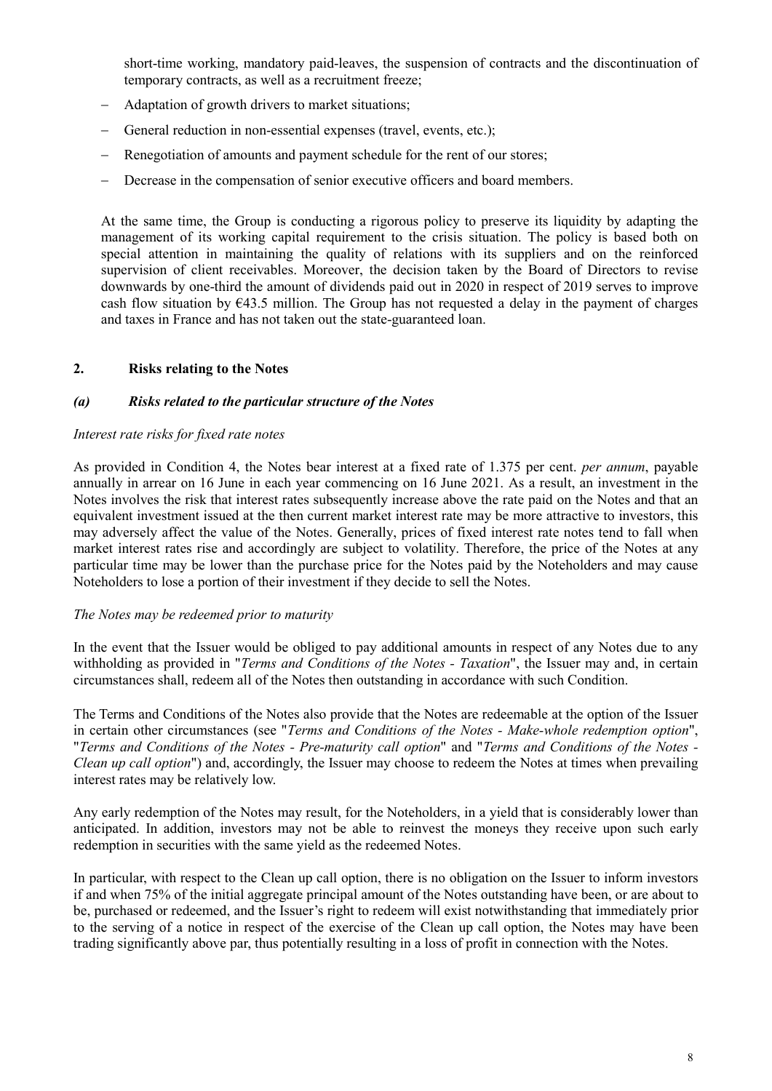short-time working, mandatory paid-leaves, the suspension of contracts and the discontinuation of temporary contracts, as well as a recruitment freeze;

- Adaptation of growth drivers to market situations;
- General reduction in non-essential expenses (travel, events, etc.);
- Renegotiation of amounts and payment schedule for the rent of our stores;
- Decrease in the compensation of senior executive officers and board members.

At the same time, the Group is conducting a rigorous policy to preserve its liquidity by adapting the management of its working capital requirement to the crisis situation. The policy is based both on special attention in maintaining the quality of relations with its suppliers and on the reinforced supervision of client receivables. Moreover, the decision taken by the Board of Directors to revise downwards by one-third the amount of dividends paid out in 2020 in respect of 2019 serves to improve cash flow situation by €43.5 million. The Group has not requested a delay in the payment of charges and taxes in France and has not taken out the state-guaranteed loan.

### **2. Risks relating to the Notes**

### *(a) Risks related to the particular structure of the Notes*

### *Interest rate risks for fixed rate notes*

As provided in Condition 4, the Notes bear interest at a fixed rate of 1.375 per cent. *per annum*, payable annually in arrear on 16 June in each year commencing on 16 June 2021. As a result, an investment in the Notes involves the risk that interest rates subsequently increase above the rate paid on the Notes and that an equivalent investment issued at the then current market interest rate may be more attractive to investors, this may adversely affect the value of the Notes. Generally, prices of fixed interest rate notes tend to fall when market interest rates rise and accordingly are subject to volatility. Therefore, the price of the Notes at any particular time may be lower than the purchase price for the Notes paid by the Noteholders and may cause Noteholders to lose a portion of their investment if they decide to sell the Notes.

### *The Notes may be redeemed prior to maturity*

In the event that the Issuer would be obliged to pay additional amounts in respect of any Notes due to any withholding as provided in "*Terms and Conditions of the Notes - Taxation*", the Issuer may and, in certain circumstances shall, redeem all of the Notes then outstanding in accordance with such Condition.

The Terms and Conditions of the Notes also provide that the Notes are redeemable at the option of the Issuer in certain other circumstances (see "*Terms and Conditions of the Notes - Make-whole redemption option*", "*Terms and Conditions of the Notes - Pre-maturity call option*" and "*Terms and Conditions of the Notes - Clean up call option*") and, accordingly, the Issuer may choose to redeem the Notes at times when prevailing interest rates may be relatively low.

Any early redemption of the Notes may result, for the Noteholders, in a yield that is considerably lower than anticipated. In addition, investors may not be able to reinvest the moneys they receive upon such early redemption in securities with the same yield as the redeemed Notes.

In particular, with respect to the Clean up call option, there is no obligation on the Issuer to inform investors if and when 75% of the initial aggregate principal amount of the Notes outstanding have been, or are about to be, purchased or redeemed, and the Issuer's right to redeem will exist notwithstanding that immediately prior to the serving of a notice in respect of the exercise of the Clean up call option, the Notes may have been trading significantly above par, thus potentially resulting in a loss of profit in connection with the Notes.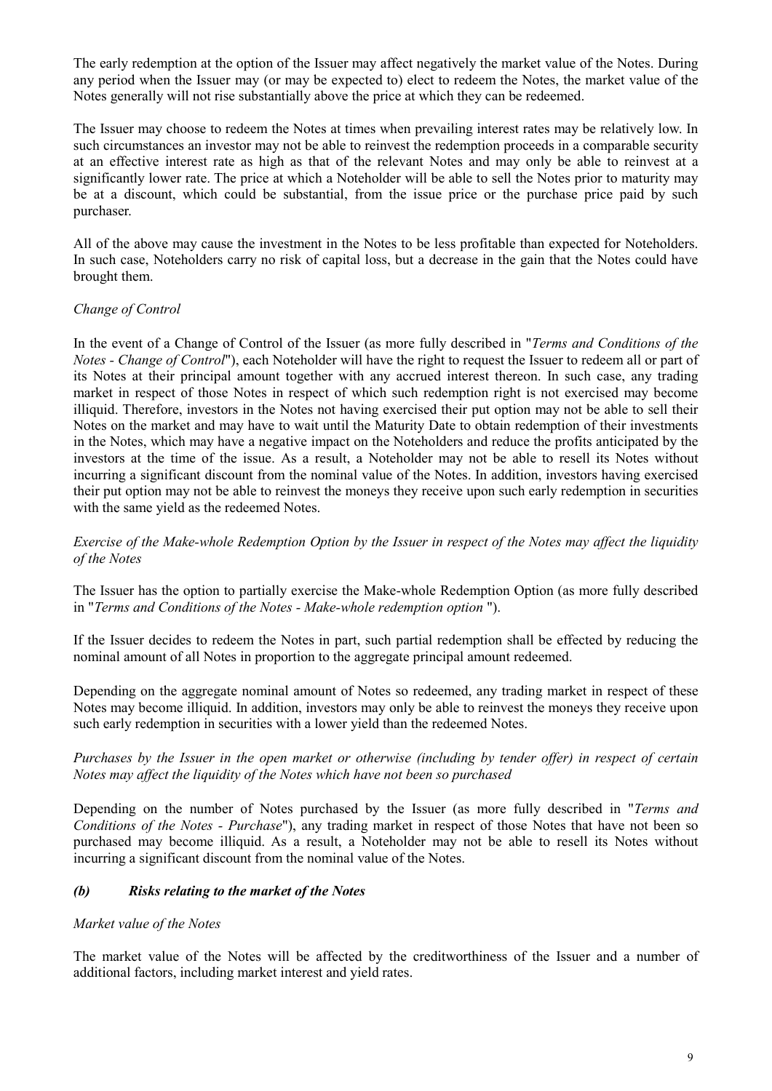The early redemption at the option of the Issuer may affect negatively the market value of the Notes. During any period when the Issuer may (or may be expected to) elect to redeem the Notes, the market value of the Notes generally will not rise substantially above the price at which they can be redeemed.

The Issuer may choose to redeem the Notes at times when prevailing interest rates may be relatively low. In such circumstances an investor may not be able to reinvest the redemption proceeds in a comparable security at an effective interest rate as high as that of the relevant Notes and may only be able to reinvest at a significantly lower rate. The price at which a Noteholder will be able to sell the Notes prior to maturity may be at a discount, which could be substantial, from the issue price or the purchase price paid by such purchaser.

All of the above may cause the investment in the Notes to be less profitable than expected for Noteholders. In such case, Noteholders carry no risk of capital loss, but a decrease in the gain that the Notes could have brought them.

## *Change of Control*

In the event of a Change of Control of the Issuer (as more fully described in "*Terms and Conditions of the Notes - Change of Control*"), each Noteholder will have the right to request the Issuer to redeem all or part of its Notes at their principal amount together with any accrued interest thereon. In such case, any trading market in respect of those Notes in respect of which such redemption right is not exercised may become illiquid. Therefore, investors in the Notes not having exercised their put option may not be able to sell their Notes on the market and may have to wait until the Maturity Date to obtain redemption of their investments in the Notes, which may have a negative impact on the Noteholders and reduce the profits anticipated by the investors at the time of the issue. As a result, a Noteholder may not be able to resell its Notes without incurring a significant discount from the nominal value of the Notes. In addition, investors having exercised their put option may not be able to reinvest the moneys they receive upon such early redemption in securities with the same yield as the redeemed Notes.

*Exercise of the Make-whole Redemption Option by the Issuer in respect of the Notes may affect the liquidity of the Notes*

The Issuer has the option to partially exercise the Make-whole Redemption Option (as more fully described in "*Terms and Conditions of the Notes - Make-whole redemption option* ").

If the Issuer decides to redeem the Notes in part, such partial redemption shall be effected by reducing the nominal amount of all Notes in proportion to the aggregate principal amount redeemed.

Depending on the aggregate nominal amount of Notes so redeemed, any trading market in respect of these Notes may become illiquid. In addition, investors may only be able to reinvest the moneys they receive upon such early redemption in securities with a lower yield than the redeemed Notes.

*Purchases by the Issuer in the open market or otherwise (including by tender offer) in respect of certain Notes may affect the liquidity of the Notes which have not been so purchased* 

Depending on the number of Notes purchased by the Issuer (as more fully described in "*Terms and Conditions of the Notes - Purchase*"), any trading market in respect of those Notes that have not been so purchased may become illiquid. As a result, a Noteholder may not be able to resell its Notes without incurring a significant discount from the nominal value of the Notes.

### *(b) Risks relating to the market of the Notes*

### *Market value of the Notes*

The market value of the Notes will be affected by the creditworthiness of the Issuer and a number of additional factors, including market interest and yield rates.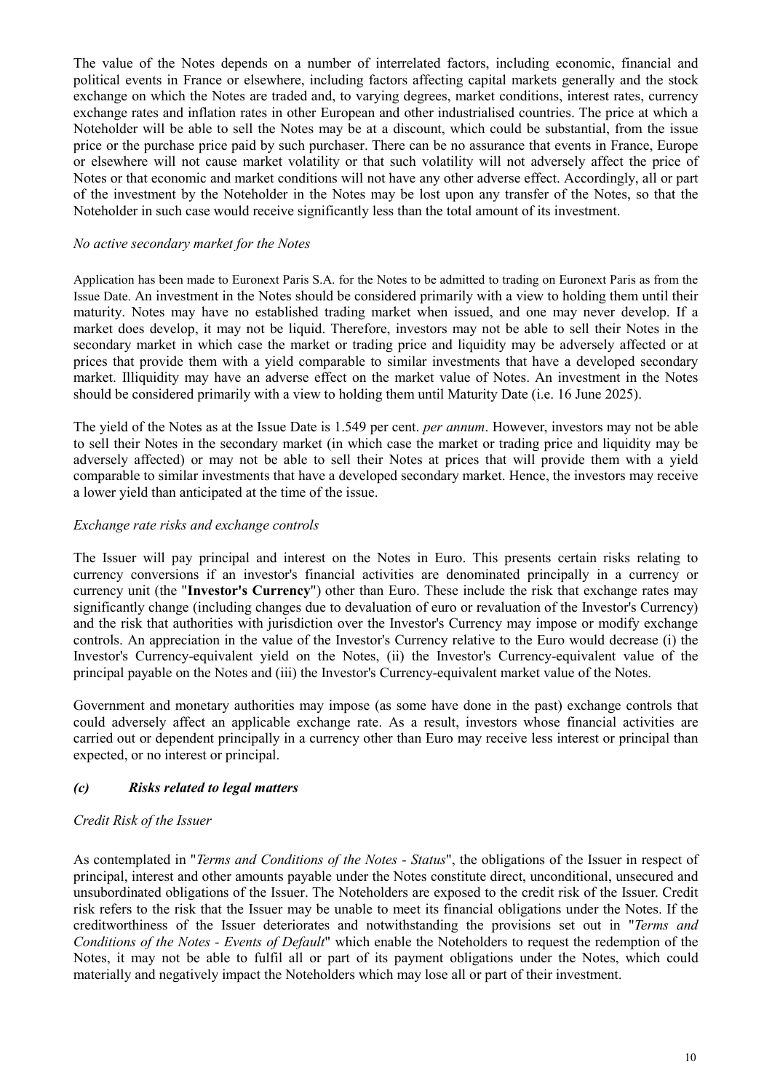The value of the Notes depends on a number of interrelated factors, including economic, financial and political events in France or elsewhere, including factors affecting capital markets generally and the stock exchange on which the Notes are traded and, to varying degrees, market conditions, interest rates, currency exchange rates and inflation rates in other European and other industrialised countries. The price at which a Noteholder will be able to sell the Notes may be at a discount, which could be substantial, from the issue price or the purchase price paid by such purchaser. There can be no assurance that events in France, Europe or elsewhere will not cause market volatility or that such volatility will not adversely affect the price of Notes or that economic and market conditions will not have any other adverse effect. Accordingly, all or part of the investment by the Noteholder in the Notes may be lost upon any transfer of the Notes, so that the Noteholder in such case would receive significantly less than the total amount of its investment.

### *No active secondary market for the Notes*

Application has been made to Euronext Paris S.A. for the Notes to be admitted to trading on Euronext Paris as from the Issue Date. An investment in the Notes should be considered primarily with a view to holding them until their maturity. Notes may have no established trading market when issued, and one may never develop. If a market does develop, it may not be liquid. Therefore, investors may not be able to sell their Notes in the secondary market in which case the market or trading price and liquidity may be adversely affected or at prices that provide them with a yield comparable to similar investments that have a developed secondary market. Illiquidity may have an adverse effect on the market value of Notes. An investment in the Notes should be considered primarily with a view to holding them until Maturity Date (i.e. 16 June 2025).

The yield of the Notes as at the Issue Date is 1.549 per cent. *per annum*. However, investors may not be able to sell their Notes in the secondary market (in which case the market or trading price and liquidity may be adversely affected) or may not be able to sell their Notes at prices that will provide them with a yield comparable to similar investments that have a developed secondary market. Hence, the investors may receive a lower yield than anticipated at the time of the issue.

## *Exchange rate risks and exchange controls*

The Issuer will pay principal and interest on the Notes in Euro. This presents certain risks relating to currency conversions if an investor's financial activities are denominated principally in a currency or currency unit (the "**Investor's Currency**") other than Euro. These include the risk that exchange rates may significantly change (including changes due to devaluation of euro or revaluation of the Investor's Currency) and the risk that authorities with jurisdiction over the Investor's Currency may impose or modify exchange controls. An appreciation in the value of the Investor's Currency relative to the Euro would decrease (i) the Investor's Currency-equivalent yield on the Notes, (ii) the Investor's Currency-equivalent value of the principal payable on the Notes and (iii) the Investor's Currency-equivalent market value of the Notes.

Government and monetary authorities may impose (as some have done in the past) exchange controls that could adversely affect an applicable exchange rate. As a result, investors whose financial activities are carried out or dependent principally in a currency other than Euro may receive less interest or principal than expected, or no interest or principal.

## *(c) Risks related to legal matters*

## *Credit Risk of the Issuer*

As contemplated in "*Terms and Conditions of the Notes - Status*", the obligations of the Issuer in respect of principal, interest and other amounts payable under the Notes constitute direct, unconditional, unsecured and unsubordinated obligations of the Issuer. The Noteholders are exposed to the credit risk of the Issuer. Credit risk refers to the risk that the Issuer may be unable to meet its financial obligations under the Notes. If the creditworthiness of the Issuer deteriorates and notwithstanding the provisions set out in "*Terms and Conditions of the Notes - Events of Default*" which enable the Noteholders to request the redemption of the Notes, it may not be able to fulfil all or part of its payment obligations under the Notes, which could materially and negatively impact the Noteholders which may lose all or part of their investment.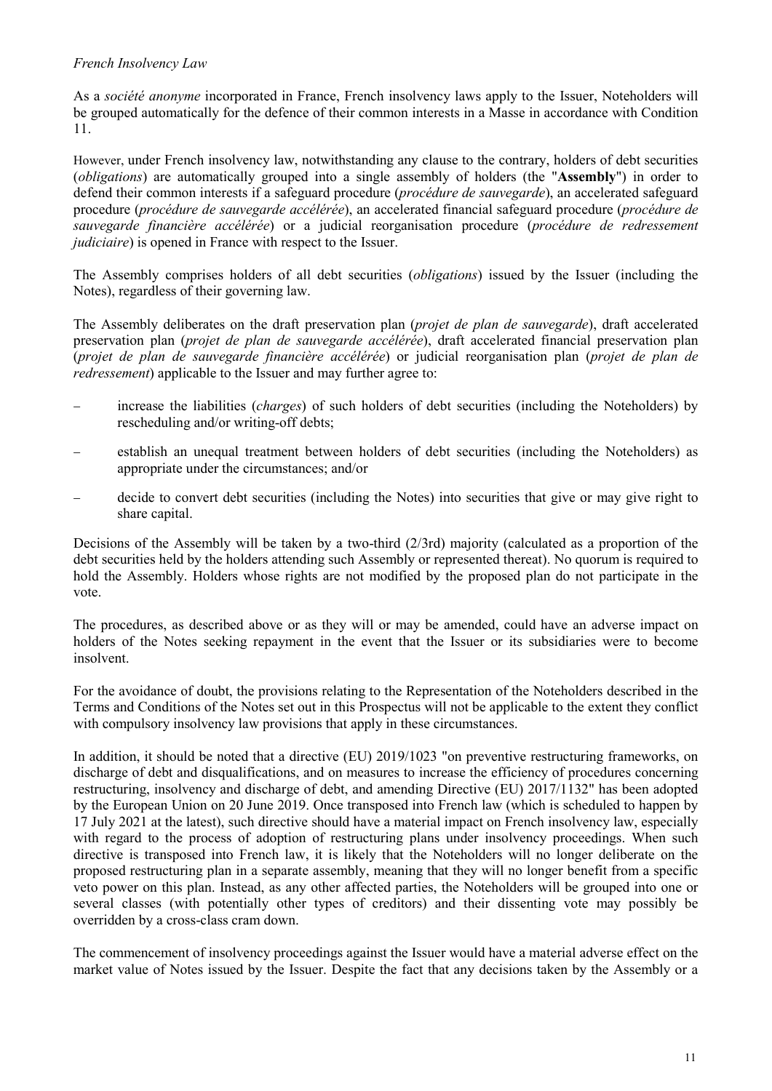## *French Insolvency Law*

As a *société anonyme* incorporated in France, French insolvency laws apply to the Issuer, Noteholders will be grouped automatically for the defence of their common interests in a Masse in accordance with Condition 11.

However, under French insolvency law, notwithstanding any clause to the contrary, holders of debt securities (*obligations*) are automatically grouped into a single assembly of holders (the "**Assembly**") in order to defend their common interests if a safeguard procedure (*procédure de sauvegarde*), an accelerated safeguard procedure (*procédure de sauvegarde accélérée*), an accelerated financial safeguard procedure (*procédure de sauvegarde financière accélérée*) or a judicial reorganisation procedure (*procédure de redressement judiciaire*) is opened in France with respect to the Issuer.

The Assembly comprises holders of all debt securities (*obligations*) issued by the Issuer (including the Notes), regardless of their governing law.

The Assembly deliberates on the draft preservation plan (*projet de plan de sauvegarde*), draft accelerated preservation plan (*projet de plan de sauvegarde accélérée*), draft accelerated financial preservation plan (*projet de plan de sauvegarde financière accélérée*) or judicial reorganisation plan (*projet de plan de redressement*) applicable to the Issuer and may further agree to:

- − increase the liabilities (*charges*) of such holders of debt securities (including the Noteholders) by rescheduling and/or writing-off debts;
- establish an unequal treatment between holders of debt securities (including the Noteholders) as appropriate under the circumstances; and/or
- decide to convert debt securities (including the Notes) into securities that give or may give right to share capital.

Decisions of the Assembly will be taken by a two-third (2/3rd) majority (calculated as a proportion of the debt securities held by the holders attending such Assembly or represented thereat). No quorum is required to hold the Assembly. Holders whose rights are not modified by the proposed plan do not participate in the vote.

The procedures, as described above or as they will or may be amended, could have an adverse impact on holders of the Notes seeking repayment in the event that the Issuer or its subsidiaries were to become insolvent.

For the avoidance of doubt, the provisions relating to the Representation of the Noteholders described in the Terms and Conditions of the Notes set out in this Prospectus will not be applicable to the extent they conflict with compulsory insolvency law provisions that apply in these circumstances.

In addition, it should be noted that a directive (EU) 2019/1023 "on preventive restructuring frameworks, on discharge of debt and disqualifications, and on measures to increase the efficiency of procedures concerning restructuring, insolvency and discharge of debt, and amending Directive (EU) 2017/1132" has been adopted by the European Union on 20 June 2019. Once transposed into French law (which is scheduled to happen by 17 July 2021 at the latest), such directive should have a material impact on French insolvency law, especially with regard to the process of adoption of restructuring plans under insolvency proceedings. When such directive is transposed into French law, it is likely that the Noteholders will no longer deliberate on the proposed restructuring plan in a separate assembly, meaning that they will no longer benefit from a specific veto power on this plan. Instead, as any other affected parties, the Noteholders will be grouped into one or several classes (with potentially other types of creditors) and their dissenting vote may possibly be overridden by a cross-class cram down.

The commencement of insolvency proceedings against the Issuer would have a material adverse effect on the market value of Notes issued by the Issuer. Despite the fact that any decisions taken by the Assembly or a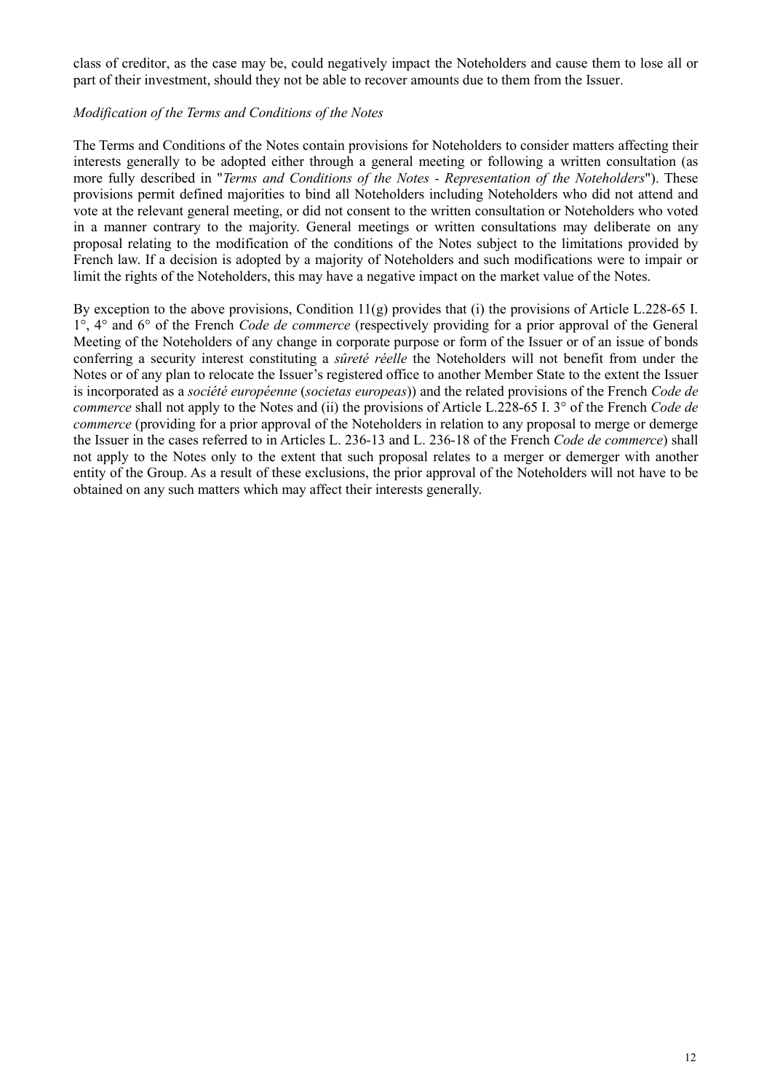class of creditor, as the case may be, could negatively impact the Noteholders and cause them to lose all or part of their investment, should they not be able to recover amounts due to them from the Issuer.

### *Modification of the Terms and Conditions of the Notes*

The Terms and Conditions of the Notes contain provisions for Noteholders to consider matters affecting their interests generally to be adopted either through a general meeting or following a written consultation (as more fully described in "*Terms and Conditions of the Notes - Representation of the Noteholders*"). These provisions permit defined majorities to bind all Noteholders including Noteholders who did not attend and vote at the relevant general meeting, or did not consent to the written consultation or Noteholders who voted in a manner contrary to the majority. General meetings or written consultations may deliberate on any proposal relating to the modification of the conditions of the Notes subject to the limitations provided by French law. If a decision is adopted by a majority of Noteholders and such modifications were to impair or limit the rights of the Noteholders, this may have a negative impact on the market value of the Notes.

By exception to the above provisions, Condition 11(g) provides that (i) the provisions of Article L.228-65 I. 1°, 4° and 6° of the French *Code de commerce* (respectively providing for a prior approval of the General Meeting of the Noteholders of any change in corporate purpose or form of the Issuer or of an issue of bonds conferring a security interest constituting a *sûreté réelle* the Noteholders will not benefit from under the Notes or of any plan to relocate the Issuer's registered office to another Member State to the extent the Issuer is incorporated as a *société européenne* (*societas europeas*)) and the related provisions of the French *Code de commerce* shall not apply to the Notes and (ii) the provisions of Article L.228-65 I. 3° of the French *Code de commerce* (providing for a prior approval of the Noteholders in relation to any proposal to merge or demerge the Issuer in the cases referred to in Articles L. 236-13 and L. 236-18 of the French *Code de commerce*) shall not apply to the Notes only to the extent that such proposal relates to a merger or demerger with another entity of the Group. As a result of these exclusions, the prior approval of the Noteholders will not have to be obtained on any such matters which may affect their interests generally.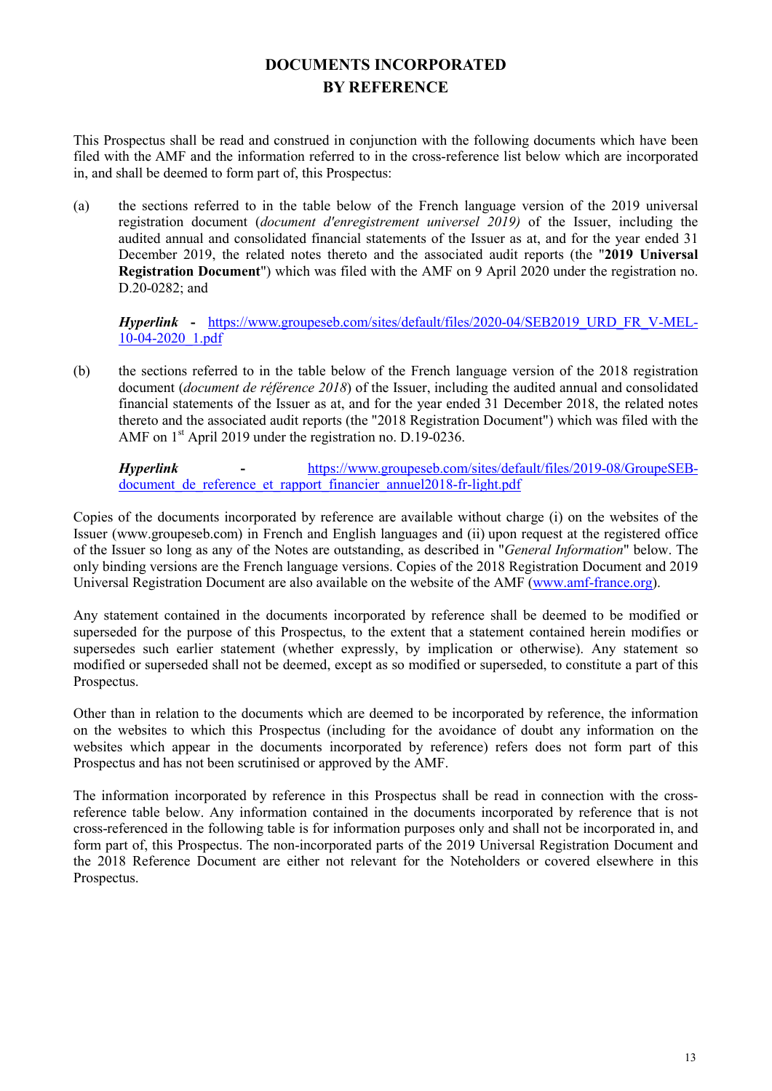# **DOCUMENTS INCORPORATED BY REFERENCE**

<span id="page-12-0"></span>This Prospectus shall be read and construed in conjunction with the following documents which have been filed with the AMF and the information referred to in the cross-reference list below which are incorporated in, and shall be deemed to form part of, this Prospectus:

(a) the sections referred to in the table below of the French language version of the 2019 universal registration document (*document d'enregistrement universel 2019)* of the Issuer, including the audited annual and consolidated financial statements of the Issuer as at, and for the year ended 31 December 2019, the related notes thereto and the associated audit reports (the "**2019 Universal Registration Document**") which was filed with the AMF on 9 April 2020 under the registration no. D.20-0282; and

*Hyperlink* **-** [https://www.groupeseb.com/sites/default/files/2020-04/SEB2019\\_URD\\_FR\\_V-MEL-](https://www.groupeseb.com/sites/default/files/2020-04/SEB2019_URD_FR_V-MEL-10-04-2020_1.pdf)[10-04-2020\\_1.pdf](https://www.groupeseb.com/sites/default/files/2020-04/SEB2019_URD_FR_V-MEL-10-04-2020_1.pdf)

(b) the sections referred to in the table below of the French language version of the 2018 registration document (*document de référence 2018*) of the Issuer, including the audited annual and consolidated financial statements of the Issuer as at, and for the year ended 31 December 2018, the related notes thereto and the associated audit reports (the "2018 Registration Document") which was filed with the AMF on 1<sup>st</sup> April 2019 under the registration no. D.19-0236.

*Hyperlink* **-** [https://www.groupeseb.com/sites/default/files/2019-08/GroupeSEB](https://www.groupeseb.com/sites/default/files/2019-08/GroupeSEB-document_de_reference_et_rapport_financier_annuel2018-fr-light.pdf)document de reference et rapport financier annuel2018-fr-light.pdf

Copies of the documents incorporated by reference are available without charge (i) on the websites of the Issuer (www.groupeseb.com) in French and English languages and (ii) upon request at the registered office of the Issuer so long as any of the Notes are outstanding, as described in "*General Information*" below. The only binding versions are the French language versions. Copies of the 2018 Registration Document and 2019 Universal Registration Document are also available on the website of the AMF [\(www.amf-france.org\)](http://www.amf-france.org/).

Any statement contained in the documents incorporated by reference shall be deemed to be modified or superseded for the purpose of this Prospectus, to the extent that a statement contained herein modifies or supersedes such earlier statement (whether expressly, by implication or otherwise). Any statement so modified or superseded shall not be deemed, except as so modified or superseded, to constitute a part of this Prospectus.

Other than in relation to the documents which are deemed to be incorporated by reference, the information on the websites to which this Prospectus (including for the avoidance of doubt any information on the websites which appear in the documents incorporated by reference) refers does not form part of this Prospectus and has not been scrutinised or approved by the AMF.

The information incorporated by reference in this Prospectus shall be read in connection with the crossreference table below. Any information contained in the documents incorporated by reference that is not cross-referenced in the following table is for information purposes only and shall not be incorporated in, and form part of, this Prospectus. The non-incorporated parts of the 2019 Universal Registration Document and the 2018 Reference Document are either not relevant for the Noteholders or covered elsewhere in this Prospectus.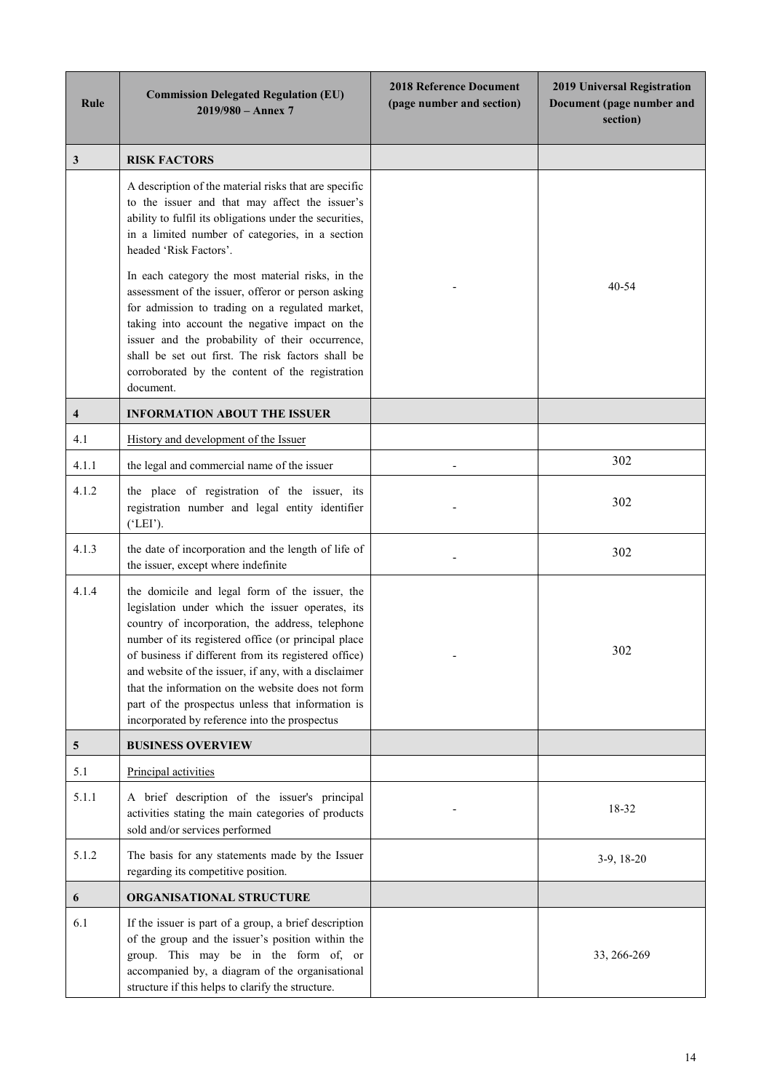| Rule                    | <b>Commission Delegated Regulation (EU)</b><br>$2019/980 -$ Annex 7                                                                                                                                                                                                                                                                                                                                                                                                                      | <b>2018 Reference Document</b><br>(page number and section) | 2019 Universal Registration<br>Document (page number and<br>section) |
|-------------------------|------------------------------------------------------------------------------------------------------------------------------------------------------------------------------------------------------------------------------------------------------------------------------------------------------------------------------------------------------------------------------------------------------------------------------------------------------------------------------------------|-------------------------------------------------------------|----------------------------------------------------------------------|
| 3                       | <b>RISK FACTORS</b>                                                                                                                                                                                                                                                                                                                                                                                                                                                                      |                                                             |                                                                      |
|                         | A description of the material risks that are specific<br>to the issuer and that may affect the issuer's<br>ability to fulfil its obligations under the securities,<br>in a limited number of categories, in a section<br>headed 'Risk Factors'.                                                                                                                                                                                                                                          |                                                             |                                                                      |
|                         | In each category the most material risks, in the<br>assessment of the issuer, offeror or person asking<br>for admission to trading on a regulated market,<br>taking into account the negative impact on the<br>issuer and the probability of their occurrence,<br>shall be set out first. The risk factors shall be<br>corroborated by the content of the registration<br>document.                                                                                                      |                                                             | $40 - 54$                                                            |
| $\overline{\mathbf{4}}$ | <b>INFORMATION ABOUT THE ISSUER</b>                                                                                                                                                                                                                                                                                                                                                                                                                                                      |                                                             |                                                                      |
| 4.1                     | History and development of the Issuer                                                                                                                                                                                                                                                                                                                                                                                                                                                    |                                                             |                                                                      |
| 4.1.1                   | the legal and commercial name of the issuer                                                                                                                                                                                                                                                                                                                                                                                                                                              |                                                             | 302                                                                  |
| 4.1.2                   | the place of registration of the issuer, its<br>registration number and legal entity identifier<br>( 'LEI').                                                                                                                                                                                                                                                                                                                                                                             |                                                             | 302                                                                  |
| 4.1.3                   | the date of incorporation and the length of life of<br>the issuer, except where indefinite                                                                                                                                                                                                                                                                                                                                                                                               |                                                             | 302                                                                  |
| 4.1.4                   | the domicile and legal form of the issuer, the<br>legislation under which the issuer operates, its<br>country of incorporation, the address, telephone<br>number of its registered office (or principal place<br>of business if different from its registered office)<br>and website of the issuer, if any, with a disclaimer<br>that the information on the website does not form<br>part of the prospectus unless that information is<br>incorporated by reference into the prospectus |                                                             | 302                                                                  |
| $5\phantom{.0}$         | <b>BUSINESS OVERVIEW</b>                                                                                                                                                                                                                                                                                                                                                                                                                                                                 |                                                             |                                                                      |
| 5.1                     | Principal activities                                                                                                                                                                                                                                                                                                                                                                                                                                                                     |                                                             |                                                                      |
| 5.1.1                   | A brief description of the issuer's principal<br>activities stating the main categories of products<br>sold and/or services performed                                                                                                                                                                                                                                                                                                                                                    |                                                             | 18-32                                                                |
| 5.1.2                   | The basis for any statements made by the Issuer<br>regarding its competitive position.                                                                                                                                                                                                                                                                                                                                                                                                   |                                                             | $3-9, 18-20$                                                         |
| 6                       | <b>ORGANISATIONAL STRUCTURE</b>                                                                                                                                                                                                                                                                                                                                                                                                                                                          |                                                             |                                                                      |
| 6.1                     | If the issuer is part of a group, a brief description<br>of the group and the issuer's position within the<br>group. This may be in the form of, or<br>accompanied by, a diagram of the organisational<br>structure if this helps to clarify the structure.                                                                                                                                                                                                                              |                                                             | 33, 266-269                                                          |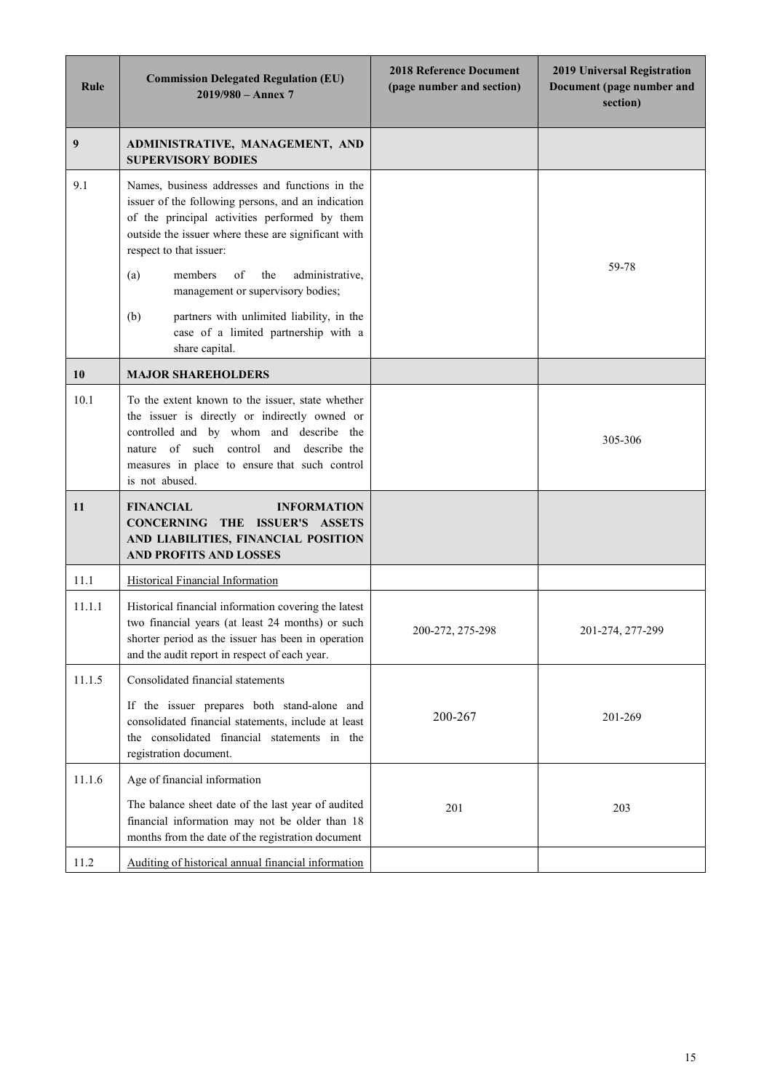| Rule   | <b>Commission Delegated Regulation (EU)</b><br>$2019/980 -$ Annex 7                                                                                                                                                                                              | <b>2018 Reference Document</b><br>(page number and section) | 2019 Universal Registration<br>Document (page number and<br>section) |
|--------|------------------------------------------------------------------------------------------------------------------------------------------------------------------------------------------------------------------------------------------------------------------|-------------------------------------------------------------|----------------------------------------------------------------------|
| 9      | ADMINISTRATIVE, MANAGEMENT, AND<br><b>SUPERVISORY BODIES</b>                                                                                                                                                                                                     |                                                             |                                                                      |
| 9.1    | Names, business addresses and functions in the<br>issuer of the following persons, and an indication<br>of the principal activities performed by them<br>outside the issuer where these are significant with<br>respect to that issuer:                          |                                                             |                                                                      |
|        | administrative,<br>(a)<br>members<br>of<br>the<br>management or supervisory bodies;                                                                                                                                                                              |                                                             | 59-78                                                                |
|        | (b)<br>partners with unlimited liability, in the<br>case of a limited partnership with a<br>share capital.                                                                                                                                                       |                                                             |                                                                      |
| 10     | <b>MAJOR SHAREHOLDERS</b>                                                                                                                                                                                                                                        |                                                             |                                                                      |
| 10.1   | To the extent known to the issuer, state whether<br>the issuer is directly or indirectly owned or<br>controlled and by whom and describe the<br>nature of such control<br>and<br>describe the<br>measures in place to ensure that such control<br>is not abused. |                                                             | 305-306                                                              |
| 11     | <b>FINANCIAL</b><br><b>INFORMATION</b><br>CONCERNING THE ISSUER'S ASSETS<br>AND LIABILITIES, FINANCIAL POSITION<br><b>AND PROFITS AND LOSSES</b>                                                                                                                 |                                                             |                                                                      |
| 11.1   | <b>Historical Financial Information</b>                                                                                                                                                                                                                          |                                                             |                                                                      |
| 11.1.1 | Historical financial information covering the latest<br>two financial years (at least 24 months) or such<br>shorter period as the issuer has been in operation<br>and the audit report in respect of each year.                                                  | 200-272, 275-298                                            | 201-274, 277-299                                                     |
| 11.1.5 | Consolidated financial statements                                                                                                                                                                                                                                |                                                             |                                                                      |
|        | If the issuer prepares both stand-alone and<br>consolidated financial statements, include at least<br>the consolidated financial statements in the<br>registration document.                                                                                     | 200-267                                                     | 201-269                                                              |
| 11.1.6 | Age of financial information                                                                                                                                                                                                                                     |                                                             |                                                                      |
|        | The balance sheet date of the last year of audited<br>financial information may not be older than 18<br>months from the date of the registration document                                                                                                        | 201                                                         | 203                                                                  |
| 11.2   | Auditing of historical annual financial information                                                                                                                                                                                                              |                                                             |                                                                      |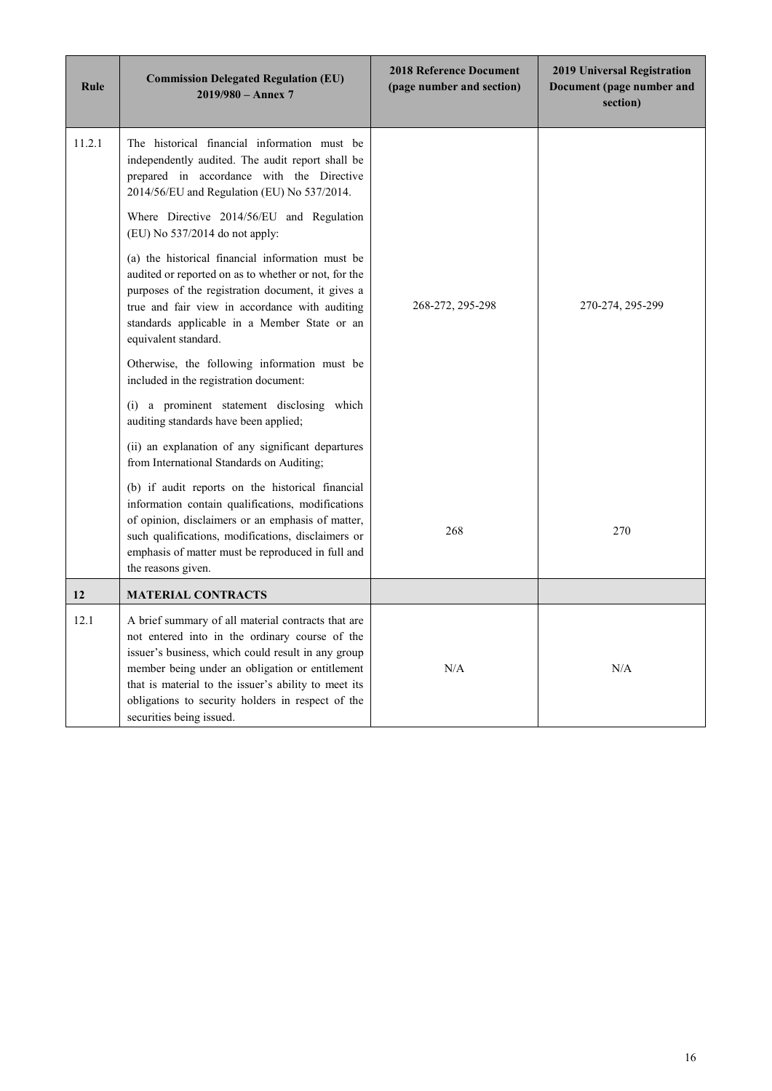| Rule   | <b>Commission Delegated Regulation (EU)</b><br>$2019/980 -$ Annex 7                                                                                                                                                                                                                                                                                                                                                                                                                                                                                                                                                                                                                                                                                                                                                                                       | <b>2018 Reference Document</b><br>(page number and section) | <b>2019 Universal Registration</b><br>Document (page number and<br>section) |
|--------|-----------------------------------------------------------------------------------------------------------------------------------------------------------------------------------------------------------------------------------------------------------------------------------------------------------------------------------------------------------------------------------------------------------------------------------------------------------------------------------------------------------------------------------------------------------------------------------------------------------------------------------------------------------------------------------------------------------------------------------------------------------------------------------------------------------------------------------------------------------|-------------------------------------------------------------|-----------------------------------------------------------------------------|
| 11.2.1 | The historical financial information must be<br>independently audited. The audit report shall be<br>prepared in accordance with the Directive<br>2014/56/EU and Regulation (EU) No 537/2014.<br>Where Directive 2014/56/EU and Regulation<br>(EU) No 537/2014 do not apply:<br>(a) the historical financial information must be<br>audited or reported on as to whether or not, for the<br>purposes of the registration document, it gives a<br>true and fair view in accordance with auditing<br>standards applicable in a Member State or an<br>equivalent standard.<br>Otherwise, the following information must be<br>included in the registration document:<br>(i) a prominent statement disclosing which<br>auditing standards have been applied;<br>(ii) an explanation of any significant departures<br>from International Standards on Auditing; | 268-272, 295-298                                            | 270-274, 295-299                                                            |
|        | (b) if audit reports on the historical financial<br>information contain qualifications, modifications<br>of opinion, disclaimers or an emphasis of matter,<br>such qualifications, modifications, disclaimers or<br>emphasis of matter must be reproduced in full and<br>the reasons given.                                                                                                                                                                                                                                                                                                                                                                                                                                                                                                                                                               | 268                                                         | 270                                                                         |
| 12     | <b>MATERIAL CONTRACTS</b>                                                                                                                                                                                                                                                                                                                                                                                                                                                                                                                                                                                                                                                                                                                                                                                                                                 |                                                             |                                                                             |
| 12.1   | A brief summary of all material contracts that are<br>not entered into in the ordinary course of the<br>issuer's business, which could result in any group<br>member being under an obligation or entitlement<br>that is material to the issuer's ability to meet its<br>obligations to security holders in respect of the<br>securities being issued.                                                                                                                                                                                                                                                                                                                                                                                                                                                                                                    | N/A                                                         | N/A                                                                         |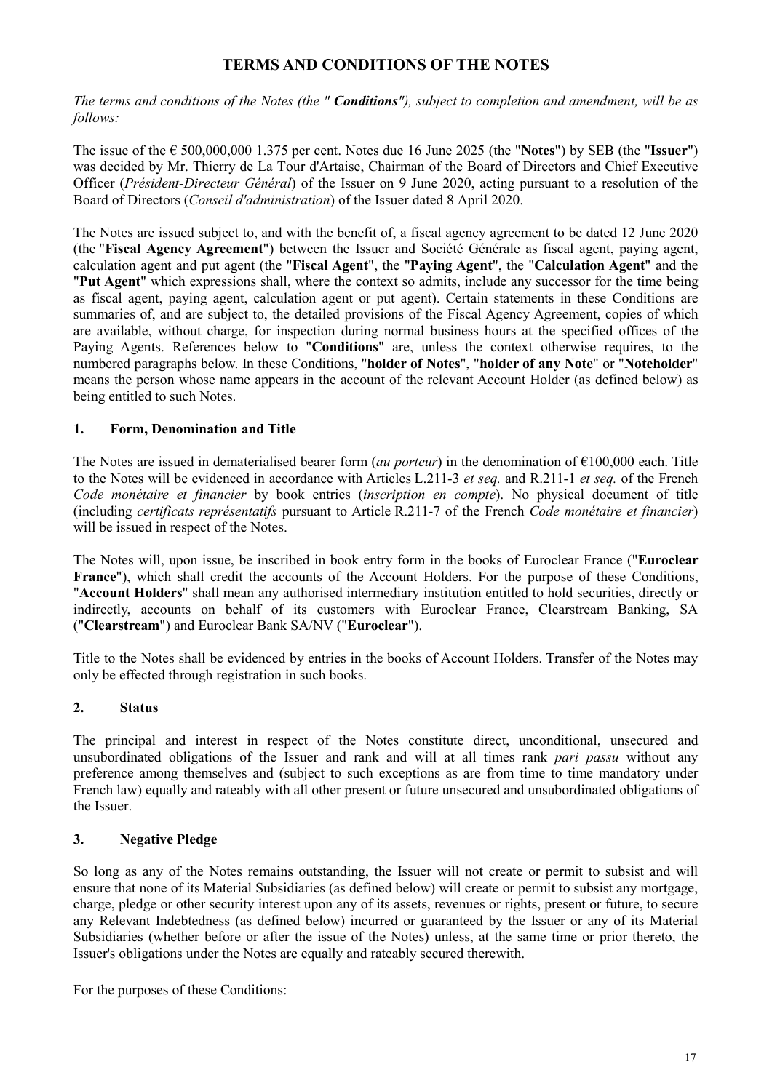## **TERMS AND CONDITIONS OF THE NOTES**

<span id="page-16-0"></span>*The terms and conditions of the Notes (the " Conditions"), subject to completion and amendment, will be as follows:*

The issue of the € 500,000,000 1.375 per cent. Notes due 16 June 2025 (the "**Notes**") by SEB (the "**Issuer**") was decided by Mr. Thierry de La Tour d'Artaise, Chairman of the Board of Directors and Chief Executive Officer (*Président-Directeur Général*) of the Issuer on 9 June 2020, acting pursuant to a resolution of the Board of Directors (*Conseil d'administration*) of the Issuer dated 8 April 2020.

The Notes are issued subject to, and with the benefit of, a fiscal agency agreement to be dated 12 June 2020 (the "**Fiscal Agency Agreement**") between the Issuer and Société Générale as fiscal agent, paying agent, calculation agent and put agent (the "**Fiscal Agent**", the "**Paying Agent**", the "**Calculation Agent**" and the "**Put Agent**" which expressions shall, where the context so admits, include any successor for the time being as fiscal agent, paying agent, calculation agent or put agent). Certain statements in these Conditions are summaries of, and are subject to, the detailed provisions of the Fiscal Agency Agreement, copies of which are available, without charge, for inspection during normal business hours at the specified offices of the Paying Agents. References below to "**Conditions**" are, unless the context otherwise requires, to the numbered paragraphs below. In these Conditions, "**holder of Notes**", "**holder of any Note**" or "**Noteholder**" means the person whose name appears in the account of the relevant Account Holder (as defined below) as being entitled to such Notes.

## **1. Form, Denomination and Title**

The Notes are issued in dematerialised bearer form (*au porteur*) in the denomination of €100,000 each. Title to the Notes will be evidenced in accordance with Articles L.211-3 *et seq.* and R.211-1 *et seq.* of the French *Code monétaire et financier* by book entries (*inscription en compte*). No physical document of title (including *certificats représentatifs* pursuant to Article R.211-7 of the French *Code monétaire et financier*) will be issued in respect of the Notes.

The Notes will, upon issue, be inscribed in book entry form in the books of Euroclear France ("**Euroclear France**"), which shall credit the accounts of the Account Holders. For the purpose of these Conditions, "**Account Holders**" shall mean any authorised intermediary institution entitled to hold securities, directly or indirectly, accounts on behalf of its customers with Euroclear France, Clearstream Banking, SA ("**Clearstream**") and Euroclear Bank SA/NV ("**Euroclear**").

Title to the Notes shall be evidenced by entries in the books of Account Holders. Transfer of the Notes may only be effected through registration in such books.

## **2. Status**

The principal and interest in respect of the Notes constitute direct, unconditional, unsecured and unsubordinated obligations of the Issuer and rank and will at all times rank *pari passu* without any preference among themselves and (subject to such exceptions as are from time to time mandatory under French law) equally and rateably with all other present or future unsecured and unsubordinated obligations of the Issuer.

## **3. Negative Pledge**

So long as any of the Notes remains outstanding, the Issuer will not create or permit to subsist and will ensure that none of its Material Subsidiaries (as defined below) will create or permit to subsist any mortgage, charge, pledge or other security interest upon any of its assets, revenues or rights, present or future, to secure any Relevant Indebtedness (as defined below) incurred or guaranteed by the Issuer or any of its Material Subsidiaries (whether before or after the issue of the Notes) unless, at the same time or prior thereto, the Issuer's obligations under the Notes are equally and rateably secured therewith.

For the purposes of these Conditions: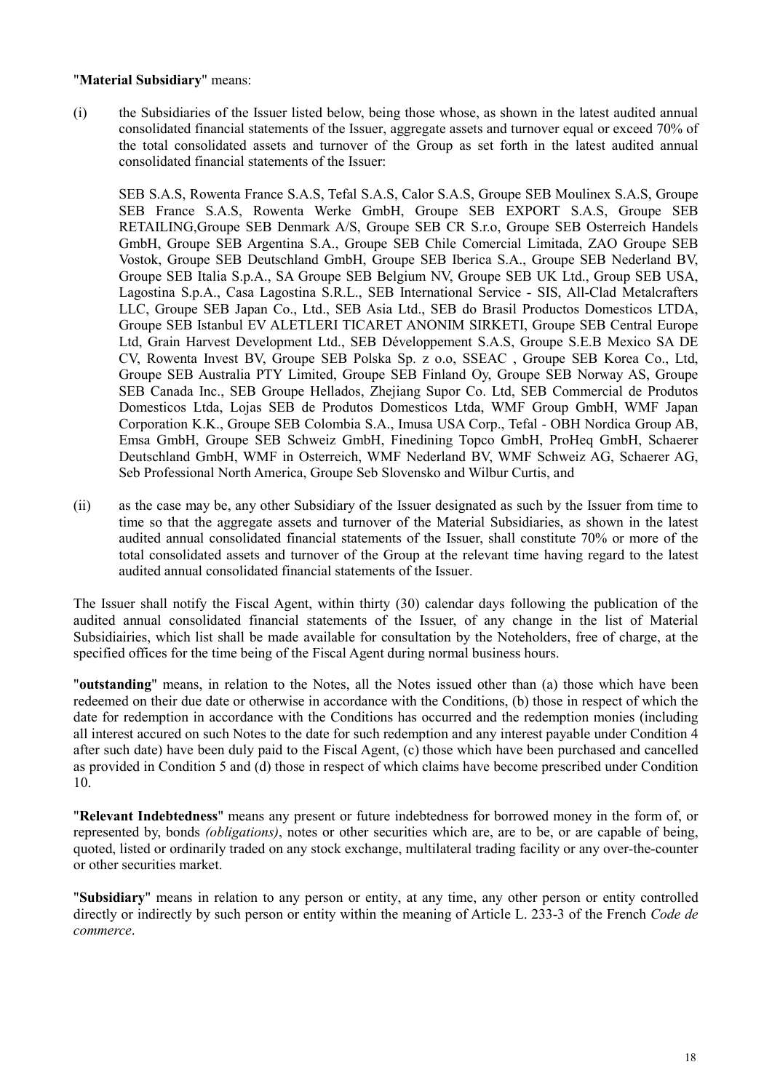### "**Material Subsidiary**" means:

(i) the Subsidiaries of the Issuer listed below, being those whose, as shown in the latest audited annual consolidated financial statements of the Issuer, aggregate assets and turnover equal or exceed 70% of the total consolidated assets and turnover of the Group as set forth in the latest audited annual consolidated financial statements of the Issuer:

SEB S.A.S, Rowenta France S.A.S, Tefal S.A.S, Calor S.A.S, Groupe SEB Moulinex S.A.S, Groupe SEB France S.A.S, Rowenta Werke GmbH, Groupe SEB EXPORT S.A.S, Groupe SEB RETAILING,Groupe SEB Denmark A/S, Groupe SEB CR S.r.o, Groupe SEB Osterreich Handels GmbH, Groupe SEB Argentina S.A., Groupe SEB Chile Comercial Limitada, ZAO Groupe SEB Vostok, Groupe SEB Deutschland GmbH, Groupe SEB Iberica S.A., Groupe SEB Nederland BV, Groupe SEB Italia S.p.A., SA Groupe SEB Belgium NV, Groupe SEB UK Ltd., Group SEB USA, Lagostina S.p.A., Casa Lagostina S.R.L., SEB International Service - SIS, All-Clad Metalcrafters LLC, Groupe SEB Japan Co., Ltd., SEB Asia Ltd., SEB do Brasil Productos Domesticos LTDA, Groupe SEB Istanbul EV ALETLERI TICARET ANONIM SIRKETI, Groupe SEB Central Europe Ltd, Grain Harvest Development Ltd., SEB Développement S.A.S, Groupe S.E.B Mexico SA DE CV, Rowenta Invest BV, Groupe SEB Polska Sp. z o.o, SSEAC , Groupe SEB Korea Co., Ltd, Groupe SEB Australia PTY Limited, Groupe SEB Finland Oy, Groupe SEB Norway AS, Groupe SEB Canada Inc., SEB Groupe Hellados, Zhejiang Supor Co. Ltd, SEB Commercial de Produtos Domesticos Ltda, Lojas SEB de Produtos Domesticos Ltda, WMF Group GmbH, WMF Japan Corporation K.K., Groupe SEB Colombia S.A., Imusa USA Corp., Tefal - OBH Nordica Group AB, Emsa GmbH, Groupe SEB Schweiz GmbH, Finedining Topco GmbH, ProHeq GmbH, Schaerer Deutschland GmbH, WMF in Osterreich, WMF Nederland BV, WMF Schweiz AG, Schaerer AG, Seb Professional North America, Groupe Seb Slovensko and Wilbur Curtis, and

(ii) as the case may be, any other Subsidiary of the Issuer designated as such by the Issuer from time to time so that the aggregate assets and turnover of the Material Subsidiaries, as shown in the latest audited annual consolidated financial statements of the Issuer, shall constitute 70% or more of the total consolidated assets and turnover of the Group at the relevant time having regard to the latest audited annual consolidated financial statements of the Issuer.

The Issuer shall notify the Fiscal Agent, within thirty (30) calendar days following the publication of the audited annual consolidated financial statements of the Issuer, of any change in the list of Material Subsidiairies, which list shall be made available for consultation by the Noteholders, free of charge, at the specified offices for the time being of the Fiscal Agent during normal business hours.

"**outstanding**" means, in relation to the Notes, all the Notes issued other than (a) those which have been redeemed on their due date or otherwise in accordance with the Conditions, (b) those in respect of which the date for redemption in accordance with the Conditions has occurred and the redemption monies (including all interest accured on such Notes to the date for such redemption and any interest payable under Condition 4 after such date) have been duly paid to the Fiscal Agent, (c) those which have been purchased and cancelled as provided in Condition 5 and (d) those in respect of which claims have become prescribed under Condition 10.

"**Relevant Indebtedness**" means any present or future indebtedness for borrowed money in the form of, or represented by, bonds *(obligations)*, notes or other securities which are, are to be, or are capable of being, quoted, listed or ordinarily traded on any stock exchange, multilateral trading facility or any over-the-counter or other securities market.

"**Subsidiary**" means in relation to any person or entity, at any time, any other person or entity controlled directly or indirectly by such person or entity within the meaning of Article L. 233-3 of the French *Code de commerce*.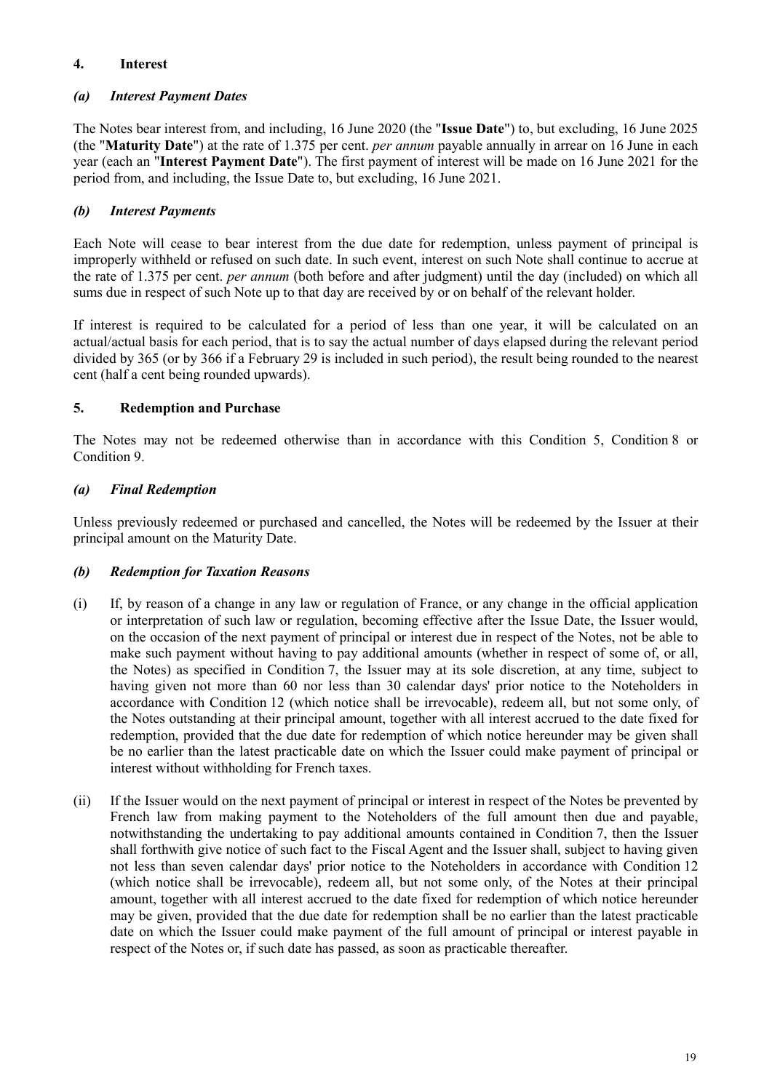## **4. Interest**

## *(a) Interest Payment Dates*

The Notes bear interest from, and including, 16 June 2020 (the "**Issue Date**") to, but excluding, 16 June 2025 (the "**Maturity Date**") at the rate of 1.375 per cent. *per annum* payable annually in arrear on 16 June in each year (each an "**Interest Payment Date**"). The first payment of interest will be made on 16 June 2021 for the period from, and including, the Issue Date to, but excluding, 16 June 2021.

## *(b) Interest Payments*

Each Note will cease to bear interest from the due date for redemption, unless payment of principal is improperly withheld or refused on such date. In such event, interest on such Note shall continue to accrue at the rate of 1.375 per cent. *per annum* (both before and after judgment) until the day (included) on which all sums due in respect of such Note up to that day are received by or on behalf of the relevant holder.

If interest is required to be calculated for a period of less than one year, it will be calculated on an actual/actual basis for each period, that is to say the actual number of days elapsed during the relevant period divided by 365 (or by 366 if a February 29 is included in such period), the result being rounded to the nearest cent (half a cent being rounded upwards).

## **5. Redemption and Purchase**

The Notes may not be redeemed otherwise than in accordance with this Condition 5, Condition 8 or Condition 9.

## *(a) Final Redemption*

Unless previously redeemed or purchased and cancelled, the Notes will be redeemed by the Issuer at their principal amount on the Maturity Date.

## *(b) Redemption for Taxation Reasons*

- (i) If, by reason of a change in any law or regulation of France, or any change in the official application or interpretation of such law or regulation, becoming effective after the Issue Date, the Issuer would, on the occasion of the next payment of principal or interest due in respect of the Notes, not be able to make such payment without having to pay additional amounts (whether in respect of some of, or all, the Notes) as specified in Condition 7, the Issuer may at its sole discretion, at any time, subject to having given not more than 60 nor less than 30 calendar days' prior notice to the Noteholders in accordance with Condition 12 (which notice shall be irrevocable), redeem all, but not some only, of the Notes outstanding at their principal amount, together with all interest accrued to the date fixed for redemption, provided that the due date for redemption of which notice hereunder may be given shall be no earlier than the latest practicable date on which the Issuer could make payment of principal or interest without withholding for French taxes.
- (ii) If the Issuer would on the next payment of principal or interest in respect of the Notes be prevented by French law from making payment to the Noteholders of the full amount then due and payable, notwithstanding the undertaking to pay additional amounts contained in Condition 7, then the Issuer shall forthwith give notice of such fact to the Fiscal Agent and the Issuer shall, subject to having given not less than seven calendar days' prior notice to the Noteholders in accordance with Condition 12 (which notice shall be irrevocable), redeem all, but not some only, of the Notes at their principal amount, together with all interest accrued to the date fixed for redemption of which notice hereunder may be given, provided that the due date for redemption shall be no earlier than the latest practicable date on which the Issuer could make payment of the full amount of principal or interest payable in respect of the Notes or, if such date has passed, as soon as practicable thereafter.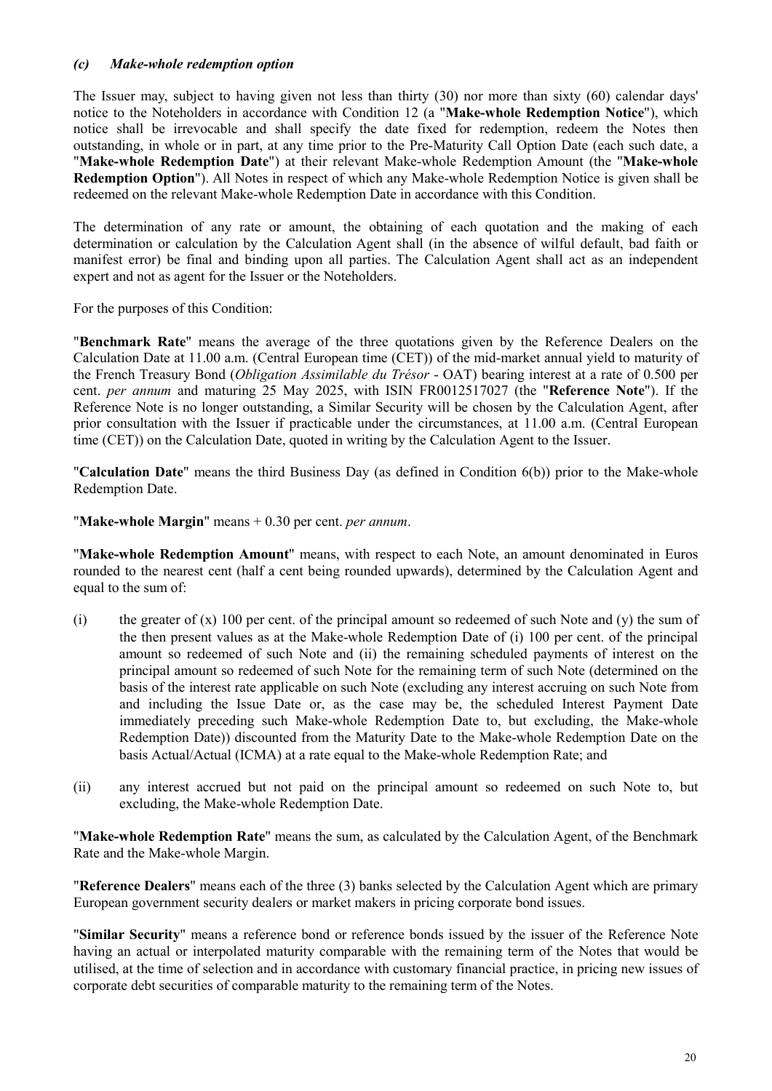### *(c) Make-whole redemption option*

The Issuer may, subject to having given not less than thirty (30) nor more than sixty (60) calendar days' notice to the Noteholders in accordance with Condition 12 (a "**Make-whole Redemption Notice**"), which notice shall be irrevocable and shall specify the date fixed for redemption, redeem the Notes then outstanding, in whole or in part, at any time prior to the Pre-Maturity Call Option Date (each such date, a "**Make-whole Redemption Date**") at their relevant Make-whole Redemption Amount (the "**Make-whole Redemption Option**"). All Notes in respect of which any Make-whole Redemption Notice is given shall be redeemed on the relevant Make-whole Redemption Date in accordance with this Condition.

The determination of any rate or amount, the obtaining of each quotation and the making of each determination or calculation by the Calculation Agent shall (in the absence of wilful default, bad faith or manifest error) be final and binding upon all parties. The Calculation Agent shall act as an independent expert and not as agent for the Issuer or the Noteholders.

For the purposes of this Condition:

"**Benchmark Rate**" means the average of the three quotations given by the Reference Dealers on the Calculation Date at 11.00 a.m. (Central European time (CET)) of the mid-market annual yield to maturity of the French Treasury Bond (*Obligation Assimilable du Trésor* - OAT) bearing interest at a rate of 0.500 per cent. *per annum* and maturing 25 May 2025, with ISIN FR0012517027 (the "**Reference Note**"). If the Reference Note is no longer outstanding, a Similar Security will be chosen by the Calculation Agent, after prior consultation with the Issuer if practicable under the circumstances, at 11.00 a.m. (Central European time (CET)) on the Calculation Date, quoted in writing by the Calculation Agent to the Issuer.

"**Calculation Date**" means the third Business Day (as defined in Condition 6(b)) prior to the Make-whole Redemption Date.

"**Make-whole Margin**" means + 0.30 per cent. *per annum*.

"**Make-whole Redemption Amount**" means, with respect to each Note, an amount denominated in Euros rounded to the nearest cent (half a cent being rounded upwards), determined by the Calculation Agent and equal to the sum of:

- (i) the greater of (x) 100 per cent. of the principal amount so redeemed of such Note and (y) the sum of the then present values as at the Make-whole Redemption Date of (i) 100 per cent. of the principal amount so redeemed of such Note and (ii) the remaining scheduled payments of interest on the principal amount so redeemed of such Note for the remaining term of such Note (determined on the basis of the interest rate applicable on such Note (excluding any interest accruing on such Note from and including the Issue Date or, as the case may be, the scheduled Interest Payment Date immediately preceding such Make-whole Redemption Date to, but excluding, the Make-whole Redemption Date)) discounted from the Maturity Date to the Make-whole Redemption Date on the basis Actual/Actual (ICMA) at a rate equal to the Make-whole Redemption Rate; and
- (ii) any interest accrued but not paid on the principal amount so redeemed on such Note to, but excluding, the Make-whole Redemption Date.

"**Make-whole Redemption Rate**" means the sum, as calculated by the Calculation Agent, of the Benchmark Rate and the Make-whole Margin.

"**Reference Dealers**" means each of the three (3) banks selected by the Calculation Agent which are primary European government security dealers or market makers in pricing corporate bond issues.

"**Similar Security**" means a reference bond or reference bonds issued by the issuer of the Reference Note having an actual or interpolated maturity comparable with the remaining term of the Notes that would be utilised, at the time of selection and in accordance with customary financial practice, in pricing new issues of corporate debt securities of comparable maturity to the remaining term of the Notes.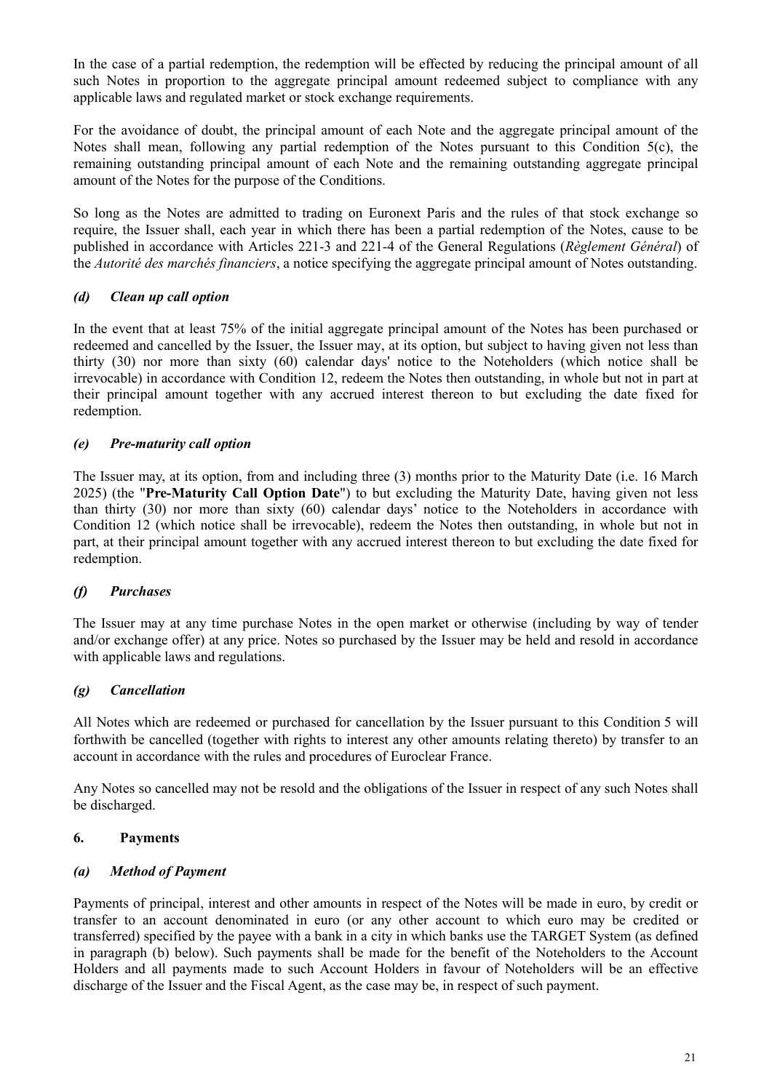In the case of a partial redemption, the redemption will be effected by reducing the principal amount of all such Notes in proportion to the aggregate principal amount redeemed subject to compliance with any applicable laws and regulated market or stock exchange requirements.

For the avoidance of doubt, the principal amount of each Note and the aggregate principal amount of the Notes shall mean, following any partial redemption of the Notes pursuant to this Condition 5(c), the remaining outstanding principal amount of each Note and the remaining outstanding aggregate principal amount of the Notes for the purpose of the Conditions.

So long as the Notes are admitted to trading on Euronext Paris and the rules of that stock exchange so require, the Issuer shall, each year in which there has been a partial redemption of the Notes, cause to be published in accordance with Articles 221-3 and 221-4 of the General Regulations (*Règlement Général*) of the *Autorité des marchés financiers*, a notice specifying the aggregate principal amount of Notes outstanding.

## *(d) Clean up call option*

In the event that at least 75% of the initial aggregate principal amount of the Notes has been purchased or redeemed and cancelled by the Issuer, the Issuer may, at its option, but subject to having given not less than thirty (30) nor more than sixty (60) calendar days' notice to the Noteholders (which notice shall be irrevocable) in accordance with Condition 12, redeem the Notes then outstanding, in whole but not in part at their principal amount together with any accrued interest thereon to but excluding the date fixed for redemption.

## *(e) Pre-maturity call option*

The Issuer may, at its option, from and including three (3) months prior to the Maturity Date (i.e. 16 March 2025) (the "**Pre-Maturity Call Option Date**") to but excluding the Maturity Date, having given not less than thirty (30) nor more than sixty (60) calendar days' notice to the Noteholders in accordance with Condition 12 (which notice shall be irrevocable), redeem the Notes then outstanding, in whole but not in part, at their principal amount together with any accrued interest thereon to but excluding the date fixed for redemption.

## *(f) Purchases*

The Issuer may at any time purchase Notes in the open market or otherwise (including by way of tender and/or exchange offer) at any price. Notes so purchased by the Issuer may be held and resold in accordance with applicable laws and regulations.

## *(g) Cancellation*

All Notes which are redeemed or purchased for cancellation by the Issuer pursuant to this Condition 5 will forthwith be cancelled (together with rights to interest any other amounts relating thereto) by transfer to an account in accordance with the rules and procedures of Euroclear France.

Any Notes so cancelled may not be resold and the obligations of the Issuer in respect of any such Notes shall be discharged.

## **6. Payments**

## *(a) Method of Payment*

Payments of principal, interest and other amounts in respect of the Notes will be made in euro, by credit or transfer to an account denominated in euro (or any other account to which euro may be credited or transferred) specified by the payee with a bank in a city in which banks use the TARGET System (as defined in paragraph (b) below). Such payments shall be made for the benefit of the Noteholders to the Account Holders and all payments made to such Account Holders in favour of Noteholders will be an effective discharge of the Issuer and the Fiscal Agent, as the case may be, in respect of such payment.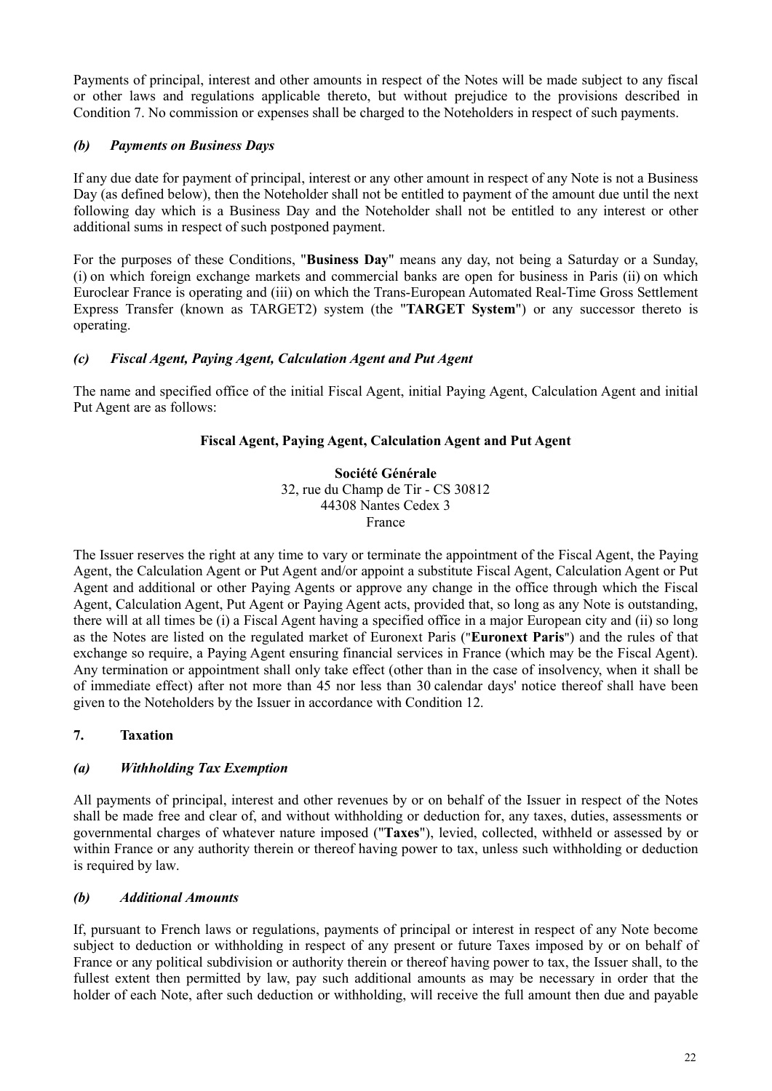Payments of principal, interest and other amounts in respect of the Notes will be made subject to any fiscal or other laws and regulations applicable thereto, but without prejudice to the provisions described in Condition 7. No commission or expenses shall be charged to the Noteholders in respect of such payments.

## *(b) Payments on Business Days*

If any due date for payment of principal, interest or any other amount in respect of any Note is not a Business Day (as defined below), then the Noteholder shall not be entitled to payment of the amount due until the next following day which is a Business Day and the Noteholder shall not be entitled to any interest or other additional sums in respect of such postponed payment.

For the purposes of these Conditions, "**Business Day**" means any day, not being a Saturday or a Sunday, (i) on which foreign exchange markets and commercial banks are open for business in Paris (ii) on which Euroclear France is operating and (iii) on which the Trans-European Automated Real-Time Gross Settlement Express Transfer (known as TARGET2) system (the "**TARGET System**") or any successor thereto is operating.

## *(c) Fiscal Agent, Paying Agent, Calculation Agent and Put Agent*

The name and specified office of the initial Fiscal Agent, initial Paying Agent, Calculation Agent and initial Put Agent are as follows:

## **Fiscal Agent, Paying Agent, Calculation Agent and Put Agent**

**Société Générale** 32, rue du Champ de Tir - CS 30812 44308 Nantes Cedex 3 France

The Issuer reserves the right at any time to vary or terminate the appointment of the Fiscal Agent, the Paying Agent, the Calculation Agent or Put Agent and/or appoint a substitute Fiscal Agent, Calculation Agent or Put Agent and additional or other Paying Agents or approve any change in the office through which the Fiscal Agent, Calculation Agent, Put Agent or Paying Agent acts, provided that, so long as any Note is outstanding, there will at all times be (i) a Fiscal Agent having a specified office in a major European city and (ii) so long as the Notes are listed on the regulated market of Euronext Paris ("**Euronext Paris**") and the rules of that exchange so require, a Paying Agent ensuring financial services in France (which may be the Fiscal Agent). Any termination or appointment shall only take effect (other than in the case of insolvency, when it shall be of immediate effect) after not more than 45 nor less than 30 calendar days' notice thereof shall have been given to the Noteholders by the Issuer in accordance with Condition 12.

## **7. Taxation**

## *(a) Withholding Tax Exemption*

All payments of principal, interest and other revenues by or on behalf of the Issuer in respect of the Notes shall be made free and clear of, and without withholding or deduction for, any taxes, duties, assessments or governmental charges of whatever nature imposed ("**Taxes**"), levied, collected, withheld or assessed by or within France or any authority therein or thereof having power to tax, unless such withholding or deduction is required by law.

## *(b) Additional Amounts*

If, pursuant to French laws or regulations, payments of principal or interest in respect of any Note become subject to deduction or withholding in respect of any present or future Taxes imposed by or on behalf of France or any political subdivision or authority therein or thereof having power to tax, the Issuer shall, to the fullest extent then permitted by law, pay such additional amounts as may be necessary in order that the holder of each Note, after such deduction or withholding, will receive the full amount then due and payable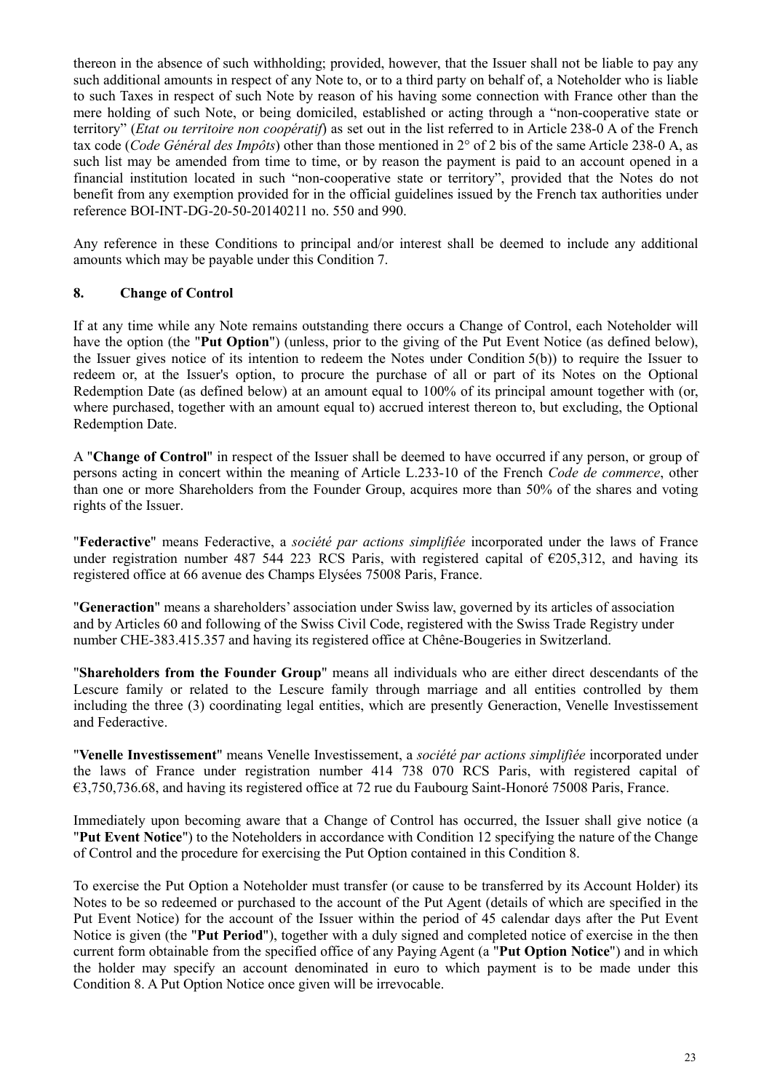thereon in the absence of such withholding; provided, however, that the Issuer shall not be liable to pay any such additional amounts in respect of any Note to, or to a third party on behalf of, a Noteholder who is liable to such Taxes in respect of such Note by reason of his having some connection with France other than the mere holding of such Note, or being domiciled, established or acting through a "non-cooperative state or territory" (*Etat ou territoire non coopératif*) as set out in the list referred to in Article 238-0 A of the French tax code (*Code Général des Impôts*) other than those mentioned in 2° of 2 bis of the same Article 238-0 A, as such list may be amended from time to time, or by reason the payment is paid to an account opened in a financial institution located in such "non-cooperative state or territory", provided that the Notes do not benefit from any exemption provided for in the official guidelines issued by the French tax authorities under reference BOI-INT-DG-20-50-20140211 no. 550 and 990.

Any reference in these Conditions to principal and/or interest shall be deemed to include any additional amounts which may be payable under this Condition 7.

## **8. Change of Control**

If at any time while any Note remains outstanding there occurs a Change of Control, each Noteholder will have the option (the "**Put Option**") (unless, prior to the giving of the Put Event Notice (as defined below), the Issuer gives notice of its intention to redeem the Notes under Condition 5(b)) to require the Issuer to redeem or, at the Issuer's option, to procure the purchase of all or part of its Notes on the Optional Redemption Date (as defined below) at an amount equal to 100% of its principal amount together with (or, where purchased, together with an amount equal to) accrued interest thereon to, but excluding, the Optional Redemption Date.

A "**Change of Control**" in respect of the Issuer shall be deemed to have occurred if any person, or group of persons acting in concert within the meaning of Article L.233-10 of the French *Code de commerce*, other than one or more Shareholders from the Founder Group, acquires more than 50% of the shares and voting rights of the Issuer.

"**Federactive**" means Federactive, a *société par actions simplifiée* incorporated under the laws of France under registration number 487 544 223 RCS Paris, with registered capital of  $\epsilon$ 205,312, and having its registered office at 66 avenue des Champs Elysées 75008 Paris, France.

"**Generaction**" means a shareholders' association under Swiss law, governed by its articles of association and by Articles 60 and following of the Swiss Civil Code, registered with the Swiss Trade Registry under number CHE-383.415.357 and having its registered office at Chêne-Bougeries in Switzerland.

"**Shareholders from the Founder Group**" means all individuals who are either direct descendants of the Lescure family or related to the Lescure family through marriage and all entities controlled by them including the three (3) coordinating legal entities, which are presently Generaction, Venelle Investissement and Federactive.

"**Venelle Investissement**" means Venelle Investissement, a *société par actions simplifiée* incorporated under the laws of France under registration number 414 738 070 RCS Paris, with registered capital of €3,750,736.68, and having its registered office at 72 rue du Faubourg Saint-Honoré 75008 Paris, France.

Immediately upon becoming aware that a Change of Control has occurred, the Issuer shall give notice (a "**Put Event Notice**") to the Noteholders in accordance with Condition 12 specifying the nature of the Change of Control and the procedure for exercising the Put Option contained in this Condition 8.

To exercise the Put Option a Noteholder must transfer (or cause to be transferred by its Account Holder) its Notes to be so redeemed or purchased to the account of the Put Agent (details of which are specified in the Put Event Notice) for the account of the Issuer within the period of 45 calendar days after the Put Event Notice is given (the "**Put Period**"), together with a duly signed and completed notice of exercise in the then current form obtainable from the specified office of any Paying Agent (a "**Put Option Notice**") and in which the holder may specify an account denominated in euro to which payment is to be made under this Condition 8. A Put Option Notice once given will be irrevocable.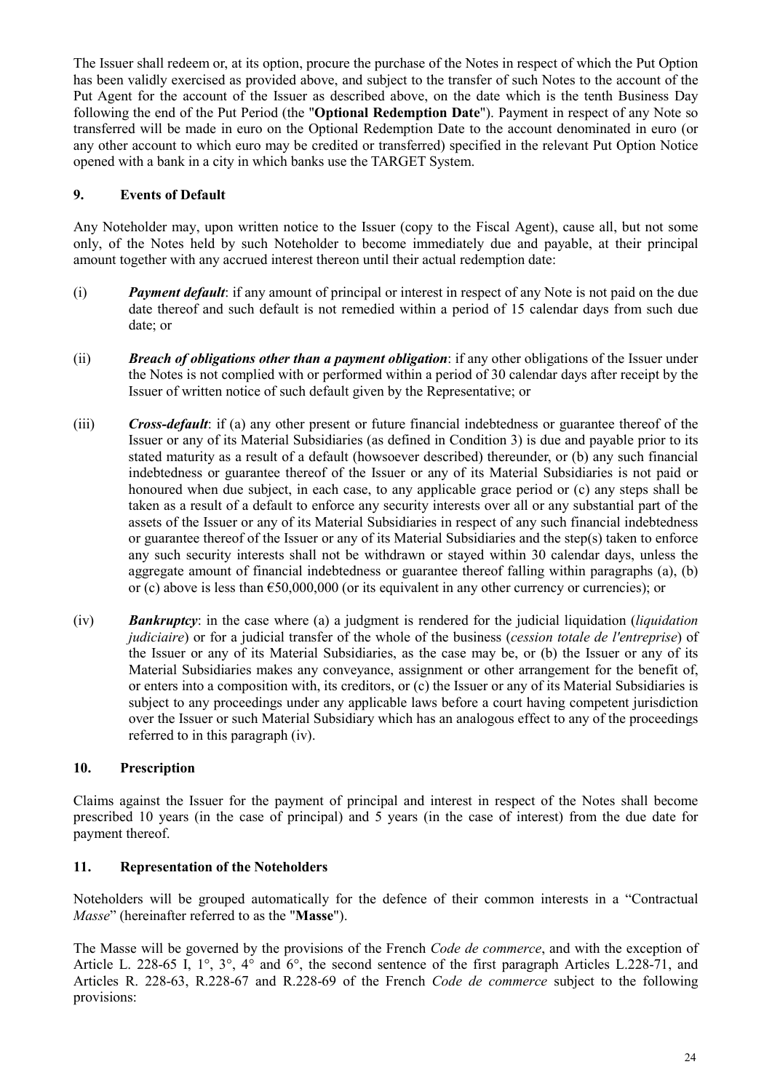The Issuer shall redeem or, at its option, procure the purchase of the Notes in respect of which the Put Option has been validly exercised as provided above, and subject to the transfer of such Notes to the account of the Put Agent for the account of the Issuer as described above, on the date which is the tenth Business Day following the end of the Put Period (the "**Optional Redemption Date**"). Payment in respect of any Note so transferred will be made in euro on the Optional Redemption Date to the account denominated in euro (or any other account to which euro may be credited or transferred) specified in the relevant Put Option Notice opened with a bank in a city in which banks use the TARGET System.

## **9. Events of Default**

Any Noteholder may, upon written notice to the Issuer (copy to the Fiscal Agent), cause all, but not some only, of the Notes held by such Noteholder to become immediately due and payable, at their principal amount together with any accrued interest thereon until their actual redemption date:

- (i) *Payment default*: if any amount of principal or interest in respect of any Note is not paid on the due date thereof and such default is not remedied within a period of 15 calendar days from such due date; or
- (ii) *Breach of obligations other than a payment obligation*: if any other obligations of the Issuer under the Notes is not complied with or performed within a period of 30 calendar days after receipt by the Issuer of written notice of such default given by the Representative; or
- (iii) *Cross-default*: if (a) any other present or future financial indebtedness or guarantee thereof of the Issuer or any of its Material Subsidiaries (as defined in Condition 3) is due and payable prior to its stated maturity as a result of a default (howsoever described) thereunder, or (b) any such financial indebtedness or guarantee thereof of the Issuer or any of its Material Subsidiaries is not paid or honoured when due subject, in each case, to any applicable grace period or (c) any steps shall be taken as a result of a default to enforce any security interests over all or any substantial part of the assets of the Issuer or any of its Material Subsidiaries in respect of any such financial indebtedness or guarantee thereof of the Issuer or any of its Material Subsidiaries and the step(s) taken to enforce any such security interests shall not be withdrawn or stayed within 30 calendar days, unless the aggregate amount of financial indebtedness or guarantee thereof falling within paragraphs (a), (b) or (c) above is less than €50,000,000 (or its equivalent in any other currency or currencies); or
- (iv) *Bankruptcy*: in the case where (a) a judgment is rendered for the judicial liquidation (*liquidation judiciaire*) or for a judicial transfer of the whole of the business (*cession totale de l'entreprise*) of the Issuer or any of its Material Subsidiaries, as the case may be, or (b) the Issuer or any of its Material Subsidiaries makes any conveyance, assignment or other arrangement for the benefit of, or enters into a composition with, its creditors, or (c) the Issuer or any of its Material Subsidiaries is subject to any proceedings under any applicable laws before a court having competent jurisdiction over the Issuer or such Material Subsidiary which has an analogous effect to any of the proceedings referred to in this paragraph (iv).

## **10. Prescription**

Claims against the Issuer for the payment of principal and interest in respect of the Notes shall become prescribed 10 years (in the case of principal) and 5 years (in the case of interest) from the due date for payment thereof.

## **11. Representation of the Noteholders**

Noteholders will be grouped automatically for the defence of their common interests in a "Contractual *Masse*" (hereinafter referred to as the "**Masse**").

The Masse will be governed by the provisions of the French *Code de commerce*, and with the exception of Article L. 228-65 I, 1°, 3°, 4° and 6°, the second sentence of the first paragraph Articles L.228-71, and Articles R. 228-63, R.228-67 and R.228-69 of the French *Code de commerce* subject to the following provisions: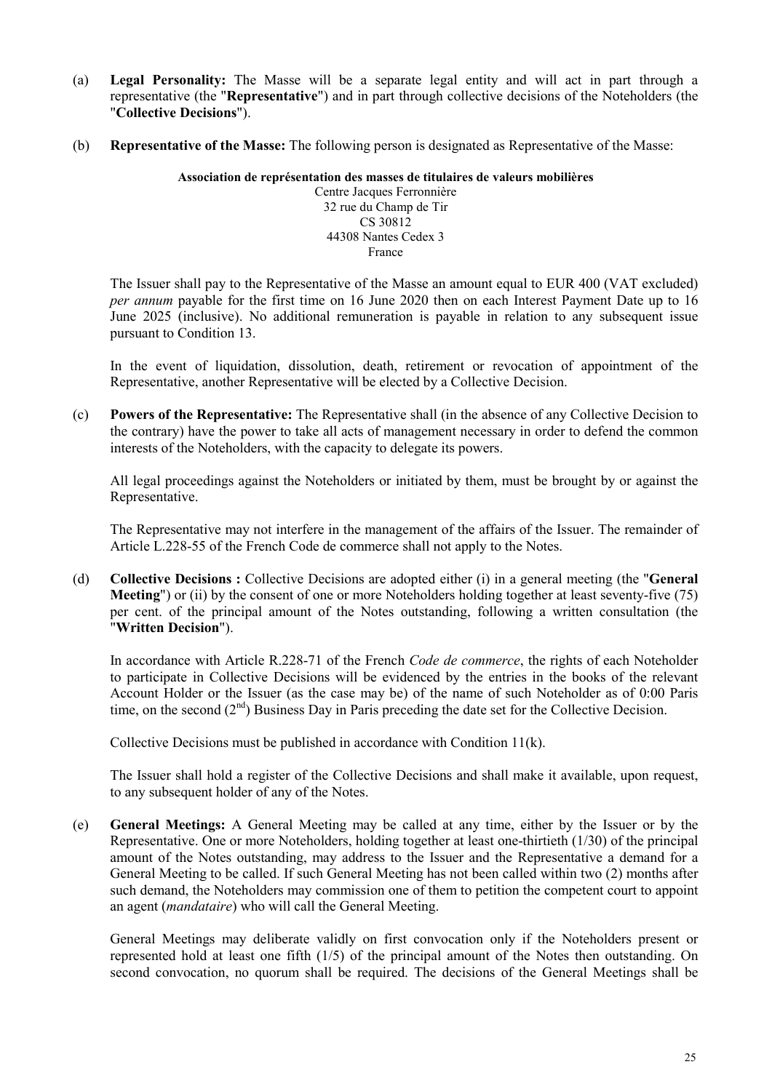- (a) **Legal Personality:** The Masse will be a separate legal entity and will act in part through a representative (the "**Representative**") and in part through collective decisions of the Noteholders (the "**Collective Decisions**").
- (b) **Representative of the Masse:** The following person is designated as Representative of the Masse:

**Association de représentation des masses de titulaires de valeurs mobilières**  Centre Jacques Ferronnière 32 rue du Champ de Tir CS 30812

44308 Nantes Cedex 3 France

The Issuer shall pay to the Representative of the Masse an amount equal to EUR 400 (VAT excluded) *per annum* payable for the first time on 16 June 2020 then on each Interest Payment Date up to 16 June 2025 (inclusive). No additional remuneration is payable in relation to any subsequent issue pursuant to Condition 13.

In the event of liquidation, dissolution, death, retirement or revocation of appointment of the Representative, another Representative will be elected by a Collective Decision.

(c) **Powers of the Representative:** The Representative shall (in the absence of any Collective Decision to the contrary) have the power to take all acts of management necessary in order to defend the common interests of the Noteholders, with the capacity to delegate its powers.

All legal proceedings against the Noteholders or initiated by them, must be brought by or against the Representative.

The Representative may not interfere in the management of the affairs of the Issuer. The remainder of Article L.228-55 of the French Code de commerce shall not apply to the Notes.

(d) **Collective Decisions :** Collective Decisions are adopted either (i) in a general meeting (the "**General Meeting**") or (ii) by the consent of one or more Noteholders holding together at least seventy-five (75) per cent. of the principal amount of the Notes outstanding, following a written consultation (the "**Written Decision**").

In accordance with Article R.228-71 of the French *Code de commerce*, the rights of each Noteholder to participate in Collective Decisions will be evidenced by the entries in the books of the relevant Account Holder or the Issuer (as the case may be) of the name of such Noteholder as of 0:00 Paris time, on the second  $(2<sup>nd</sup>)$  Business Day in Paris preceding the date set for the Collective Decision.

Collective Decisions must be published in accordance with Condition 11(k).

The Issuer shall hold a register of the Collective Decisions and shall make it available, upon request, to any subsequent holder of any of the Notes.

(e) **General Meetings:** A General Meeting may be called at any time, either by the Issuer or by the Representative. One or more Noteholders, holding together at least one-thirtieth (1/30) of the principal amount of the Notes outstanding, may address to the Issuer and the Representative a demand for a General Meeting to be called. If such General Meeting has not been called within two (2) months after such demand, the Noteholders may commission one of them to petition the competent court to appoint an agent (*mandataire*) who will call the General Meeting.

General Meetings may deliberate validly on first convocation only if the Noteholders present or represented hold at least one fifth (1/5) of the principal amount of the Notes then outstanding. On second convocation, no quorum shall be required. The decisions of the General Meetings shall be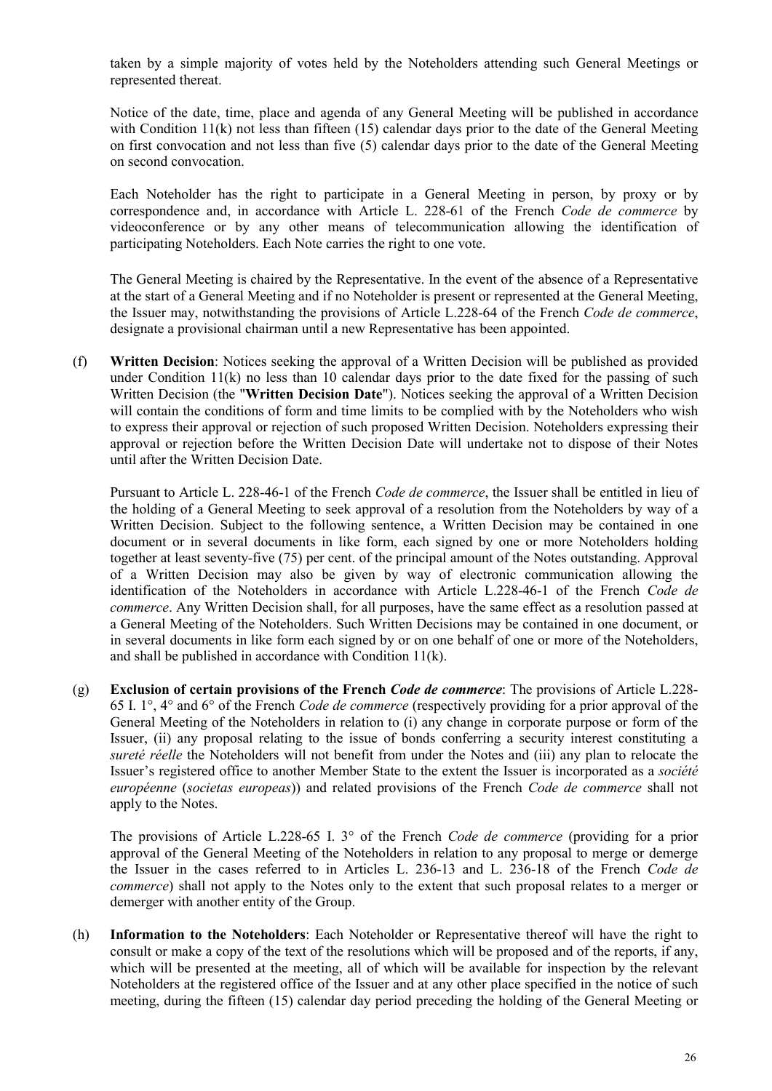taken by a simple majority of votes held by the Noteholders attending such General Meetings or represented thereat.

Notice of the date, time, place and agenda of any General Meeting will be published in accordance with Condition 11(k) not less than fifteen (15) calendar days prior to the date of the General Meeting on first convocation and not less than five (5) calendar days prior to the date of the General Meeting on second convocation.

Each Noteholder has the right to participate in a General Meeting in person, by proxy or by correspondence and, in accordance with Article L. 228-61 of the French *Code de commerce* by videoconference or by any other means of telecommunication allowing the identification of participating Noteholders. Each Note carries the right to one vote.

The General Meeting is chaired by the Representative. In the event of the absence of a Representative at the start of a General Meeting and if no Noteholder is present or represented at the General Meeting, the Issuer may, notwithstanding the provisions of Article L.228-64 of the French *Code de commerce*, designate a provisional chairman until a new Representative has been appointed.

(f) **Written Decision**: Notices seeking the approval of a Written Decision will be published as provided under Condition  $11(k)$  no less than 10 calendar days prior to the date fixed for the passing of such Written Decision (the "**Written Decision Date**"). Notices seeking the approval of a Written Decision will contain the conditions of form and time limits to be complied with by the Noteholders who wish to express their approval or rejection of such proposed Written Decision. Noteholders expressing their approval or rejection before the Written Decision Date will undertake not to dispose of their Notes until after the Written Decision Date.

Pursuant to Article L. 228-46-1 of the French *Code de commerce*, the Issuer shall be entitled in lieu of the holding of a General Meeting to seek approval of a resolution from the Noteholders by way of a Written Decision. Subject to the following sentence, a Written Decision may be contained in one document or in several documents in like form, each signed by one or more Noteholders holding together at least seventy-five (75) per cent. of the principal amount of the Notes outstanding. Approval of a Written Decision may also be given by way of electronic communication allowing the identification of the Noteholders in accordance with Article L.228-46-1 of the French *Code de commerce*. Any Written Decision shall, for all purposes, have the same effect as a resolution passed at a General Meeting of the Noteholders. Such Written Decisions may be contained in one document, or in several documents in like form each signed by or on one behalf of one or more of the Noteholders, and shall be published in accordance with Condition 11(k).

(g) **Exclusion of certain provisions of the French** *Code de commerce*: The provisions of Article L.228- 65 I. 1°, 4° and 6° of the French *Code de commerce* (respectively providing for a prior approval of the General Meeting of the Noteholders in relation to (i) any change in corporate purpose or form of the Issuer, (ii) any proposal relating to the issue of bonds conferring a security interest constituting a *sureté réelle* the Noteholders will not benefit from under the Notes and (iii) any plan to relocate the Issuer's registered office to another Member State to the extent the Issuer is incorporated as a *société européenne* (*societas europeas*)) and related provisions of the French *Code de commerce* shall not apply to the Notes.

The provisions of Article L.228-65 I. 3° of the French *Code de commerce* (providing for a prior approval of the General Meeting of the Noteholders in relation to any proposal to merge or demerge the Issuer in the cases referred to in Articles L. 236-13 and L. 236-18 of the French *Code de commerce*) shall not apply to the Notes only to the extent that such proposal relates to a merger or demerger with another entity of the Group.

(h) **Information to the Noteholders**: Each Noteholder or Representative thereof will have the right to consult or make a copy of the text of the resolutions which will be proposed and of the reports, if any, which will be presented at the meeting, all of which will be available for inspection by the relevant Noteholders at the registered office of the Issuer and at any other place specified in the notice of such meeting, during the fifteen (15) calendar day period preceding the holding of the General Meeting or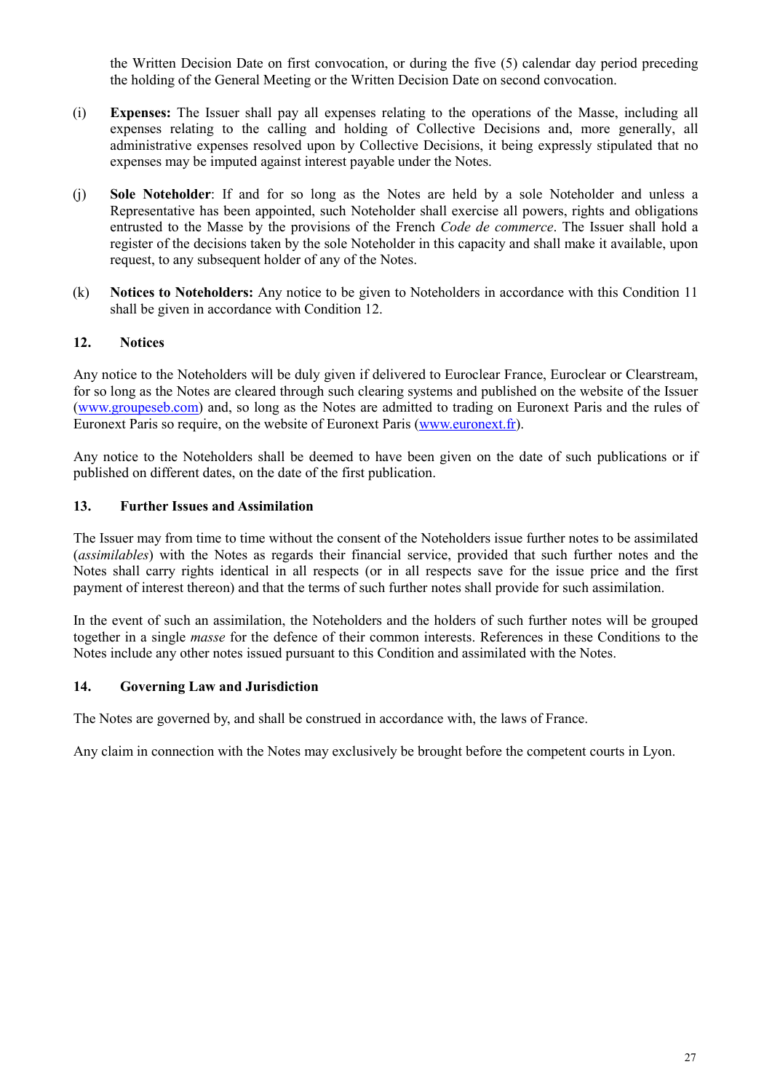the Written Decision Date on first convocation, or during the five (5) calendar day period preceding the holding of the General Meeting or the Written Decision Date on second convocation.

- (i) **Expenses:** The Issuer shall pay all expenses relating to the operations of the Masse, including all expenses relating to the calling and holding of Collective Decisions and, more generally, all administrative expenses resolved upon by Collective Decisions, it being expressly stipulated that no expenses may be imputed against interest payable under the Notes.
- (j) **Sole Noteholder**: If and for so long as the Notes are held by a sole Noteholder and unless a Representative has been appointed, such Noteholder shall exercise all powers, rights and obligations entrusted to the Masse by the provisions of the French *Code de commerce*. The Issuer shall hold a register of the decisions taken by the sole Noteholder in this capacity and shall make it available, upon request, to any subsequent holder of any of the Notes.
- (k) **Notices to Noteholders:** Any notice to be given to Noteholders in accordance with this Condition 11 shall be given in accordance with Condition 12.

## **12. Notices**

Any notice to the Noteholders will be duly given if delivered to Euroclear France, Euroclear or Clearstream, for so long as the Notes are cleared through such clearing systems and published on the website of the Issuer [\(www.groupeseb.com\)](http://www.groupeseb.com/) and, so long as the Notes are admitted to trading on Euronext Paris and the rules of Euronext Paris so require, on the website of Euronext Paris (www.euronext.fr).

Any notice to the Noteholders shall be deemed to have been given on the date of such publications or if published on different dates, on the date of the first publication.

### **13. Further Issues and Assimilation**

The Issuer may from time to time without the consent of the Noteholders issue further notes to be assimilated (*assimilables*) with the Notes as regards their financial service, provided that such further notes and the Notes shall carry rights identical in all respects (or in all respects save for the issue price and the first payment of interest thereon) and that the terms of such further notes shall provide for such assimilation.

In the event of such an assimilation, the Noteholders and the holders of such further notes will be grouped together in a single *masse* for the defence of their common interests. References in these Conditions to the Notes include any other notes issued pursuant to this Condition and assimilated with the Notes.

### **14. Governing Law and Jurisdiction**

The Notes are governed by, and shall be construed in accordance with, the laws of France.

Any claim in connection with the Notes may exclusively be brought before the competent courts in Lyon.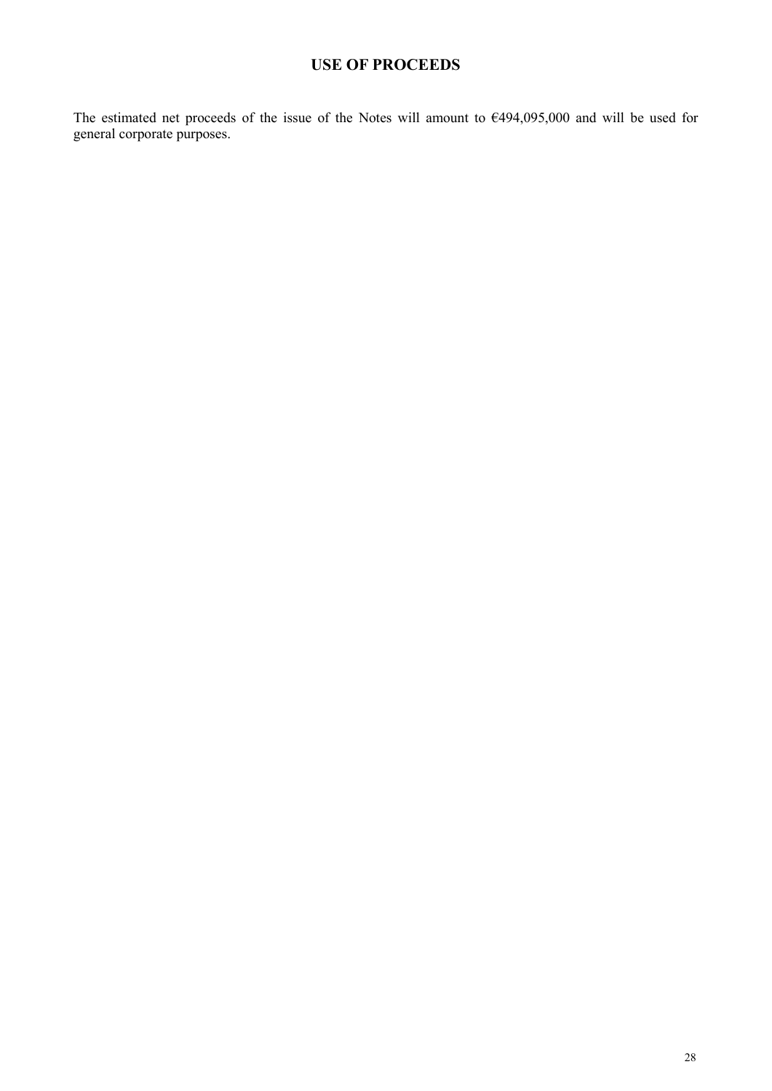# **USE OF PROCEEDS**

<span id="page-27-0"></span>The estimated net proceeds of the issue of the Notes will amount to €494,095,000 and will be used for general corporate purposes.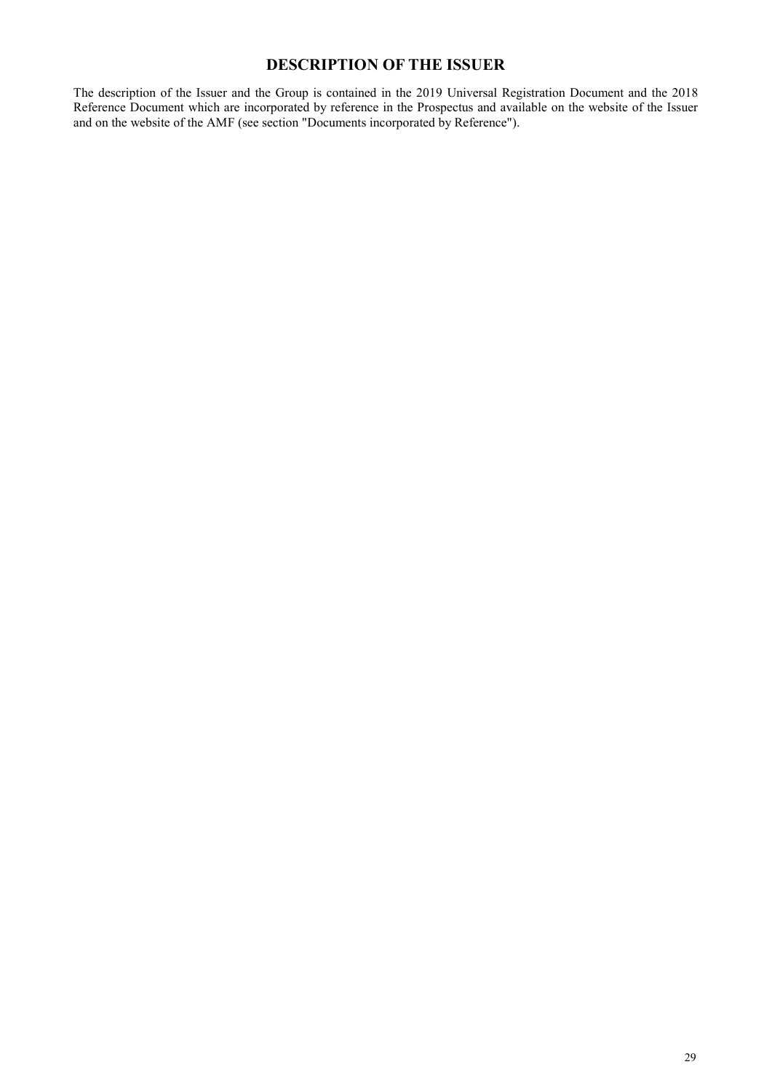# **DESCRIPTION OF THE ISSUER**

The description of the Issuer and the Group is contained in the 2019 Universal Registration Document and the 2018 Reference Document which are incorporated by reference in the Prospectus and available on the website of the Issuer and on the website of the AMF (see section "Documents incorporated by Reference").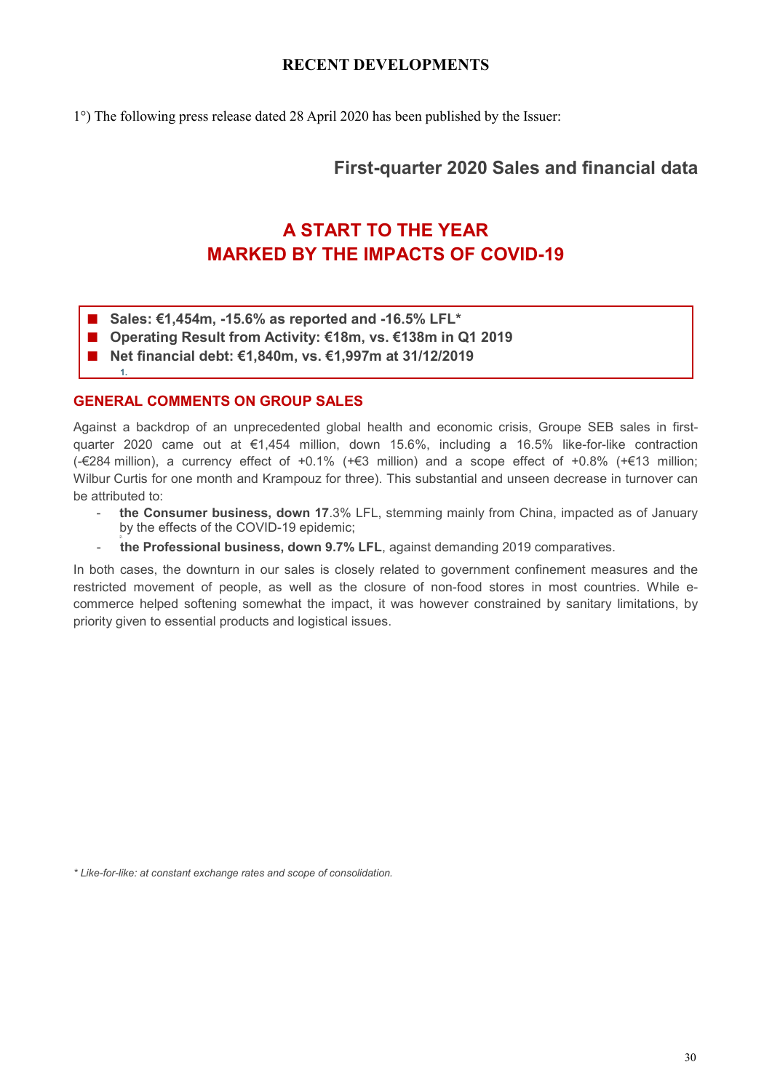## **RECENT DEVELOPMENTS**

<span id="page-29-0"></span>1°) The following press release dated 28 April 2020 has been published by the Issuer:

# **First-quarter 2020 Sales and financial data**

# **A START TO THE YEAR MARKED BY THE IMPACTS OF COVID-19**

- **Sales: €1,454m, -15.6% as reported and -16.5% LFL\***
- **Operating Result from Activity: €18m, vs. €138m in Q1 2019**
- **Net financial debt: €1,840m, vs. €1,997m at 31/12/2019**

## **GENERAL COMMENTS ON GROUP SALES**

**1.**

Against a backdrop of an unprecedented global health and economic crisis, Groupe SEB sales in firstquarter 2020 came out at €1,454 million, down 15.6%, including a 16.5% like-for-like contraction (-€284 million), a currency effect of +0.1% (+€3 million) and a scope effect of +0.8% (+€13 million; Wilbur Curtis for one month and Krampouz for three). This substantial and unseen decrease in turnover can be attributed to:

- the Consumer business, down 17.3% LFL, stemming mainly from China, impacted as of January by the effects of the COVID-19 epidemic;
- **the Professional business, down 9.7% LFL**, against demanding 2019 comparatives.

In both cases, the downturn in our sales is closely related to government confinement measures and the restricted movement of people, as well as the closure of non-food stores in most countries. While ecommerce helped softening somewhat the impact, it was however constrained by sanitary limitations, by priority given to essential products and logistical issues.

*\* Like-for-like: at constant exchange rates and scope of consolidation.*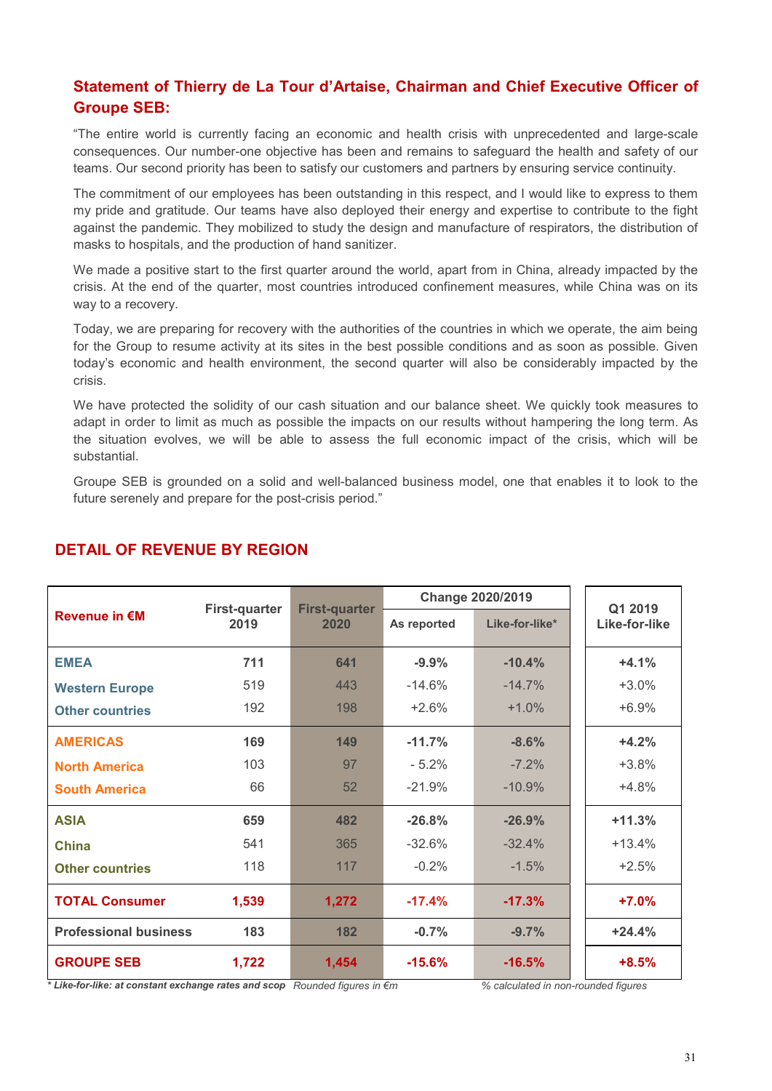# **Statement of Thierry de La Tour d'Artaise, Chairman and Chief Executive Officer of Groupe SEB:**

"The entire world is currently facing an economic and health crisis with unprecedented and large-scale consequences. Our number-one objective has been and remains to safeguard the health and safety of our teams. Our second priority has been to satisfy our customers and partners by ensuring service continuity.

The commitment of our employees has been outstanding in this respect, and I would like to express to them my pride and gratitude. Our teams have also deployed their energy and expertise to contribute to the fight against the pandemic. They mobilized to study the design and manufacture of respirators, the distribution of masks to hospitals, and the production of hand sanitizer.

We made a positive start to the first quarter around the world, apart from in China, already impacted by the crisis. At the end of the quarter, most countries introduced confinement measures, while China was on its way to a recovery.

Today, we are preparing for recovery with the authorities of the countries in which we operate, the aim being for the Group to resume activity at its sites in the best possible conditions and as soon as possible. Given today's economic and health environment, the second quarter will also be considerably impacted by the crisis.

We have protected the solidity of our cash situation and our balance sheet. We quickly took measures to adapt in order to limit as much as possible the impacts on our results without hampering the long term. As the situation evolves, we will be able to assess the full economic impact of the crisis, which will be substantial.

Groupe SEB is grounded on a solid and well-balanced business model, one that enables it to look to the future serenely and prepare for the post-crisis period."

|                              | <b>First-quarter</b> | <b>First-quarter</b> | <b>Change 2020/2019</b> |                | Q1 2019       |
|------------------------------|----------------------|----------------------|-------------------------|----------------|---------------|
| <b>Revenue in €M</b>         | 2019                 | 2020                 | As reported             | Like-for-like* | Like-for-like |
| <b>EMEA</b>                  | 711                  | 641                  | $-9.9%$                 | $-10.4%$       | $+4.1%$       |
| <b>Western Europe</b>        | 519                  | 443                  | $-14.6%$                | $-14.7%$       | $+3.0%$       |
| <b>Other countries</b>       | 192                  | 198                  | $+2.6%$                 | $+1.0%$        | $+6.9%$       |
| <b>AMERICAS</b>              | 169                  | 149                  | $-11.7%$                | $-8.6%$        | $+4.2%$       |
| <b>North America</b>         | 103                  | 97                   | $-5.2%$                 | $-7.2%$        | $+3.8%$       |
| <b>South America</b>         | 66                   | 52                   | $-21.9%$                | $-10.9%$       | $+4.8%$       |
| <b>ASIA</b>                  | 659                  | 482                  | $-26.8%$                | $-26.9%$       | $+11.3%$      |
| <b>China</b>                 | 541                  | 365                  | $-32.6%$                | $-32.4%$       | $+13.4%$      |
| <b>Other countries</b>       | 118                  | 117                  | $-0.2%$                 | $-1.5%$        | $+2.5%$       |
| <b>TOTAL Consumer</b>        | 1,539                | 1,272                | $-17.4%$                | $-17.3%$       | $+7.0%$       |
| <b>Professional business</b> | 183                  | 182                  | $-0.7%$                 | $-9.7%$        | $+24.4%$      |
| <b>GROUPE SEB</b>            | 1,722                | 1,454                | $-15.6%$                | $-16.5%$       | $+8.5%$       |

# **DETAIL OF REVENUE BY REGION**

*\* Like-for-like: at constant exchange rates and scope Rounded figures in €m % calculated in non-rounded figures*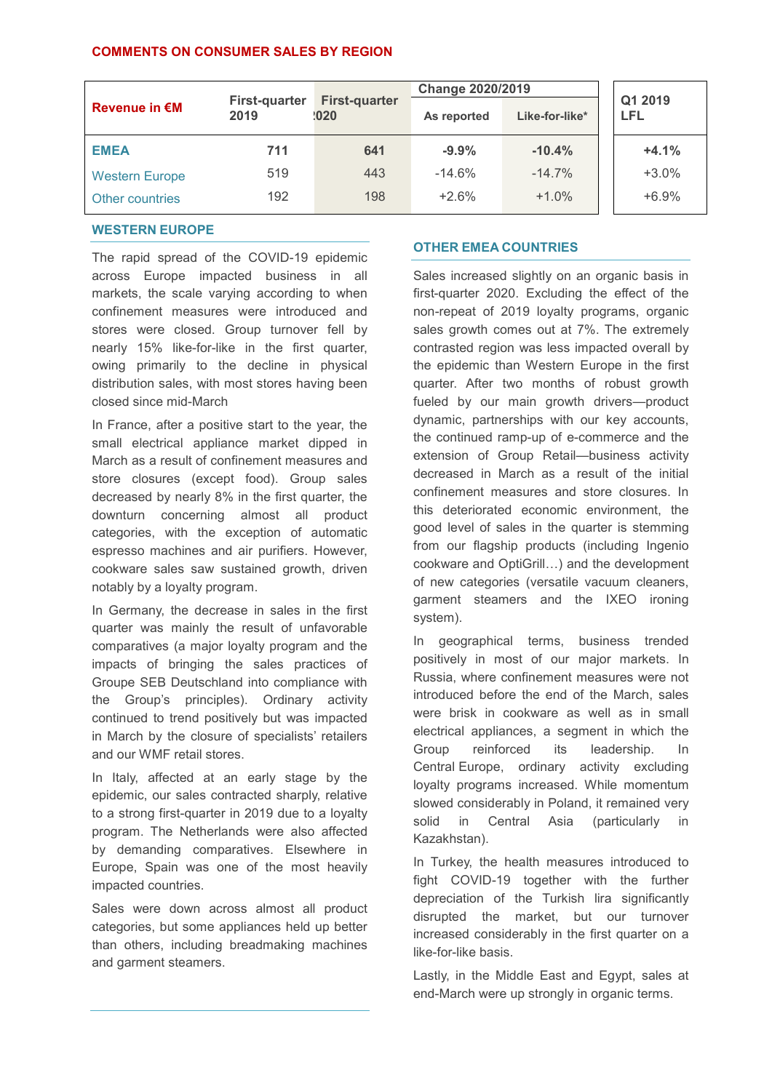### **COMMENTS ON CONSUMER SALES BY REGION**

|                       |                              |                              | <b>Change 2020/2019</b>       |          |                       |  |
|-----------------------|------------------------------|------------------------------|-------------------------------|----------|-----------------------|--|
| <b>Revenue in €M</b>  | <b>First-quarter</b><br>2019 | <b>First-quarter</b><br>1020 | Like-for-like*<br>As reported |          | Q1 2019<br><b>LFL</b> |  |
| <b>EMEA</b>           | 711                          | 641                          | $-9.9%$                       | $-10.4%$ | $+4.1%$               |  |
| <b>Western Europe</b> | 519                          | 443                          | $-14.6%$                      | $-14.7%$ | $+3.0%$               |  |
| Other countries       | 192                          | 198                          | $+2.6%$                       | $+1.0%$  | $+6.9%$               |  |

### **WESTERN EUROPE**

The rapid spread of the COVID-19 epidemic across Europe impacted business in all markets, the scale varying according to when confinement measures were introduced and stores were closed. Group turnover fell by nearly 15% like-for-like in the first quarter, owing primarily to the decline in physical distribution sales, with most stores having been closed since mid-March

In France, after a positive start to the year, the small electrical appliance market dipped in March as a result of confinement measures and store closures (except food). Group sales decreased by nearly 8% in the first quarter, the downturn concerning almost all product categories, with the exception of automatic espresso machines and air purifiers. However, cookware sales saw sustained growth, driven notably by a loyalty program.

In Germany, the decrease in sales in the first quarter was mainly the result of unfavorable comparatives (a major loyalty program and the impacts of bringing the sales practices of Groupe SEB Deutschland into compliance with the Group's principles). Ordinary activity continued to trend positively but was impacted in March by the closure of specialists' retailers and our WMF retail stores.

In Italy, affected at an early stage by the epidemic, our sales contracted sharply, relative to a strong first-quarter in 2019 due to a loyalty program. The Netherlands were also affected by demanding comparatives. Elsewhere in Europe, Spain was one of the most heavily impacted countries.

Sales were down across almost all product categories, but some appliances held up better than others, including breadmaking machines and garment steamers.

### **OTHER EMEA COUNTRIES**

Sales increased slightly on an organic basis in first-quarter 2020. Excluding the effect of the non-repeat of 2019 loyalty programs, organic sales growth comes out at 7%. The extremely contrasted region was less impacted overall by the epidemic than Western Europe in the first quarter. After two months of robust growth fueled by our main growth drivers—product dynamic, partnerships with our key accounts, the continued ramp-up of e-commerce and the extension of Group Retail—business activity decreased in March as a result of the initial confinement measures and store closures. In this deteriorated economic environment, the good level of sales in the quarter is stemming from our flagship products (including Ingenio cookware and OptiGrill…) and the development of new categories (versatile vacuum cleaners, garment steamers and the IXEO ironing system).

In geographical terms, business trended positively in most of our major markets. In Russia, where confinement measures were not introduced before the end of the March, sales were brisk in cookware as well as in small electrical appliances, a segment in which the Group reinforced its leadership. In Central Europe, ordinary activity excluding loyalty programs increased. While momentum slowed considerably in Poland, it remained very solid in Central Asia (particularly in Kazakhstan).

In Turkey, the health measures introduced to fight COVID-19 together with the further depreciation of the Turkish lira significantly disrupted the market, but our turnover increased considerably in the first quarter on a like-for-like basis.

Lastly, in the Middle East and Egypt, sales at end-March were up strongly in organic terms.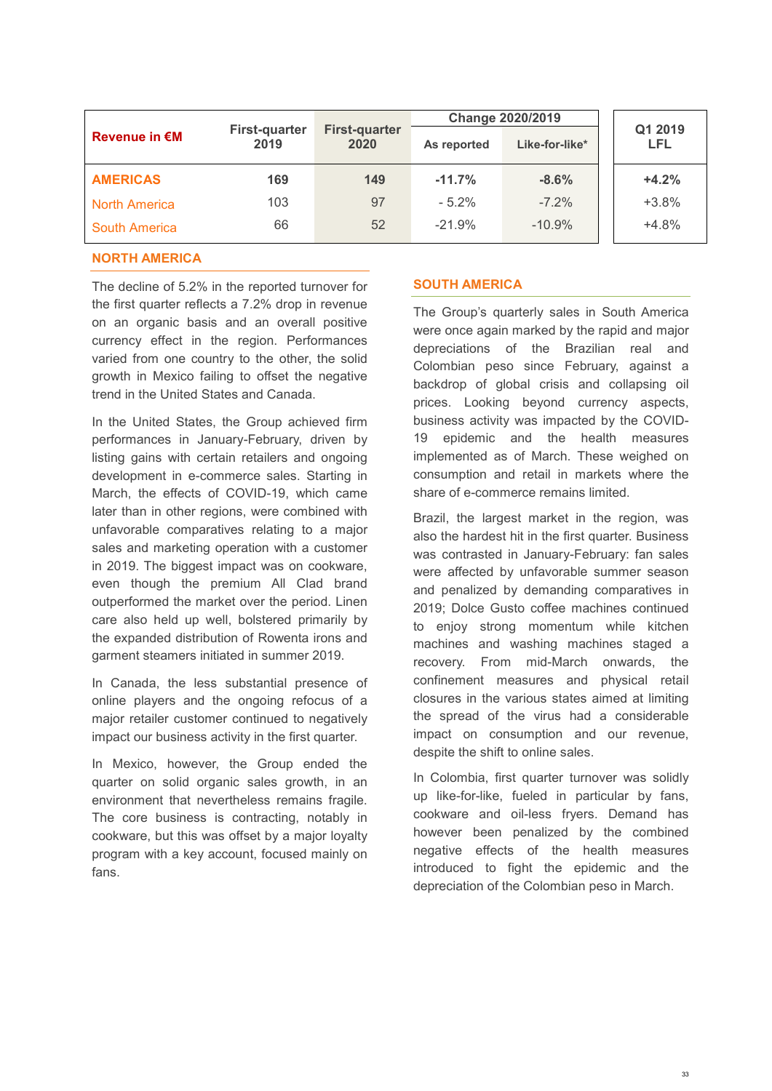|                      |                              |                              | <b>Change 2020/2019</b> |                |                       |  |
|----------------------|------------------------------|------------------------------|-------------------------|----------------|-----------------------|--|
| <b>Revenue in €M</b> | <b>First-quarter</b><br>2019 | <b>First-quarter</b><br>2020 | As reported             | Like-for-like* | Q1 2019<br><b>LFL</b> |  |
| <b>AMERICAS</b>      | 169                          | 149                          | $-11.7%$                | $-8.6%$        | $+4.2%$               |  |
| <b>North America</b> | 103                          | 97                           | $-5.2%$                 | $-7.2\%$       | $+3.8%$               |  |
| <b>South America</b> | 66                           | 52                           | $-21.9%$                | $-10.9%$       | $+4.8%$               |  |

### **NORTH AMERICA**

The decline of 5.2% in the reported turnover for the first quarter reflects a 7.2% drop in revenue on an organic basis and an overall positive currency effect in the region. Performances varied from one country to the other, the solid growth in Mexico failing to offset the negative trend in the United States and Canada.

In the United States, the Group achieved firm performances in January-February, driven by listing gains with certain retailers and ongoing development in e-commerce sales. Starting in March, the effects of COVID-19, which came later than in other regions, were combined with unfavorable comparatives relating to a major sales and marketing operation with a customer in 2019. The biggest impact was on cookware, even though the premium All Clad brand outperformed the market over the period. Linen care also held up well, bolstered primarily by the expanded distribution of Rowenta irons and garment steamers initiated in summer 2019.

In Canada, the less substantial presence of online players and the ongoing refocus of a major retailer customer continued to negatively impact our business activity in the first quarter.

In Mexico, however, the Group ended the quarter on solid organic sales growth, in an environment that nevertheless remains fragile. The core business is contracting, notably in cookware, but this was offset by a major loyalty program with a key account, focused mainly on fans.

### **SOUTH AMERICA**

The Group's quarterly sales in South America were once again marked by the rapid and major depreciations of the Brazilian real and Colombian peso since February, against a backdrop of global crisis and collapsing oil prices. Looking beyond currency aspects, business activity was impacted by the COVID-19 epidemic and the health measures implemented as of March. These weighed on consumption and retail in markets where the share of e-commerce remains limited.

Brazil, the largest market in the region, was also the hardest hit in the first quarter. Business was contrasted in January-February: fan sales were affected by unfavorable summer season and penalized by demanding comparatives in 2019; Dolce Gusto coffee machines continued to enjoy strong momentum while kitchen machines and washing machines staged a recovery. From mid-March onwards, the confinement measures and physical retail closures in the various states aimed at limiting the spread of the virus had a considerable impact on consumption and our revenue, despite the shift to online sales.

In Colombia, first quarter turnover was solidly up like-for-like, fueled in particular by fans, cookware and oil-less fryers. Demand has however been penalized by the combined negative effects of the health measures introduced to fight the epidemic and the depreciation of the Colombian peso in March.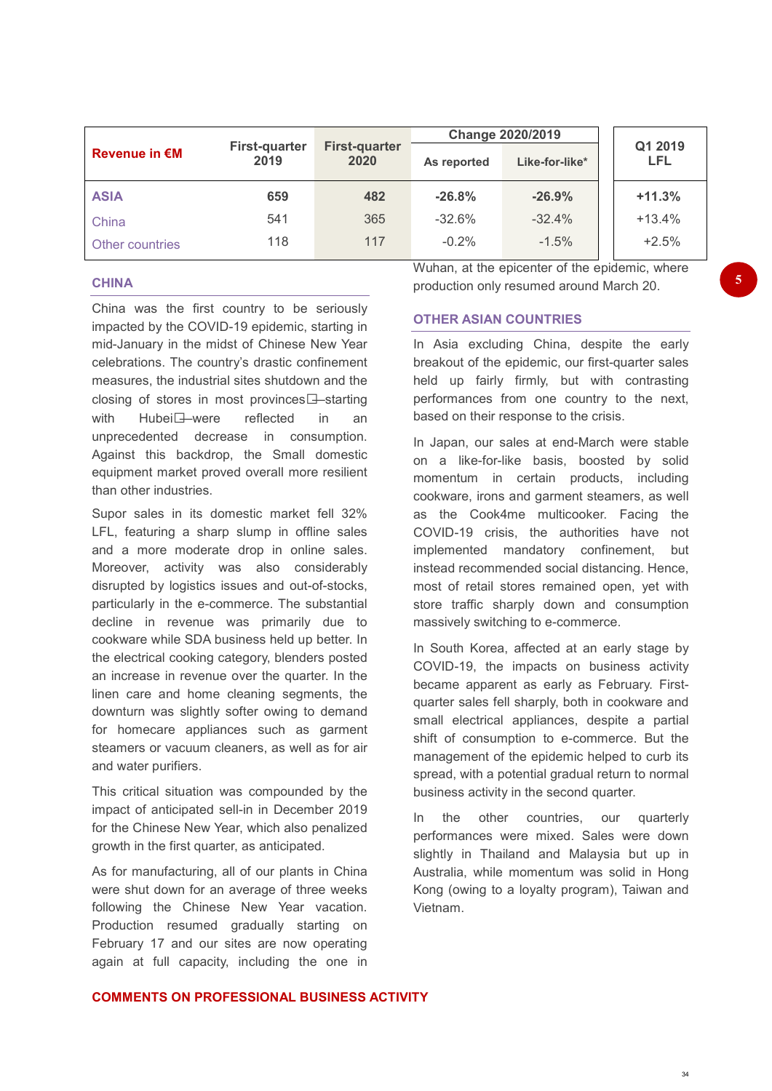|                      |                              |                              | <b>Change 2020/2019</b> |                |  |                |  |
|----------------------|------------------------------|------------------------------|-------------------------|----------------|--|----------------|--|
| <b>Revenue in €M</b> | <b>First-quarter</b><br>2019 | <b>First-quarter</b><br>2020 | As reported             | Like-for-like* |  | Q1 2019<br>LFL |  |
| <b>ASIA</b>          | 659                          | 482                          | $-26.8%$                | $-26.9%$       |  | $+11.3%$       |  |
| China                | 541                          | 365                          | $-32.6%$                | $-32.4%$       |  | $+13.4%$       |  |
| Other countries      | 118                          | 117                          | $-0.2%$                 | $-1.5%$        |  | $+2.5%$        |  |

#### **CHINA**

China was the first country to be seriously impacted by the COVID-19 epidemic, starting in mid-January in the midst of Chinese New Year celebrations. The country's drastic confinement measures, the industrial sites shutdown and the closing of stores in most provinces<sup>[1]</sup>-starting with Hubei<sup>-</sup>were reflected in an unprecedented decrease in consumption. Against this backdrop, the Small domestic equipment market proved overall more resilient than other industries.

Supor sales in its domestic market fell 32% LFL, featuring a sharp slump in offline sales and a more moderate drop in online sales. Moreover, activity was also considerably disrupted by logistics issues and out-of-stocks, particularly in the e-commerce. The substantial decline in revenue was primarily due to cookware while SDA business held up better. In the electrical cooking category, blenders posted an increase in revenue over the quarter. In the linen care and home cleaning segments, the downturn was slightly softer owing to demand for homecare appliances such as garment steamers or vacuum cleaners, as well as for air and water purifiers.

This critical situation was compounded by the impact of anticipated sell-in in December 2019 for the Chinese New Year, which also penalized growth in the first quarter, as anticipated.

As for manufacturing, all of our plants in China were shut down for an average of three weeks following the Chinese New Year vacation. Production resumed gradually starting on February 17 and our sites are now operating again at full capacity, including the one in Wuhan, at the epicenter of the epidemic, where production only resumed around March 20.

### **OTHER ASIAN COUNTRIES**

In Asia excluding China, despite the early breakout of the epidemic, our first-quarter sales held up fairly firmly, but with contrasting performances from one country to the next, based on their response to the crisis.

In Japan, our sales at end-March were stable on a like-for-like basis, boosted by solid momentum in certain products, including cookware, irons and garment steamers, as well as the Cook4me multicooker. Facing the COVID-19 crisis, the authorities have not implemented mandatory confinement, but instead recommended social distancing. Hence, most of retail stores remained open, yet with store traffic sharply down and consumption massively switching to e-commerce.

In South Korea, affected at an early stage by COVID-19, the impacts on business activity became apparent as early as February. Firstquarter sales fell sharply, both in cookware and small electrical appliances, despite a partial shift of consumption to e-commerce. But the management of the epidemic helped to curb its spread, with a potential gradual return to normal business activity in the second quarter.

In the other countries, our quarterly performances were mixed. Sales were down slightly in Thailand and Malaysia but up in Australia, while momentum was solid in Hong Kong (owing to a loyalty program), Taiwan and Vietnam.

#### **COMMENTS ON PROFESSIONAL BUSINESS ACTIVITY**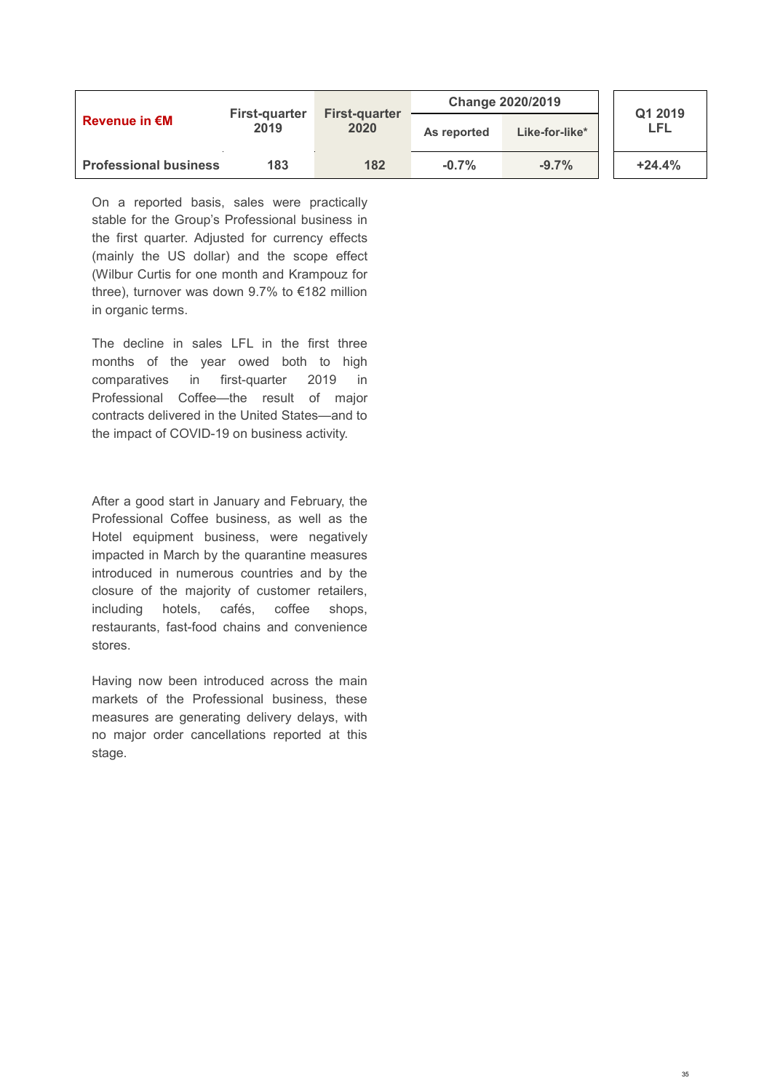| <b>Revenue in €M</b>         |                              |                              | <b>Change 2020/2019</b> |                | Q1 2019  |
|------------------------------|------------------------------|------------------------------|-------------------------|----------------|----------|
|                              | <b>First-quarter</b><br>2019 | <b>First-quarter</b><br>2020 | As reported             | Like-for-like* | LFL      |
| <b>Professional business</b> | 183                          | 182                          | $-0.7%$                 | $-9.7%$        | $+24.4%$ |

On a reported basis, sales were practically stable for the Group's Professional business in the first quarter. Adjusted for currency effects (mainly the US dollar) and the scope effect (Wilbur Curtis for one month and Krampouz for three), turnover was down 9.7% to €182 million in organic terms.

The decline in sales LFL in the first three months of the year owed both to high comparatives in first-quarter 2019 in Professional Coffee—the result of major contracts delivered in the United States—and to the impact of COVID-19 on business activity.

After a good start in January and February, the Professional Coffee business, as well as the Hotel equipment business, were negatively impacted in March by the quarantine measures introduced in numerous countries and by the closure of the majority of customer retailers, including hotels, cafés, coffee shops, restaurants, fast-food chains and convenience stores.

Having now been introduced across the main markets of the Professional business, these measures are generating delivery delays, with no major order cancellations reported at this stage.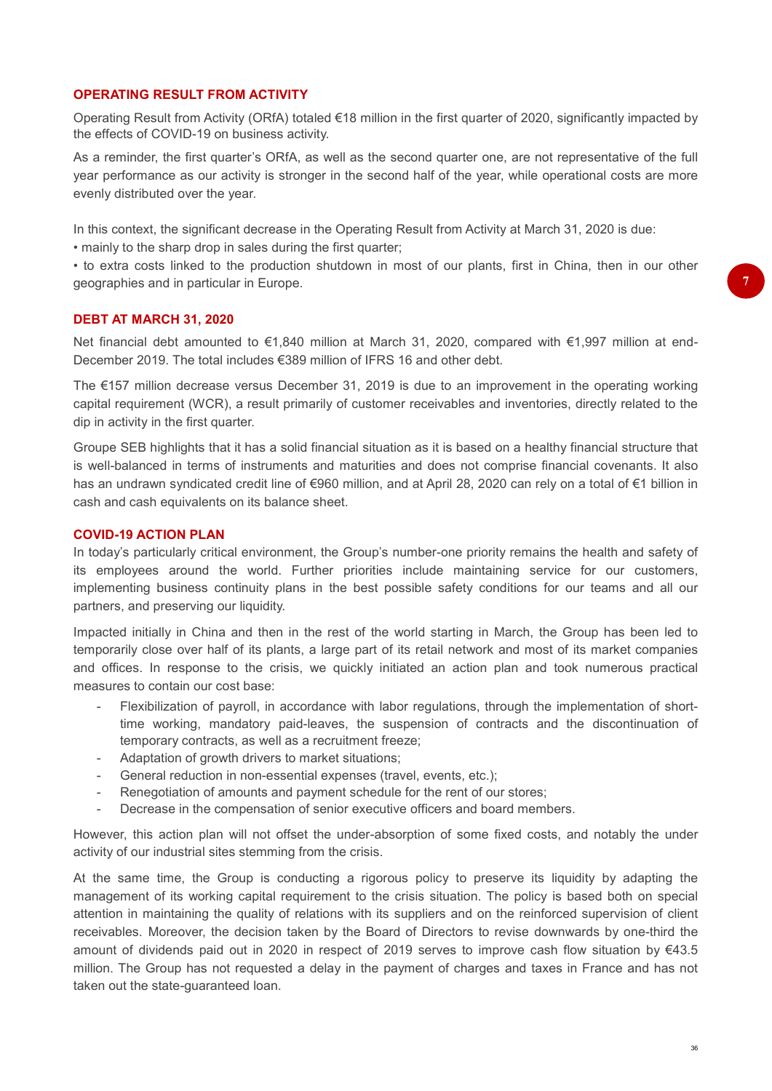### **OPERATING RESULT FROM ACTIVITY**

Operating Result from Activity (ORfA) totaled €18 million in the first quarter of 2020, significantly impacted by the effects of COVID-19 on business activity.

As a reminder, the first quarter's ORfA, as well as the second quarter one, are not representative of the full year performance as our activity is stronger in the second half of the year, while operational costs are more evenly distributed over the year.

In this context, the significant decrease in the Operating Result from Activity at March 31, 2020 is due: • mainly to the sharp drop in sales during the first quarter;

• to extra costs linked to the production shutdown in most of our plants, first in China, then in our other geographies and in particular in Europe.

#### **DEBT AT MARCH 31, 2020**

Net financial debt amounted to €1,840 million at March 31, 2020, compared with €1,997 million at end-December 2019. The total includes €389 million of IFRS 16 and other debt.

The €157 million decrease versus December 31, 2019 is due to an improvement in the operating working capital requirement (WCR), a result primarily of customer receivables and inventories, directly related to the dip in activity in the first quarter.

Groupe SEB highlights that it has a solid financial situation as it is based on a healthy financial structure that is well-balanced in terms of instruments and maturities and does not comprise financial covenants. It also has an undrawn syndicated credit line of €960 million, and at April 28, 2020 can rely on a total of €1 billion in cash and cash equivalents on its balance sheet.

#### **COVID-19 ACTION PLAN**

In today's particularly critical environment, the Group's number-one priority remains the health and safety of its employees around the world. Further priorities include maintaining service for our customers, implementing business continuity plans in the best possible safety conditions for our teams and all our partners, and preserving our liquidity.

Impacted initially in China and then in the rest of the world starting in March, the Group has been led to temporarily close over half of its plants, a large part of its retail network and most of its market companies and offices. In response to the crisis, we quickly initiated an action plan and took numerous practical measures to contain our cost base:

- Flexibilization of payroll, in accordance with labor regulations, through the implementation of shorttime working, mandatory paid-leaves, the suspension of contracts and the discontinuation of temporary contracts, as well as a recruitment freeze;
- Adaptation of growth drivers to market situations;
- General reduction in non-essential expenses (travel, events, etc.);
- Renegotiation of amounts and payment schedule for the rent of our stores;
- Decrease in the compensation of senior executive officers and board members.

However, this action plan will not offset the under-absorption of some fixed costs, and notably the under activity of our industrial sites stemming from the crisis.

At the same time, the Group is conducting a rigorous policy to preserve its liquidity by adapting the management of its working capital requirement to the crisis situation. The policy is based both on special attention in maintaining the quality of relations with its suppliers and on the reinforced supervision of client receivables. Moreover, the decision taken by the Board of Directors to revise downwards by one-third the amount of dividends paid out in 2020 in respect of 2019 serves to improve cash flow situation by €43.5 million. The Group has not requested a delay in the payment of charges and taxes in France and has not taken out the state-guaranteed loan.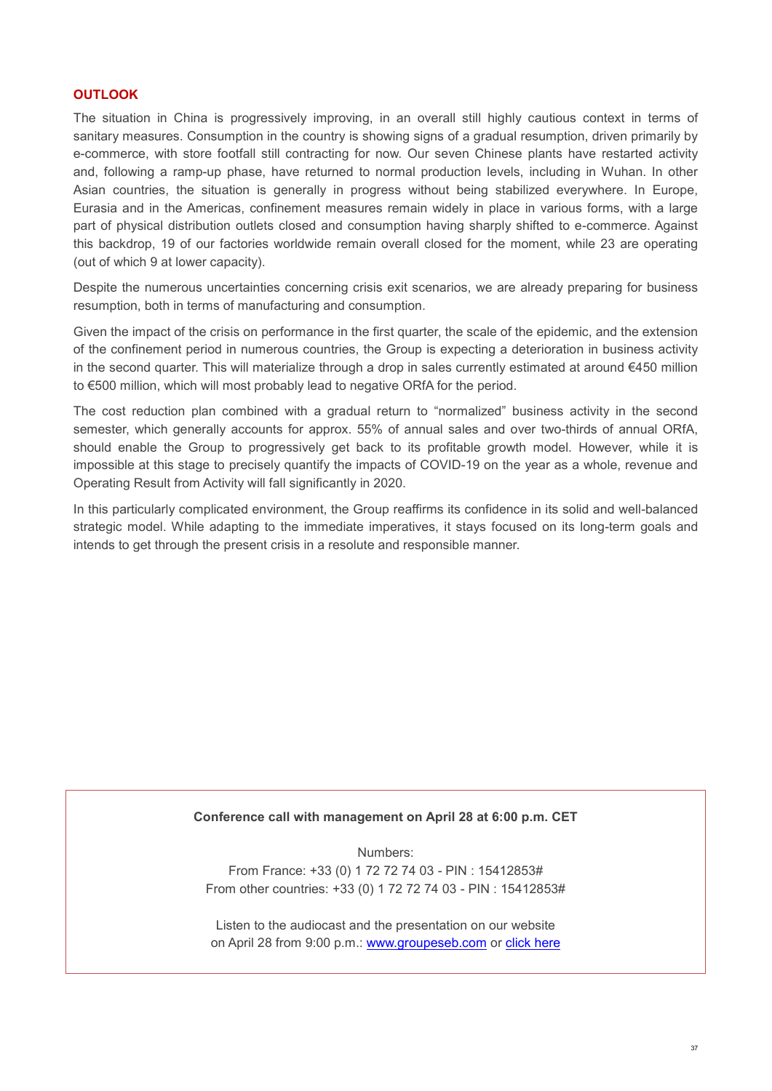### **OUTLOOK**

The situation in China is progressively improving, in an overall still highly cautious context in terms of sanitary measures. Consumption in the country is showing signs of a gradual resumption, driven primarily by e-commerce, with store footfall still contracting for now. Our seven Chinese plants have restarted activity and, following a ramp-up phase, have returned to normal production levels, including in Wuhan. In other Asian countries, the situation is generally in progress without being stabilized everywhere. In Europe, Eurasia and in the Americas, confinement measures remain widely in place in various forms, with a large part of physical distribution outlets closed and consumption having sharply shifted to e-commerce. Against this backdrop, 19 of our factories worldwide remain overall closed for the moment, while 23 are operating (out of which 9 at lower capacity).

Despite the numerous uncertainties concerning crisis exit scenarios, we are already preparing for business resumption, both in terms of manufacturing and consumption.

Given the impact of the crisis on performance in the first quarter, the scale of the epidemic, and the extension of the confinement period in numerous countries, the Group is expecting a deterioration in business activity in the second quarter. This will materialize through a drop in sales currently estimated at around €450 million to €500 million, which will most probably lead to negative ORfA for the period.

The cost reduction plan combined with a gradual return to "normalized" business activity in the second semester, which generally accounts for approx. 55% of annual sales and over two-thirds of annual ORfA, should enable the Group to progressively get back to its profitable growth model. However, while it is impossible at this stage to precisely quantify the impacts of COVID-19 on the year as a whole, revenue and Operating Result from Activity will fall significantly in 2020.

In this particularly complicated environment, the Group reaffirms its confidence in its solid and well-balanced strategic model. While adapting to the immediate imperatives, it stays focused on its long-term goals and intends to get through the present crisis in a resolute and responsible manner.

#### **Conference call with management on April 28 at 6:00 p.m. CET**

Numbers: From France: +33 (0) 1 72 72 74 03 - PIN : 15412853# From other countries: +33 (0) 1 72 72 74 03 - PIN : 15412853#

Listen to the audiocast and the presentation on our website on April 28 from 9:00 p.m.: [www.groupeseb.com](https://www.groupeseb.com/fr) or [click here](https://hosting.3sens.com/SEB/20200428-36F7B8C9/en/startup.php)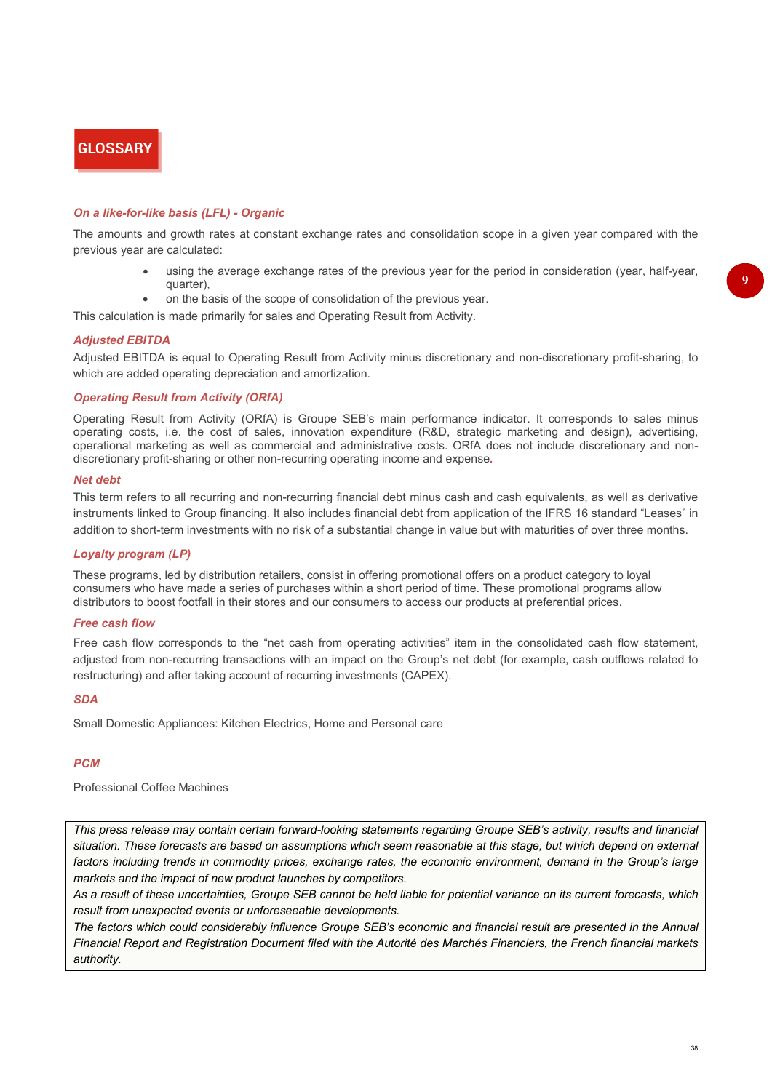# **GLOSSARY**

#### *On a like-for-like basis (LFL) - Organic*

The amounts and growth rates at constant exchange rates and consolidation scope in a given year compared with the previous year are calculated:

- using the average exchange rates of the previous year for the period in consideration (year, half-year, quarter),
- on the basis of the scope of consolidation of the previous year.

This calculation is made primarily for sales and Operating Result from Activity.

#### *Adjusted EBITDA*

Adjusted EBITDA is equal to Operating Result from Activity minus discretionary and non-discretionary profit-sharing, to which are added operating depreciation and amortization.

#### *Operating Result from Activity (ORfA)*

Operating Result from Activity (ORfA) is Groupe SEB's main performance indicator. It corresponds to sales minus operating costs, i.e. the cost of sales, innovation expenditure (R&D, strategic marketing and design), advertising, operational marketing as well as commercial and administrative costs. ORfA does not include discretionary and nondiscretionary profit-sharing or other non-recurring operating income and expense*.*

#### *Net debt*

This term refers to all recurring and non-recurring financial debt minus cash and cash equivalents, as well as derivative instruments linked to Group financing. It also includes financial debt from application of the IFRS 16 standard "Leases" in addition to short-term investments with no risk of a substantial change in value but with maturities of over three months.

#### *Loyalty program (LP)*

These programs, led by distribution retailers, consist in offering promotional offers on a product category to loyal consumers who have made a series of purchases within a short period of time. These promotional programs allow distributors to boost footfall in their stores and our consumers to access our products at preferential prices.

#### *Free cash flow*

Free cash flow corresponds to the "net cash from operating activities" item in the consolidated cash flow statement, adjusted from non-recurring transactions with an impact on the Group's net debt (for example, cash outflows related to restructuring) and after taking account of recurring investments (CAPEX).

#### *SDA*

Small Domestic Appliances: Kitchen Electrics, Home and Personal care

#### *PCM*

Professional Coffee Machines

*This press release may contain certain forward-looking statements regarding Groupe SEB's activity, results and financial situation. These forecasts are based on assumptions which seem reasonable at this stage, but which depend on external*  factors including trends in commodity prices, exchange rates, the economic environment, demand in the Group's large *markets and the impact of new product launches by competitors.* 

*As a result of these uncertainties, Groupe SEB cannot be held liable for potential variance on its current forecasts, which result from unexpected events or unforeseeable developments.*

*The factors which could considerably influence Groupe SEB's economic and financial result are presented in the Annual Financial Report and Registration Document filed with the Autorité des Marchés Financiers, the French financial markets authority.*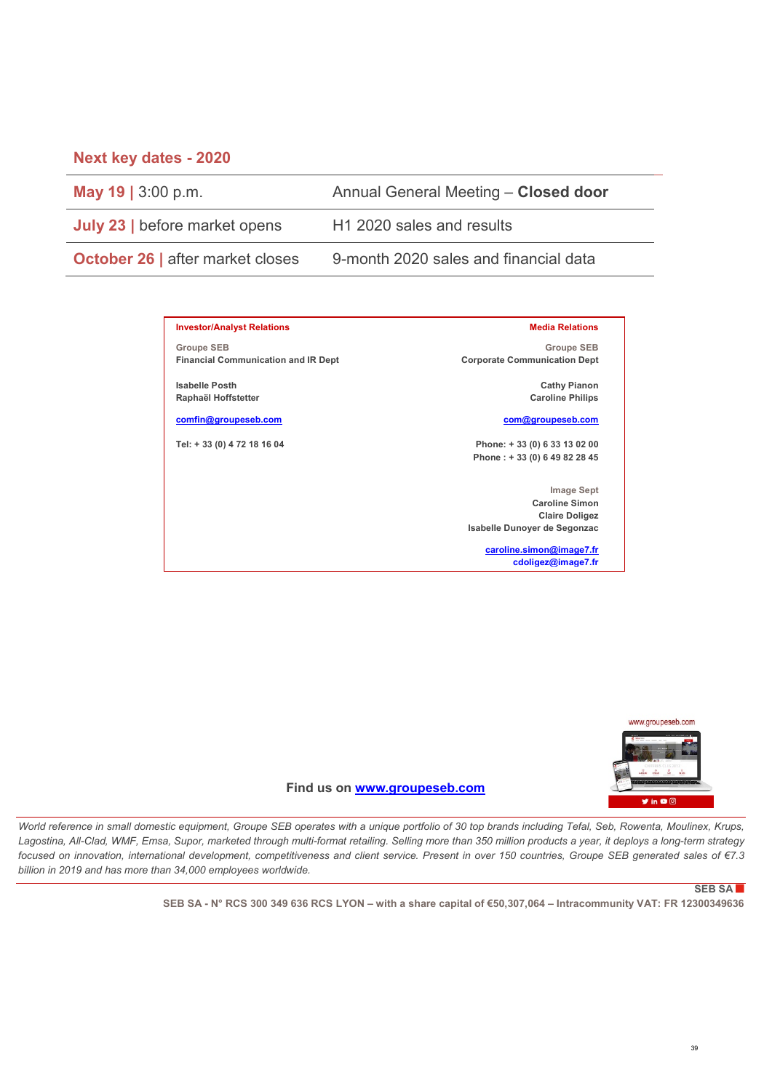### **Next key dates - 2020**

**May 19 |** 3:00 p.m. Annual General Meeting – **Closed door**

**July 23** | before market opens H1 2020 sales and results

**Groupe SEB**

**Isabelle Posth Raphaël Hoffstetter [comfin@groupeseb.com](mailto:comfin@groupeseb.com) Tel: + 33 (0) 4 72 18 16 04**

**Investor/Analyst Relations**

**Financial Communication and IR Dept**

**October 26 | after market closes 9-month 2020 sales and financial data** 

#### **Media Relations**

**Groupe SEB Corporate Communication Dept**

> **Cathy Pianon Caroline Philips**

#### **[com@groupeseb.com](mailto:com@groupeseb.com)**

**Phone: + 33 (0) 6 33 13 02 00 Phone : + 33 (0) 6 49 82 28 45**

**Image Sept Caroline Simon Claire Doligez Isabelle Dunoyer de Segonzac** 

> **caroline.simon@image7.fr cdoligez@image7.fr**



**Find us on [www.groupeseb.com](https://www.groupeseb.com/fr)**

*World reference in small domestic equipment, Groupe SEB operates with a unique portfolio of 30 top brands including Tefal, Seb, Rowenta, Moulinex, Krups, Lagostina, All-Clad, WMF, Emsa, Supor, marketed through multi-format retailing. Selling more than 350 million products a year, it deploys a long-term strategy focused on innovation, international development, competitiveness and client service. Present in over 150 countries, Groupe SEB generated sales of €7.3 billion in 2019 and has more than 34,000 employees worldwide.* 

#### **SEB SA**

**SEB SA - N° RCS 300 349 636 RCS LYON – with a share capital of €50,307,064 – Intracommunity VAT: FR 12300349636**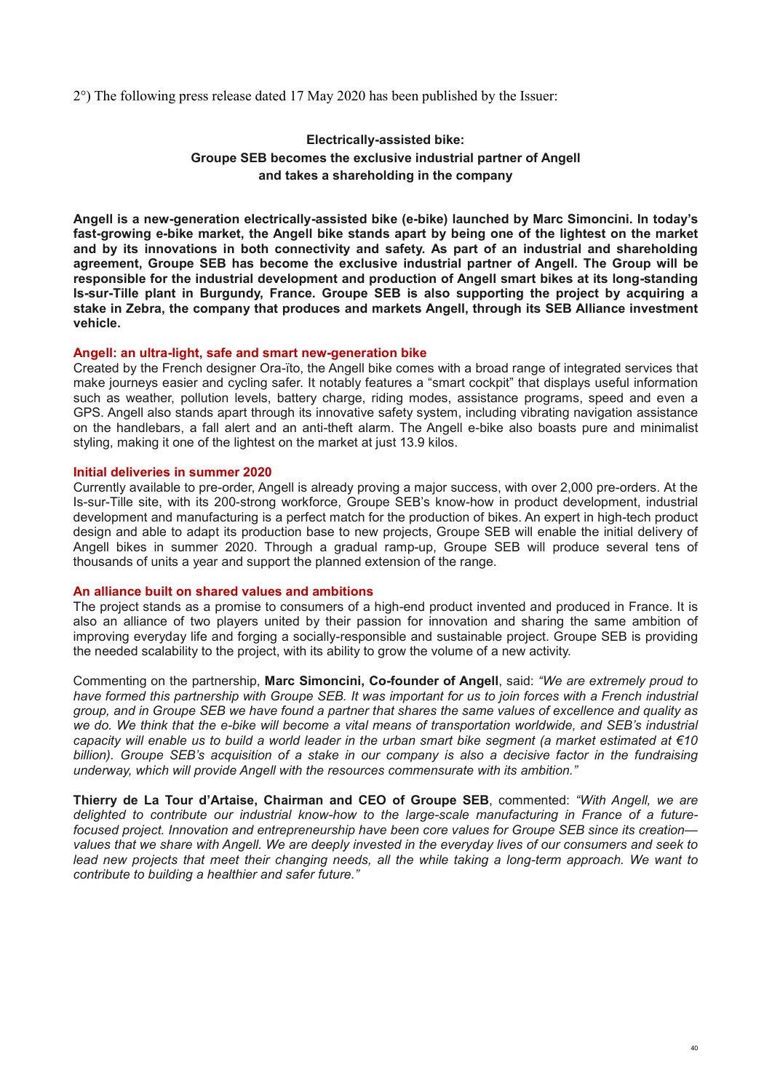2°) The following press release dated 17 May 2020 has been published by the Issuer:

### **Electrically-assisted bike: Groupe SEB becomes the exclusive industrial partner of Angell and takes a shareholding in the company**

**Angell is a new-generation electrically-assisted bike (e-bike) launched by Marc Simoncini. In today's fast-growing e-bike market, the Angell bike stands apart by being one of the lightest on the market and by its innovations in both connectivity and safety. As part of an industrial and shareholding agreement, Groupe SEB has become the exclusive industrial partner of Angell. The Group will be responsible for the industrial development and production of Angell smart bikes at its long-standing Is-sur-Tille plant in Burgundy, France. Groupe SEB is also supporting the project by acquiring a stake in Zebra, the company that produces and markets Angell, through its SEB Alliance investment vehicle.**

#### **Angell: an ultra-light, safe and smart new-generation bike**

Created by the French designer Ora-ïto, the Angell bike comes with a broad range of integrated services that make journeys easier and cycling safer. It notably features a "smart cockpit" that displays useful information such as weather, pollution levels, battery charge, riding modes, assistance programs, speed and even a GPS. Angell also stands apart through its innovative safety system, including vibrating navigation assistance on the handlebars, a fall alert and an anti-theft alarm. The Angell e-bike also boasts pure and minimalist styling, making it one of the lightest on the market at just 13.9 kilos.

#### **Initial deliveries in summer 2020**

Currently available to pre-order, Angell is already proving a major success, with over 2,000 pre-orders. At the Is-sur-Tille site, with its 200-strong workforce, Groupe SEB's know-how in product development, industrial development and manufacturing is a perfect match for the production of bikes. An expert in high-tech product design and able to adapt its production base to new projects, Groupe SEB will enable the initial delivery of Angell bikes in summer 2020. Through a gradual ramp-up, Groupe SEB will produce several tens of thousands of units a year and support the planned extension of the range.

#### **An alliance built on shared values and ambitions**

The project stands as a promise to consumers of a high-end product invented and produced in France. It is also an alliance of two players united by their passion for innovation and sharing the same ambition of improving everyday life and forging a socially-responsible and sustainable project. Groupe SEB is providing the needed scalability to the project, with its ability to grow the volume of a new activity.

Commenting on the partnership, **Marc Simoncini, Co-founder of Angell**, said: *"We are extremely proud to have formed this partnership with Groupe SEB. It was important for us to join forces with a French industrial group, and in Groupe SEB we have found a partner that shares the same values of excellence and quality as we do. We think that the e-bike will become a vital means of transportation worldwide, and SEB's industrial capacity will enable us to build a world leader in the urban smart bike segment (a market estimated at €10 billion). Groupe SEB's acquisition of a stake in our company is also a decisive factor in the fundraising underway, which will provide Angell with the resources commensurate with its ambition."*

**Thierry de La Tour d'Artaise, Chairman and CEO of Groupe SEB**, commented: *"With Angell, we are delighted to contribute our industrial know-how to the large-scale manufacturing in France of a futurefocused project. Innovation and entrepreneurship have been core values for Groupe SEB since its creation values that we share with Angell. We are deeply invested in the everyday lives of our consumers and seek to*  lead new projects that meet their changing needs, all the while taking a long-term approach. We want to *contribute to building a healthier and safer future."*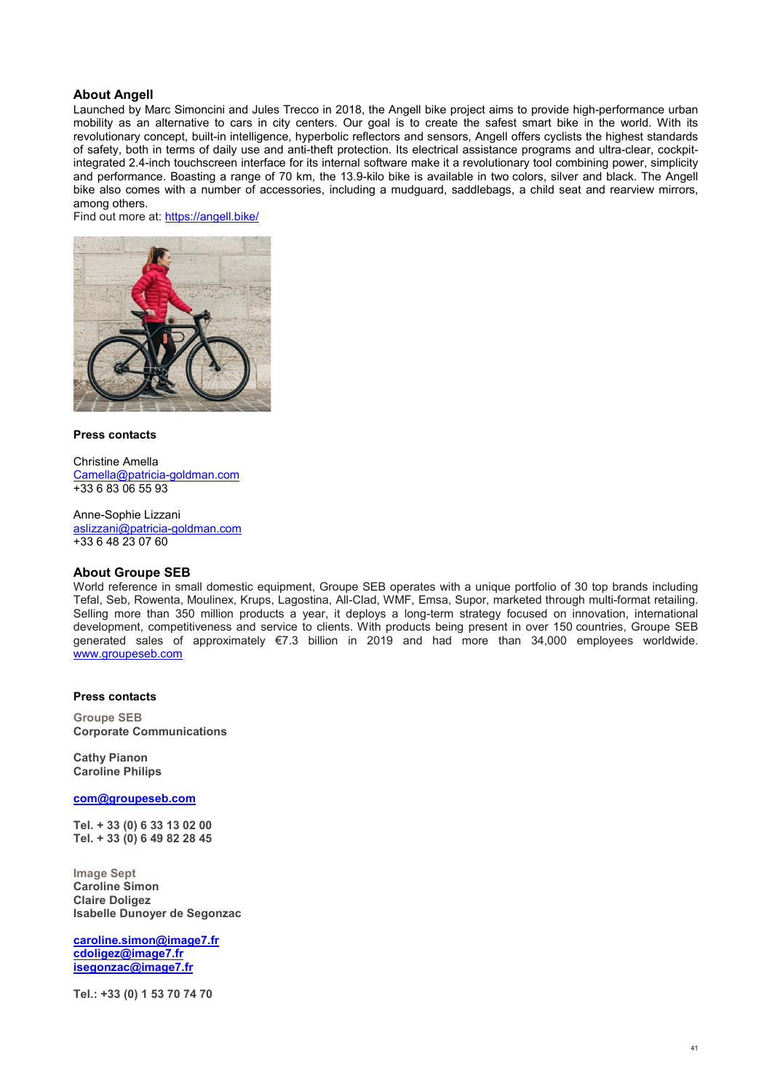#### **About Angell**

Launched by Marc Simoncini and Jules Trecco in 2018, the Angell bike project aims to provide high-performance urban mobility as an alternative to cars in city centers. Our goal is to create the safest smart bike in the world. With its revolutionary concept, built-in intelligence, hyperbolic reflectors and sensors, Angell offers cyclists the highest standards of safety, both in terms of daily use and anti-theft protection. Its electrical assistance programs and ultra-clear, cockpitintegrated 2.4-inch touchscreen interface for its internal software make it a revolutionary tool combining power, simplicity and performance. Boasting a range of 70 km, the 13.9-kilo bike is available in two colors, silver and black. The Angell bike also comes with a number of accessories, including a mudguard, saddlebags, a child seat and rearview mirrors, among others.

Find out more at:<https://angell.bike/>



#### **Press contacts**

Christine Amella [Camella@patricia-goldman.com](mailto:Camella@patricia-goldman.com) +33 6 83 06 55 93

Anne-Sophie Lizzani [aslizzani@patricia-goldman.com](mailto:aslizzani@patricia-goldman.com) +33 6 48 23 07 60

#### **About Groupe SEB**

World reference in small domestic equipment, Groupe SEB operates with a unique portfolio of 30 top brands including Tefal, Seb, Rowenta, Moulinex, Krups, Lagostina, All-Clad, WMF, Emsa, Supor, marketed through multi-format retailing. Selling more than 350 million products a year, it deploys a long-term strategy focused on innovation, international development, competitiveness and service to clients. With products being present in over 150 countries, Groupe SEB generated sales of approximately €7.3 billion in 2019 and had more than 34,000 employees worldwide. [www.groupeseb.com](http://www.groupeseb.com/)

#### **Press contacts**

**Groupe SEB Corporate Communications** 

**Cathy Pianon Caroline Philips**

**[com@groupeseb.com](mailto:com@groupeseb.com)**

**Tel. + 33 (0) 6 33 13 02 00 Tel. + 33 (0) 6 49 82 28 45**

**Image Sept Caroline Simon Claire Doligez Isabelle Dunoyer de Segonzac** 

**caroline.simon@image7.fr cdoligez@image7.fr isegonzac@image7.fr**

**Tel.: +33 (0) 1 53 70 74 70**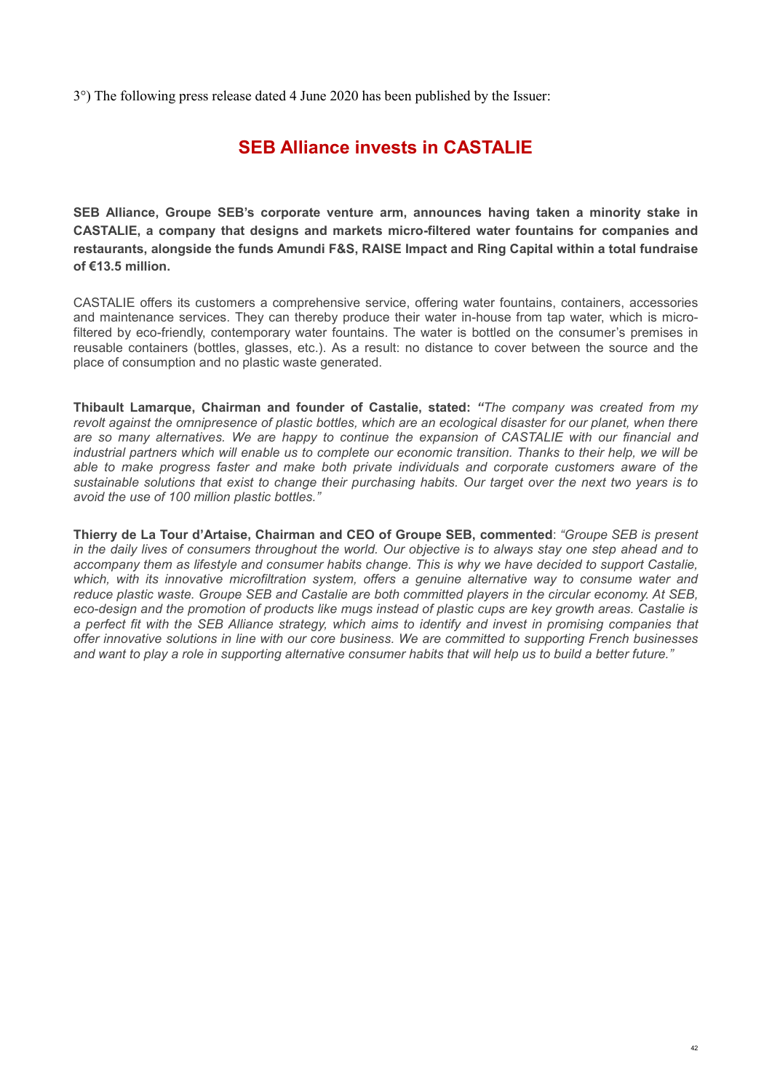3°) The following press release dated 4 June 2020 has been published by the Issuer:

# **SEB Alliance invests in CASTALIE**

**SEB Alliance, Groupe SEB's corporate venture arm, announces having taken a minority stake in CASTALIE, a company that designs and markets micro-filtered water fountains for companies and restaurants, alongside the funds Amundi F&S, RAISE Impact and Ring Capital within a total fundraise of €13.5 million.** 

CASTALIE offers its customers a comprehensive service, offering water fountains, containers, accessories and maintenance services. They can thereby produce their water in-house from tap water, which is microfiltered by eco-friendly, contemporary water fountains. The water is bottled on the consumer's premises in reusable containers (bottles, glasses, etc.). As a result: no distance to cover between the source and the place of consumption and no plastic waste generated.

**Thibault Lamarque, Chairman and founder of Castalie, stated:** *"The company was created from my revolt against the omnipresence of plastic bottles, which are an ecological disaster for our planet, when there are so many alternatives. We are happy to continue the expansion of CASTALIE with our financial and industrial partners which will enable us to complete our economic transition. Thanks to their help, we will be able to make progress faster and make both private individuals and corporate customers aware of the sustainable solutions that exist to change their purchasing habits. Our target over the next two years is to avoid the use of 100 million plastic bottles."*

**Thierry de La Tour d'Artaise, Chairman and CEO of Groupe SEB, commented**: *"Groupe SEB is present in the daily lives of consumers throughout the world. Our objective is to always stay one step ahead and to accompany them as lifestyle and consumer habits change. This is why we have decided to support Castalie, which, with its innovative microfiltration system, offers a genuine alternative way to consume water and reduce plastic waste. Groupe SEB and Castalie are both committed players in the circular economy. At SEB, eco-design and the promotion of products like mugs instead of plastic cups are key growth areas. Castalie is a perfect fit with the SEB Alliance strategy, which aims to identify and invest in promising companies that offer innovative solutions in line with our core business. We are committed to supporting French businesses and want to play a role in supporting alternative consumer habits that will help us to build a better future."*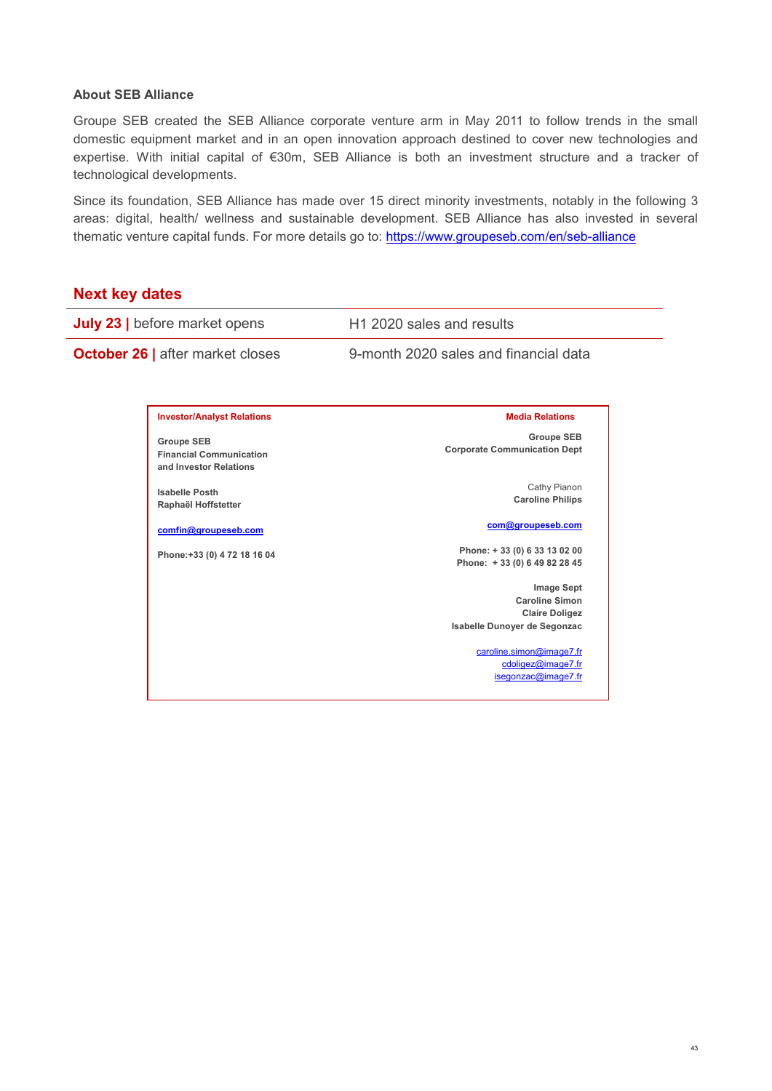### **About SEB Alliance**

Groupe SEB created the SEB Alliance corporate venture arm in May 2011 to follow trends in the small domestic equipment market and in an open innovation approach destined to cover new technologies and expertise. With initial capital of €30m, SEB Alliance is both an investment structure and a tracker of technological developments.

Since its foundation, SEB Alliance has made over 15 direct minority investments, notably in the following 3 areas: digital, health/ wellness and sustainable development. SEB Alliance has also invested in several thematic venture capital funds. For more details go to:<https://www.groupeseb.com/en/seb-alliance>

## **Next key dates**

| <b>July 23</b>   before market opens |                                                                               | H <sub>1</sub> 2020 sales and results                                                                                           |  |
|--------------------------------------|-------------------------------------------------------------------------------|---------------------------------------------------------------------------------------------------------------------------------|--|
|                                      | <b>October 26   after market closes</b>                                       | 9-month 2020 sales and financial data                                                                                           |  |
|                                      |                                                                               |                                                                                                                                 |  |
|                                      | <b>Investor/Analyst Relations</b>                                             | <b>Media Relations</b>                                                                                                          |  |
|                                      | <b>Groupe SEB</b><br><b>Financial Communication</b><br>and Investor Relations | <b>Groupe SEB</b><br><b>Corporate Communication Dept</b>                                                                        |  |
|                                      | <b>Isabelle Posth</b><br>Raphaël Hoffstetter                                  | Cathy Pianon<br><b>Caroline Philips</b>                                                                                         |  |
|                                      | comfin@groupeseb.com                                                          | com@groupeseb.com                                                                                                               |  |
|                                      | Phone: +33 (0) 4 72 18 16 04                                                  | Phone: +33 (0) 633 13 02 00<br>Phone: +33 (0) 6 49 82 28 45                                                                     |  |
|                                      |                                                                               | <b>Image Sept</b><br><b>Caroline Simon</b><br><b>Claire Doligez</b><br>Isabelle Dunoyer de Segonzac<br>caroline.simon@image7.fr |  |
|                                      |                                                                               | cdoligez@image7.fr<br>isegonzac@image7.fr                                                                                       |  |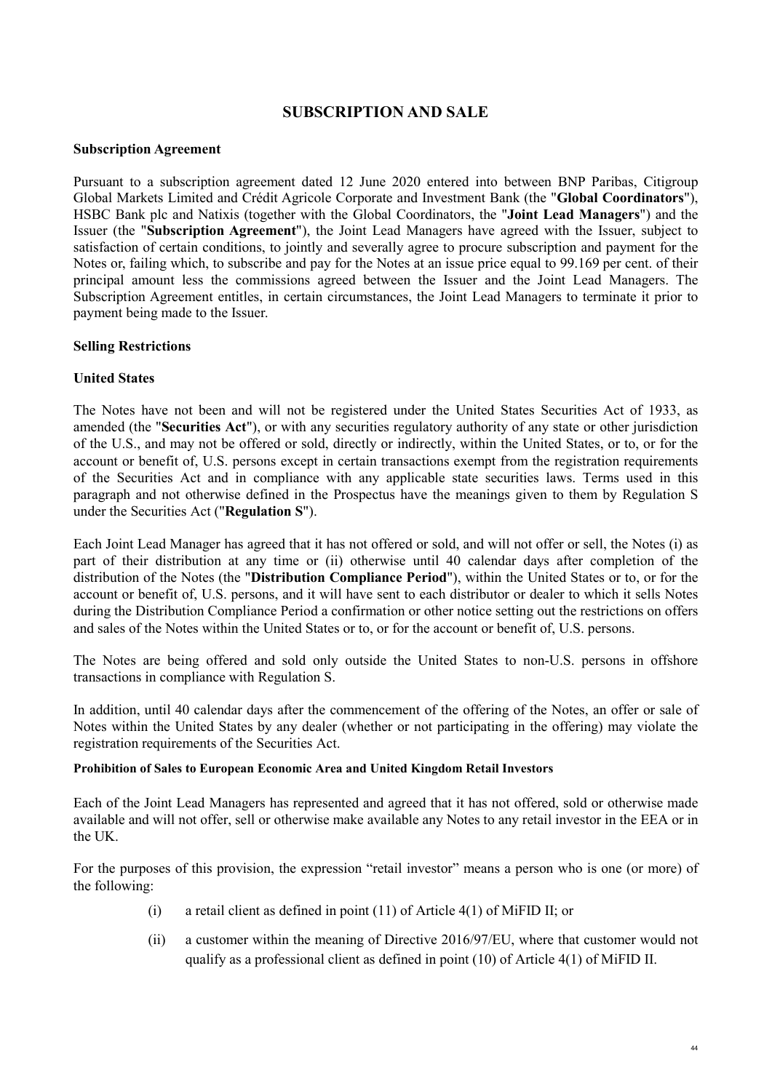## **SUBSCRIPTION AND SALE**

### <span id="page-43-0"></span>**Subscription Agreement**

Pursuant to a subscription agreement dated 12 June 2020 entered into between BNP Paribas, Citigroup Global Markets Limited and Crédit Agricole Corporate and Investment Bank (the "**Global Coordinators**"), HSBC Bank plc and Natixis (together with the Global Coordinators, the "**Joint Lead Managers**") and the Issuer (the "**Subscription Agreement**"), the Joint Lead Managers have agreed with the Issuer, subject to satisfaction of certain conditions, to jointly and severally agree to procure subscription and payment for the Notes or, failing which, to subscribe and pay for the Notes at an issue price equal to 99.169 per cent. of their principal amount less the commissions agreed between the Issuer and the Joint Lead Managers. The Subscription Agreement entitles, in certain circumstances, the Joint Lead Managers to terminate it prior to payment being made to the Issuer.

### **Selling Restrictions**

### **United States**

The Notes have not been and will not be registered under the United States Securities Act of 1933, as amended (the "**Securities Act**"), or with any securities regulatory authority of any state or other jurisdiction of the U.S., and may not be offered or sold, directly or indirectly, within the United States, or to, or for the account or benefit of, U.S. persons except in certain transactions exempt from the registration requirements of the Securities Act and in compliance with any applicable state securities laws. Terms used in this paragraph and not otherwise defined in the Prospectus have the meanings given to them by Regulation S under the Securities Act ("**Regulation S**").

Each Joint Lead Manager has agreed that it has not offered or sold, and will not offer or sell, the Notes (i) as part of their distribution at any time or (ii) otherwise until 40 calendar days after completion of the distribution of the Notes (the "**Distribution Compliance Period**"), within the United States or to, or for the account or benefit of, U.S. persons, and it will have sent to each distributor or dealer to which it sells Notes during the Distribution Compliance Period a confirmation or other notice setting out the restrictions on offers and sales of the Notes within the United States or to, or for the account or benefit of, U.S. persons.

The Notes are being offered and sold only outside the United States to non-U.S. persons in offshore transactions in compliance with Regulation S.

In addition, until 40 calendar days after the commencement of the offering of the Notes, an offer or sale of Notes within the United States by any dealer (whether or not participating in the offering) may violate the registration requirements of the Securities Act.

#### **Prohibition of Sales to European Economic Area and United Kingdom Retail Investors**

Each of the Joint Lead Managers has represented and agreed that it has not offered, sold or otherwise made available and will not offer, sell or otherwise make available any Notes to any retail investor in the EEA or in the UK.

For the purposes of this provision, the expression "retail investor" means a person who is one (or more) of the following:

- (i) a retail client as defined in point (11) of Article 4(1) of MiFID II; or
- (ii) a customer within the meaning of Directive 2016/97/EU, where that customer would not qualify as a professional client as defined in point (10) of Article 4(1) of MiFID II.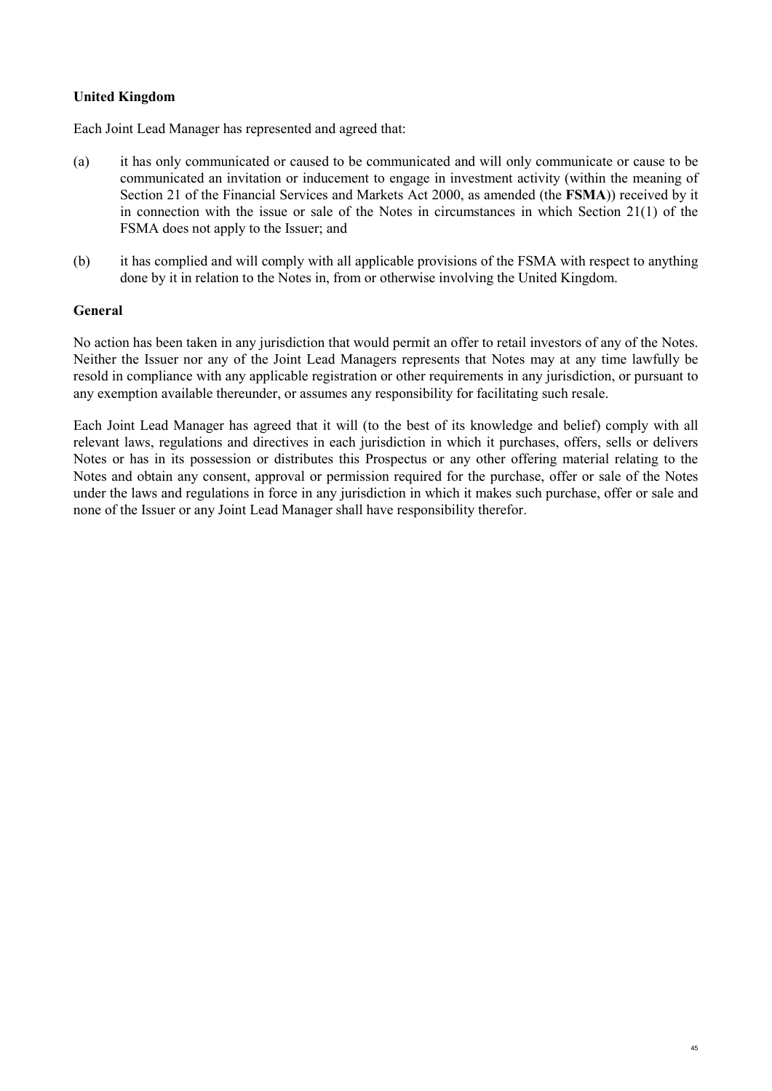## **United Kingdom**

Each Joint Lead Manager has represented and agreed that:

- (a) it has only communicated or caused to be communicated and will only communicate or cause to be communicated an invitation or inducement to engage in investment activity (within the meaning of Section 21 of the Financial Services and Markets Act 2000, as amended (the **FSMA**)) received by it in connection with the issue or sale of the Notes in circumstances in which Section 21(1) of the FSMA does not apply to the Issuer; and
- (b) it has complied and will comply with all applicable provisions of the FSMA with respect to anything done by it in relation to the Notes in, from or otherwise involving the United Kingdom.

### **General**

No action has been taken in any jurisdiction that would permit an offer to retail investors of any of the Notes. Neither the Issuer nor any of the Joint Lead Managers represents that Notes may at any time lawfully be resold in compliance with any applicable registration or other requirements in any jurisdiction, or pursuant to any exemption available thereunder, or assumes any responsibility for facilitating such resale.

Each Joint Lead Manager has agreed that it will (to the best of its knowledge and belief) comply with all relevant laws, regulations and directives in each jurisdiction in which it purchases, offers, sells or delivers Notes or has in its possession or distributes this Prospectus or any other offering material relating to the Notes and obtain any consent, approval or permission required for the purchase, offer or sale of the Notes under the laws and regulations in force in any jurisdiction in which it makes such purchase, offer or sale and none of the Issuer or any Joint Lead Manager shall have responsibility therefor.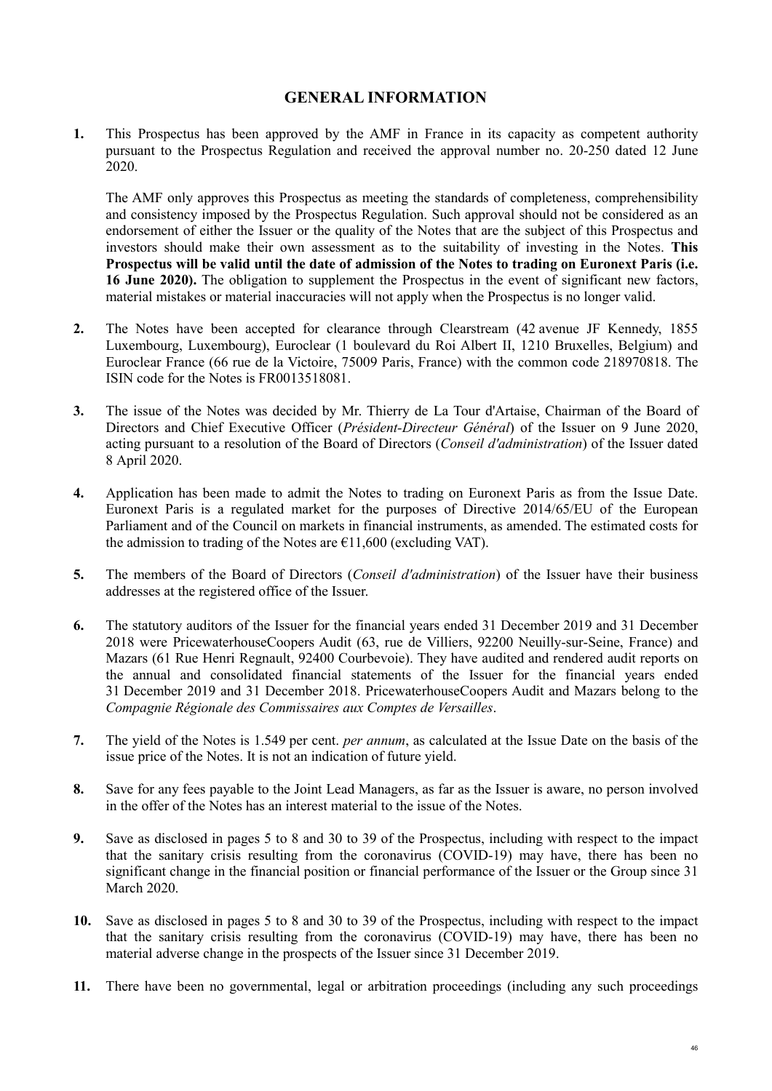## **GENERAL INFORMATION**

<span id="page-45-0"></span>**1.** This Prospectus has been approved by the AMF in France in its capacity as competent authority pursuant to the Prospectus Regulation and received the approval number no. 20-250 dated 12 June 2020.

The AMF only approves this Prospectus as meeting the standards of completeness, comprehensibility and consistency imposed by the Prospectus Regulation. Such approval should not be considered as an endorsement of either the Issuer or the quality of the Notes that are the subject of this Prospectus and investors should make their own assessment as to the suitability of investing in the Notes. **This Prospectus will be valid until the date of admission of the Notes to trading on Euronext Paris (i.e. 16 June 2020).** The obligation to supplement the Prospectus in the event of significant new factors, material mistakes or material inaccuracies will not apply when the Prospectus is no longer valid.

- **2.** The Notes have been accepted for clearance through Clearstream (42 avenue JF Kennedy, 1855 Luxembourg, Luxembourg), Euroclear (1 boulevard du Roi Albert II, 1210 Bruxelles, Belgium) and Euroclear France (66 rue de la Victoire, 75009 Paris, France) with the common code 218970818. The ISIN code for the Notes is FR0013518081.
- **3.** The issue of the Notes was decided by Mr. Thierry de La Tour d'Artaise, Chairman of the Board of Directors and Chief Executive Officer (*Président-Directeur Général*) of the Issuer on 9 June 2020, acting pursuant to a resolution of the Board of Directors (*Conseil d'administration*) of the Issuer dated 8 April 2020.
- **4.** Application has been made to admit the Notes to trading on Euronext Paris as from the Issue Date. Euronext Paris is a regulated market for the purposes of Directive 2014/65/EU of the European Parliament and of the Council on markets in financial instruments, as amended. The estimated costs for the admission to trading of the Notes are  $\epsilon$ 11,600 (excluding VAT).
- **5.** The members of the Board of Directors (*Conseil d'administration*) of the Issuer have their business addresses at the registered office of the Issuer.
- **6.** The statutory auditors of the Issuer for the financial years ended 31 December 2019 and 31 December 2018 were PricewaterhouseCoopers Audit (63, rue de Villiers, 92200 Neuilly-sur-Seine, France) and Mazars (61 Rue Henri Regnault, 92400 Courbevoie). They have audited and rendered audit reports on the annual and consolidated financial statements of the Issuer for the financial years ended 31 December 2019 and 31 December 2018. PricewaterhouseCoopers Audit and Mazars belong to the *Compagnie Régionale des Commissaires aux Comptes de Versailles*.
- **7.** The yield of the Notes is 1.549 per cent. *per annum*, as calculated at the Issue Date on the basis of the issue price of the Notes. It is not an indication of future yield.
- **8.** Save for any fees payable to the Joint Lead Managers, as far as the Issuer is aware, no person involved in the offer of the Notes has an interest material to the issue of the Notes.
- **9.** Save as disclosed in pages 5 to 8 and 30 to 39 of the Prospectus, including with respect to the impact that the sanitary crisis resulting from the coronavirus (COVID-19) may have, there has been no significant change in the financial position or financial performance of the Issuer or the Group since 31 March 2020.
- **10.** Save as disclosed in pages 5 to 8 and 30 to 39 of the Prospectus, including with respect to the impact that the sanitary crisis resulting from the coronavirus (COVID-19) may have, there has been no material adverse change in the prospects of the Issuer since 31 December 2019.
- **11.** There have been no governmental, legal or arbitration proceedings (including any such proceedings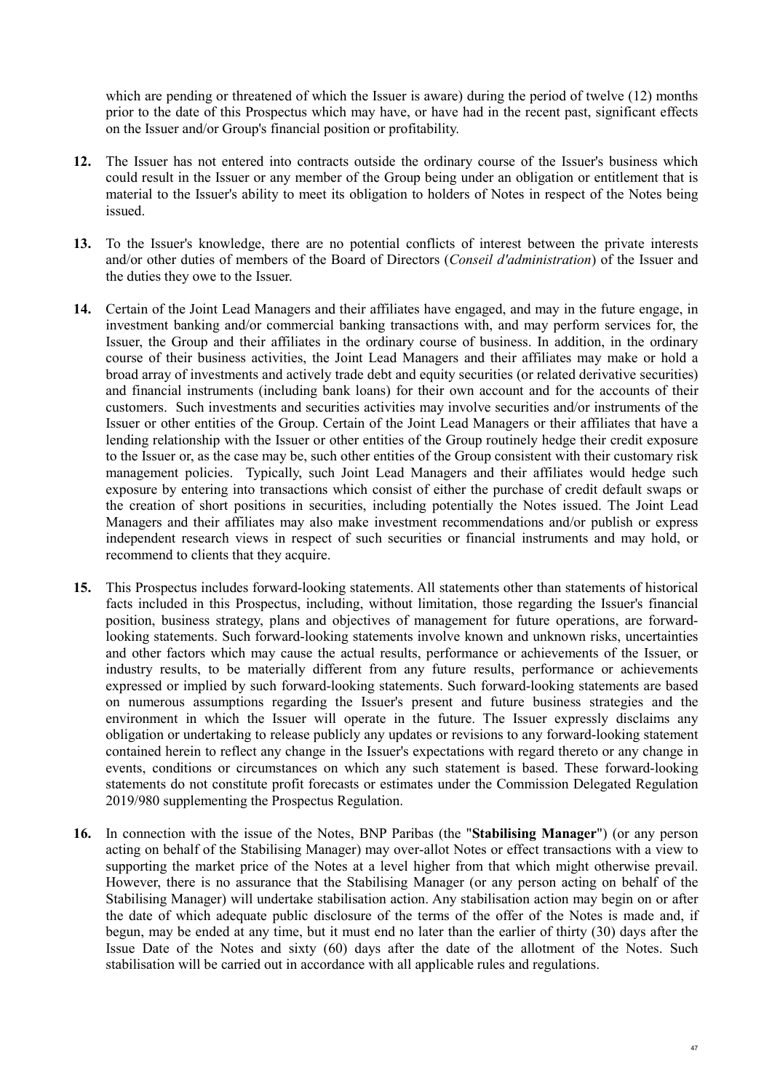which are pending or threatened of which the Issuer is aware) during the period of twelve (12) months prior to the date of this Prospectus which may have, or have had in the recent past, significant effects on the Issuer and/or Group's financial position or profitability.

- **12.** The Issuer has not entered into contracts outside the ordinary course of the Issuer's business which could result in the Issuer or any member of the Group being under an obligation or entitlement that is material to the Issuer's ability to meet its obligation to holders of Notes in respect of the Notes being issued.
- **13.** To the Issuer's knowledge, there are no potential conflicts of interest between the private interests and/or other duties of members of the Board of Directors (*Conseil d'administration*) of the Issuer and the duties they owe to the Issuer.
- **14.** Certain of the Joint Lead Managers and their affiliates have engaged, and may in the future engage, in investment banking and/or commercial banking transactions with, and may perform services for, the Issuer, the Group and their affiliates in the ordinary course of business. In addition, in the ordinary course of their business activities, the Joint Lead Managers and their affiliates may make or hold a broad array of investments and actively trade debt and equity securities (or related derivative securities) and financial instruments (including bank loans) for their own account and for the accounts of their customers. Such investments and securities activities may involve securities and/or instruments of the Issuer or other entities of the Group. Certain of the Joint Lead Managers or their affiliates that have a lending relationship with the Issuer or other entities of the Group routinely hedge their credit exposure to the Issuer or, as the case may be, such other entities of the Group consistent with their customary risk management policies. Typically, such Joint Lead Managers and their affiliates would hedge such exposure by entering into transactions which consist of either the purchase of credit default swaps or the creation of short positions in securities, including potentially the Notes issued. The Joint Lead Managers and their affiliates may also make investment recommendations and/or publish or express independent research views in respect of such securities or financial instruments and may hold, or recommend to clients that they acquire.
- **15.** This Prospectus includes forward-looking statements. All statements other than statements of historical facts included in this Prospectus, including, without limitation, those regarding the Issuer's financial position, business strategy, plans and objectives of management for future operations, are forwardlooking statements. Such forward-looking statements involve known and unknown risks, uncertainties and other factors which may cause the actual results, performance or achievements of the Issuer, or industry results, to be materially different from any future results, performance or achievements expressed or implied by such forward-looking statements. Such forward-looking statements are based on numerous assumptions regarding the Issuer's present and future business strategies and the environment in which the Issuer will operate in the future. The Issuer expressly disclaims any obligation or undertaking to release publicly any updates or revisions to any forward-looking statement contained herein to reflect any change in the Issuer's expectations with regard thereto or any change in events, conditions or circumstances on which any such statement is based. These forward-looking statements do not constitute profit forecasts or estimates under the Commission Delegated Regulation 2019/980 supplementing the Prospectus Regulation.
- **16.** In connection with the issue of the Notes, BNP Paribas (the "**Stabilising Manager**") (or any person acting on behalf of the Stabilising Manager) may over-allot Notes or effect transactions with a view to supporting the market price of the Notes at a level higher from that which might otherwise prevail. However, there is no assurance that the Stabilising Manager (or any person acting on behalf of the Stabilising Manager) will undertake stabilisation action. Any stabilisation action may begin on or after the date of which adequate public disclosure of the terms of the offer of the Notes is made and, if begun, may be ended at any time, but it must end no later than the earlier of thirty (30) days after the Issue Date of the Notes and sixty (60) days after the date of the allotment of the Notes. Such stabilisation will be carried out in accordance with all applicable rules and regulations.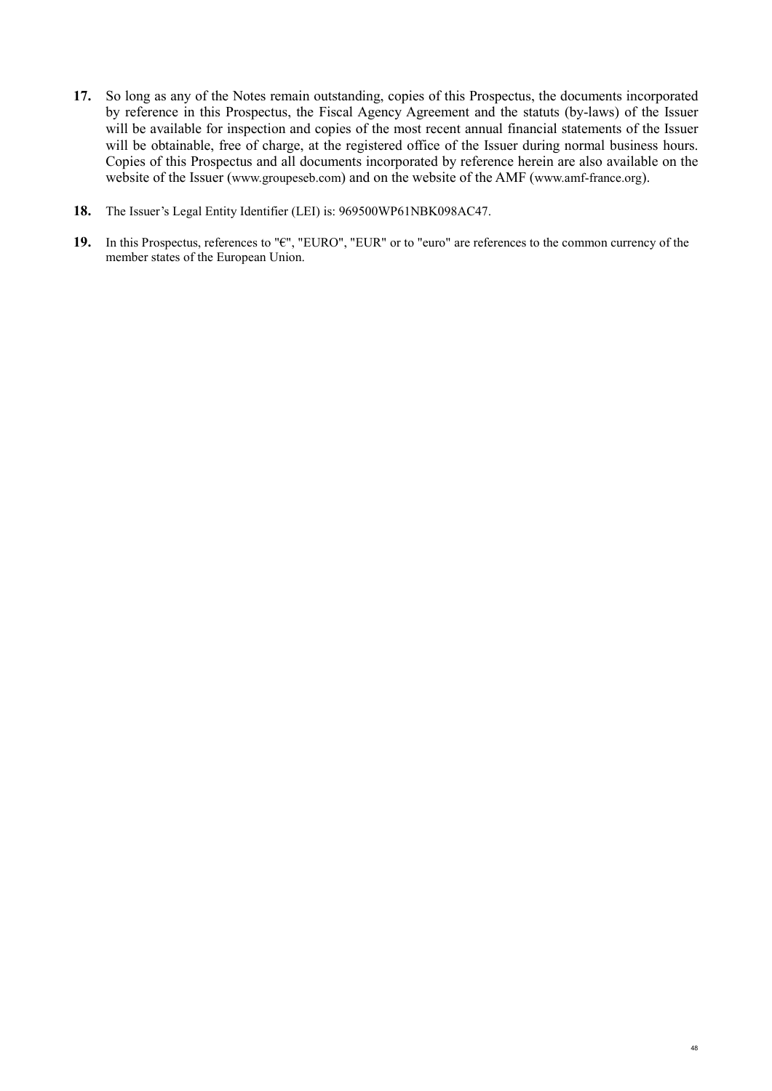- **17.** So long as any of the Notes remain outstanding, copies of this Prospectus, the documents incorporated by reference in this Prospectus, the Fiscal Agency Agreement and the statuts (by-laws) of the Issuer will be available for inspection and copies of the most recent annual financial statements of the Issuer will be obtainable, free of charge, at the registered office of the Issuer during normal business hours. Copies of this Prospectus and all documents incorporated by reference herein are also available on the website of the Issuer [\(www.groupeseb.com\)](http://www.groupeseb.com/) and on the website of the AMF [\(www.amf-france.org\)](http://www.amf-france.org/).
- **18.** The Issuer's Legal Entity Identifier (LEI) is: 969500WP61NBK098AC47.
- **19.** In this Prospectus, references to "€", "EURO", "EUR" or to "euro" are references to the common currency of the member states of the European Union.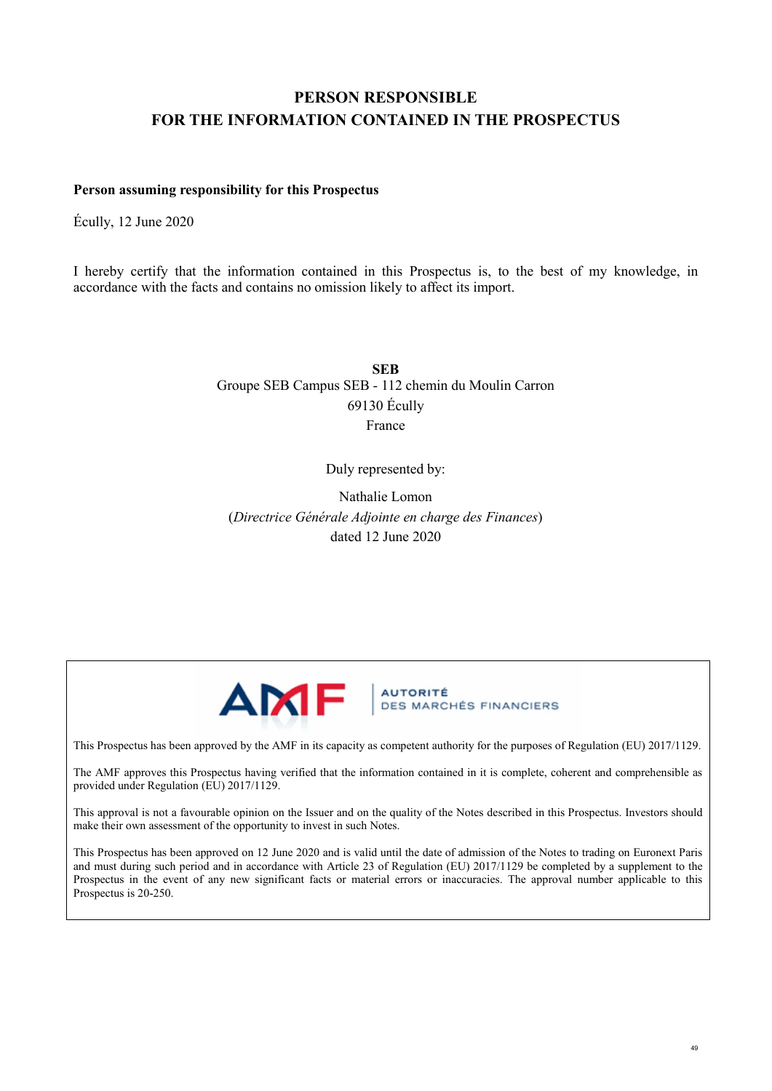# <span id="page-48-0"></span>**PERSON RESPONSIBLE FOR THE INFORMATION CONTAINED IN THE PROSPECTUS**

### **Person assuming responsibility for this Prospectus**

Écully, 12 June 2020

I hereby certify that the information contained in this Prospectus is, to the best of my knowledge, in accordance with the facts and contains no omission likely to affect its import.

> **SEB** Groupe SEB Campus SEB - 112 chemin du Moulin Carron 69130 Écully France

> > Duly represented by:

Nathalie Lomon (*Directrice Générale Adjointe en charge des Finances*) dated 12 June 2020



**AUTORITÉ DES MARCHÉS FINANCIERS** 

This Prospectus has been approved by the AMF in its capacity as competent authority for the purposes of Regulation (EU) 2017/1129.

The AMF approves this Prospectus having verified that the information contained in it is complete, coherent and comprehensible as provided under Regulation (EU) 2017/1129.

This approval is not a favourable opinion on the Issuer and on the quality of the Notes described in this Prospectus. Investors should make their own assessment of the opportunity to invest in such Notes.

This Prospectus has been approved on 12 June 2020 and is valid until the date of admission of the Notes to trading on Euronext Paris and must during such period and in accordance with Article 23 of Regulation (EU) 2017/1129 be completed by a supplement to the Prospectus in the event of any new significant facts or material errors or inaccuracies. The approval number applicable to this Prospectus is 20-250.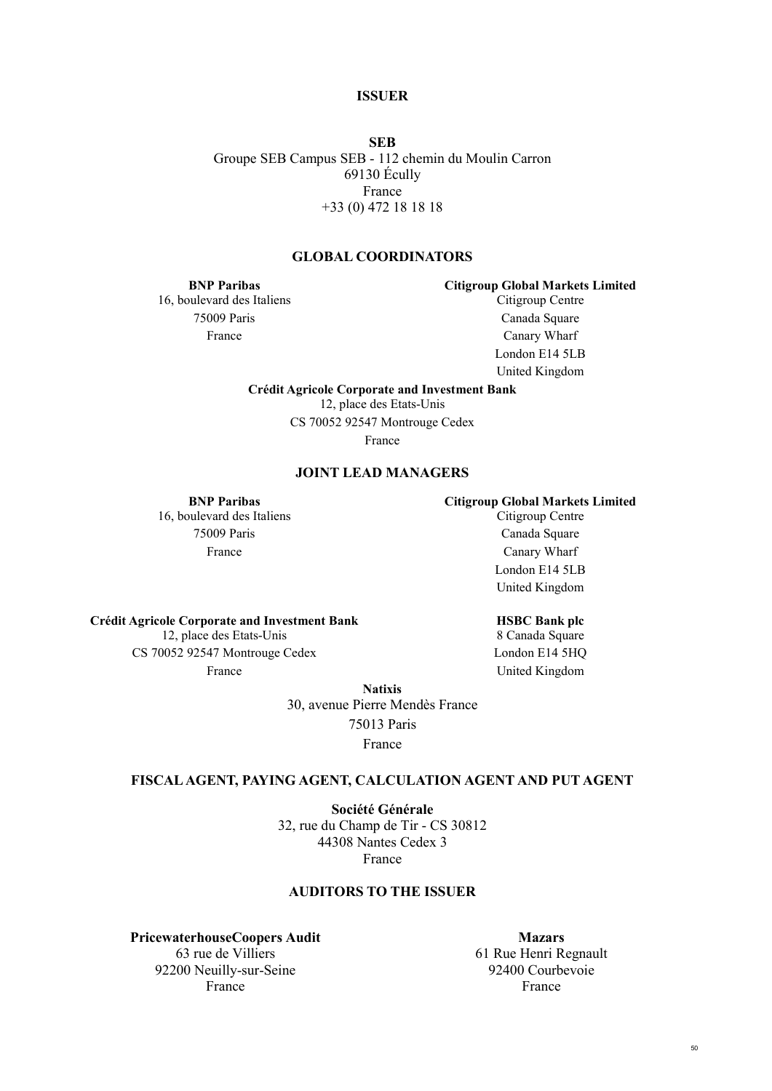50

**ISSUER**

**SEB** Groupe SEB Campus SEB - 112 chemin du Moulin Carron 69130 Écully France +33 (0) 472 18 18 18

### **GLOBAL COORDINATORS**

**BNP Paribas** 16, boulevard des Italiens 75009 Paris France

**Citigroup Global Markets Limited** Citigroup Centre

Canada Square Canary Wharf London E14 5LB United Kingdom

**Crédit Agricole Corporate and Investment Bank**

12, place des Etats-Unis

CS 70052 92547 Montrouge Cedex

France

### **JOINT LEAD MANAGERS**

**BNP Paribas** 16, boulevard des Italiens 75009 Paris France

**Crédit Agricole Corporate and Investment Bank** 12, place des Etats-Unis CS 70052 92547 Montrouge Cedex

France

**Citigroup Global Markets Limited** Citigroup Centre

Canada Square Canary Wharf London E14 5LB United Kingdom

### **HSBC Bank plc**

8 Canada Square London E14 5HQ United Kingdom

**Natixis**

30, avenue Pierre Mendès France 75013 Paris

France

### **FISCAL AGENT, PAYING AGENT, CALCULATION AGENT AND PUT AGENT**

**Société Générale**  32, rue du Champ de Tir - CS 30812 44308 Nantes Cedex 3 France

### **AUDITORS TO THE ISSUER**

**PricewaterhouseCoopers Audit**  63 rue de Villiers 92200 Neuilly-sur-Seine France

**Mazars**  61 Rue Henri Regnault 92400 Courbevoie France